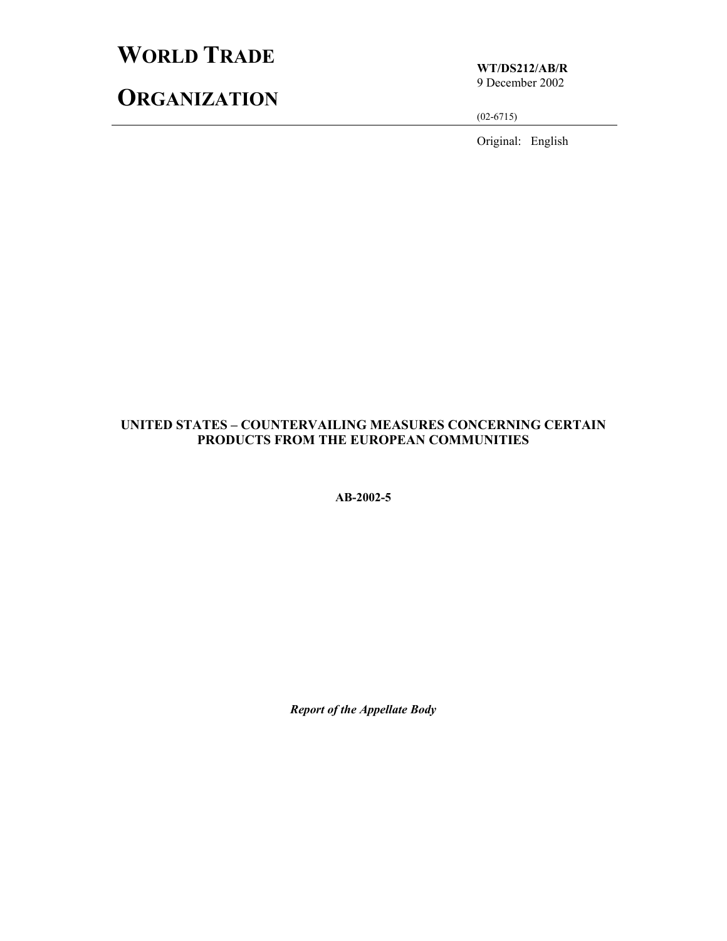# **WORLD TRADE**

# **ORGANIZATION**

**WT/DS212/AB/R**  9 December 2002

(02-6715)

Original: English

# **UNITED STATES – COUNTERVAILING MEASURES CONCERNING CERTAIN PRODUCTS FROM THE EUROPEAN COMMUNITIES**

**AB-2002-5** 

*Report of the Appellate Body*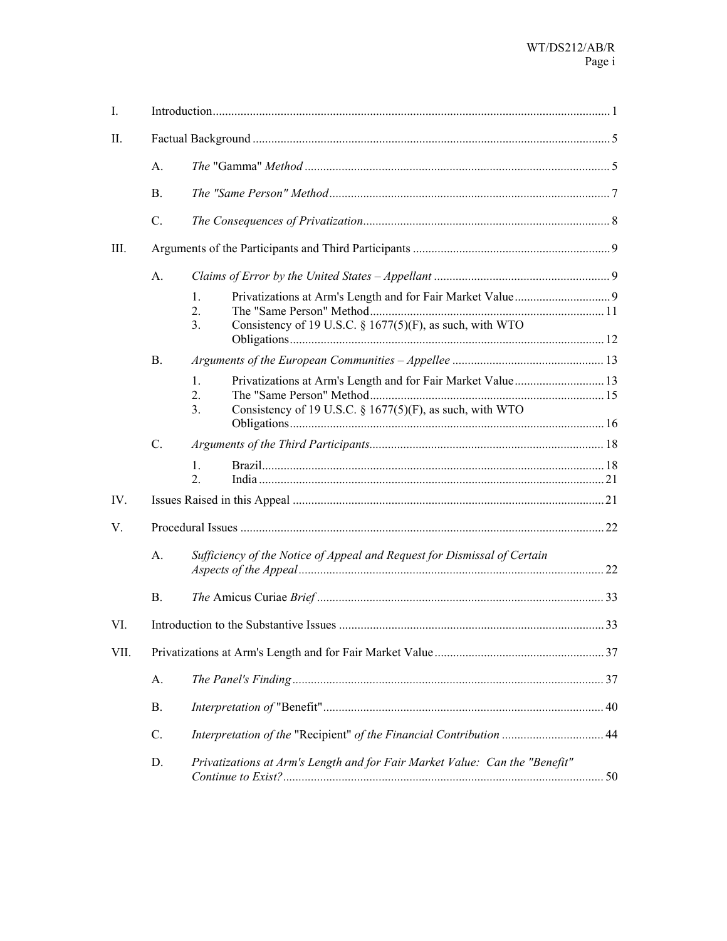| Ι.   |             |                                                                                                       |  |  |  |
|------|-------------|-------------------------------------------------------------------------------------------------------|--|--|--|
| П.   |             |                                                                                                       |  |  |  |
|      | A.          |                                                                                                       |  |  |  |
|      | <b>B.</b>   |                                                                                                       |  |  |  |
|      | $C$ .       |                                                                                                       |  |  |  |
| Ш.   |             |                                                                                                       |  |  |  |
|      | A.          |                                                                                                       |  |  |  |
|      |             | $\mathbf{1}$ .<br>2.<br>3 <sub>1</sub><br>Consistency of 19 U.S.C. $\S$ 1677(5)(F), as such, with WTO |  |  |  |
|      |             |                                                                                                       |  |  |  |
|      | <b>B.</b>   | $\mathbf{1}$ .                                                                                        |  |  |  |
|      |             | 2.<br>Consistency of 19 U.S.C. $\S$ 1677(5)(F), as such, with WTO<br>3 <sub>1</sub>                   |  |  |  |
|      |             |                                                                                                       |  |  |  |
|      | $C_{\cdot}$ |                                                                                                       |  |  |  |
|      |             | $\mathbf{1}$<br>$\overline{2}$ .                                                                      |  |  |  |
| IV.  |             |                                                                                                       |  |  |  |
| V.   |             |                                                                                                       |  |  |  |
|      | A.          | Sufficiency of the Notice of Appeal and Request for Dismissal of Certain                              |  |  |  |
|      | <b>B.</b>   |                                                                                                       |  |  |  |
| VI.  |             |                                                                                                       |  |  |  |
| VII. |             |                                                                                                       |  |  |  |
|      | A.          |                                                                                                       |  |  |  |
|      | <b>B.</b>   |                                                                                                       |  |  |  |
|      | C.          | Interpretation of the "Recipient" of the Financial Contribution  44                                   |  |  |  |
|      | D.          | Privatizations at Arm's Length and for Fair Market Value: Can the "Benefit"                           |  |  |  |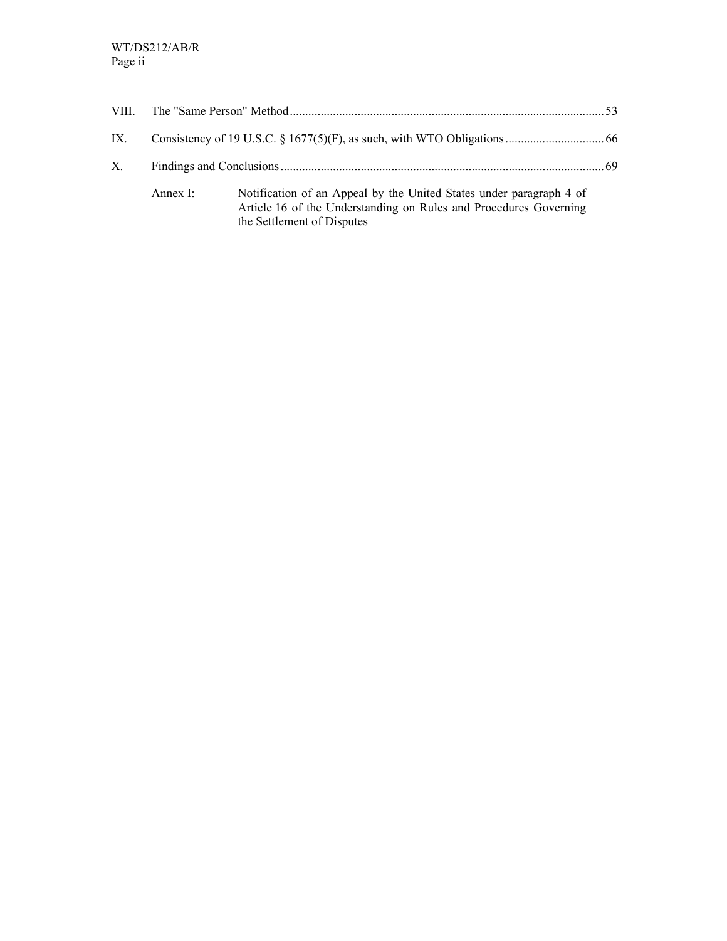| IX. |                  |                                                                                                                                                                        |  |  |  |
|-----|------------------|------------------------------------------------------------------------------------------------------------------------------------------------------------------------|--|--|--|
| X.  |                  |                                                                                                                                                                        |  |  |  |
|     | Annex $\Gamma$ : | Notification of an Appeal by the United States under paragraph 4 of<br>Article 16 of the Understanding on Rules and Procedures Governing<br>the Settlement of Disputes |  |  |  |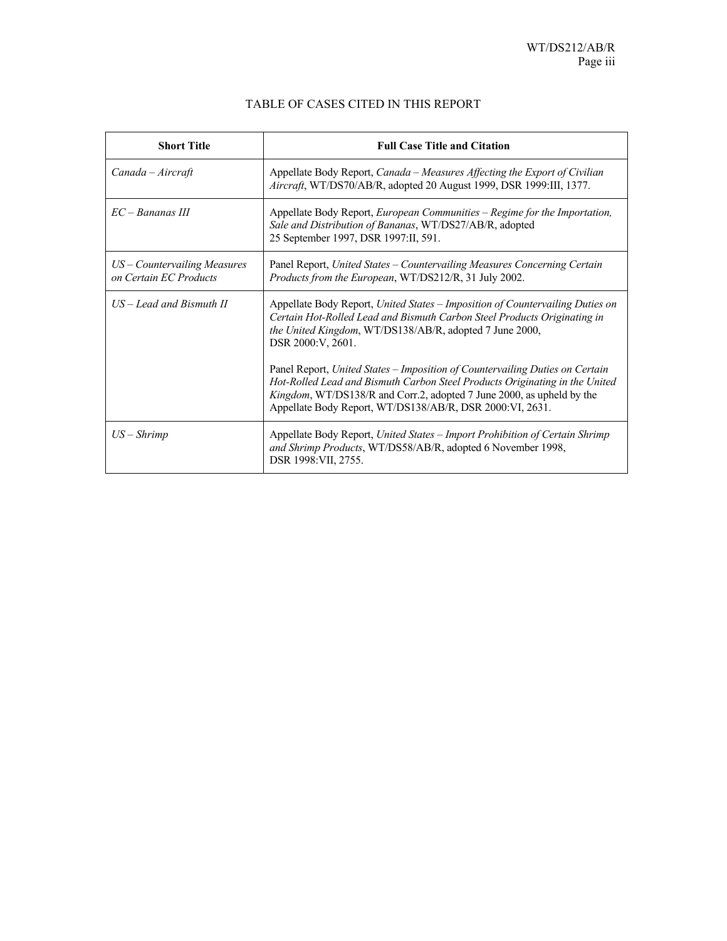| <b>Short Title</b>                                       | <b>Full Case Title and Citation</b>                                                                                                                                                                                                                                                              |
|----------------------------------------------------------|--------------------------------------------------------------------------------------------------------------------------------------------------------------------------------------------------------------------------------------------------------------------------------------------------|
| $Canada - Aircraft$                                      | Appellate Body Report, Canada - Measures Affecting the Export of Civilian<br>Aircraft, WT/DS70/AB/R, adopted 20 August 1999, DSR 1999:III, 1377.                                                                                                                                                 |
| $EC - Bananas III$                                       | Appellate Body Report, <i>European Communities – Regime for the Importation</i> ,<br>Sale and Distribution of Bananas, WT/DS27/AB/R, adopted<br>25 September 1997, DSR 1997:II, 591.                                                                                                             |
| $US$ – Countervailing Measures<br>on Certain EC Products | Panel Report, United States - Countervailing Measures Concerning Certain<br>Products from the European, WT/DS212/R, 31 July 2002.                                                                                                                                                                |
| $US - Lead$ and Bismuth II                               | Appellate Body Report, United States - Imposition of Countervailing Duties on<br>Certain Hot-Rolled Lead and Bismuth Carbon Steel Products Originating in<br>the United Kingdom, WT/DS138/AB/R, adopted 7 June 2000,<br>DSR 2000: V, 2601.                                                       |
|                                                          | Panel Report, United States - Imposition of Countervailing Duties on Certain<br>Hot-Rolled Lead and Bismuth Carbon Steel Products Originating in the United<br>Kingdom, WT/DS138/R and Corr.2, adopted 7 June 2000, as upheld by the<br>Appellate Body Report, WT/DS138/AB/R, DSR 2000:VI, 2631. |
| $US - Shrimp$                                            | Appellate Body Report, United States - Import Prohibition of Certain Shrimp<br>and Shrimp Products, WT/DS58/AB/R, adopted 6 November 1998,<br>DSR 1998: VII, 2755.                                                                                                                               |

# TABLE OF CASES CITED IN THIS REPORT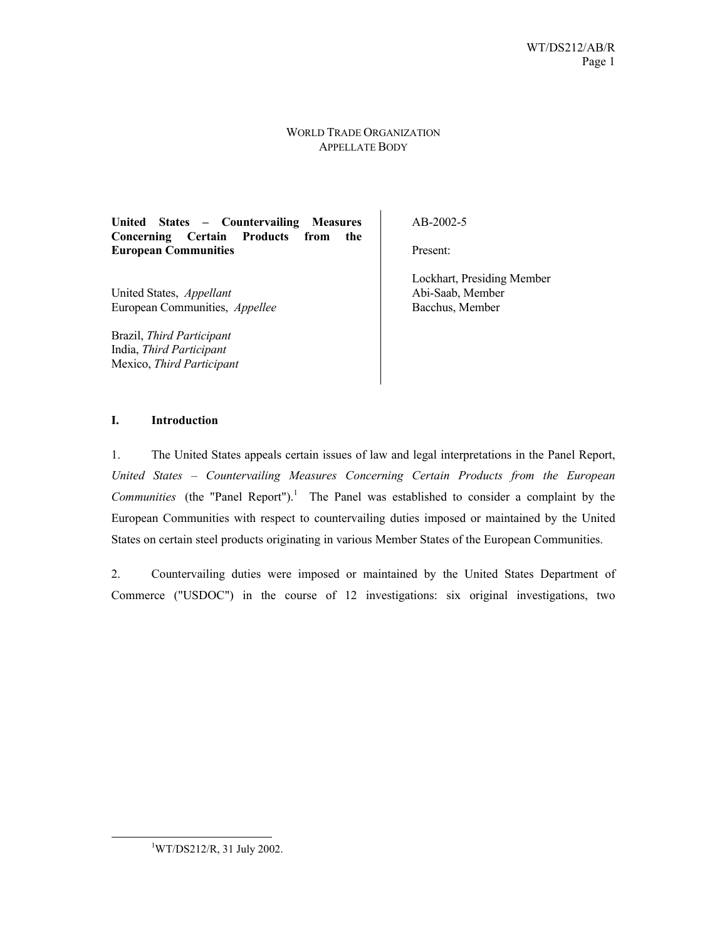#### WORLD TRADE ORGANIZATION APPELLATE BODY

**United States – Countervailing Measures Concerning Certain Products from the European Communities** 

United States, *Appellant* European Communities, *Appellee*

Brazil, *Third Participant* India, *Third Participant* Mexico, *Third Participant* AB-2002-5

Present:

 Lockhart, Presiding Member Abi-Saab, Member Bacchus, Member

# **I. Introduction**

1. The United States appeals certain issues of law and legal interpretations in the Panel Report, *United States – Countervailing Measures Concerning Certain Products from the European Communities* (the "Panel Report").<sup>1</sup> The Panel was established to consider a complaint by the European Communities with respect to countervailing duties imposed or maintained by the United States on certain steel products originating in various Member States of the European Communities.

2. Countervailing duties were imposed or maintained by the United States Department of Commerce ("USDOC") in the course of 12 investigations: six original investigations, two

 $\frac{1}{1}$ WT/DS212/R, 31 July 2002.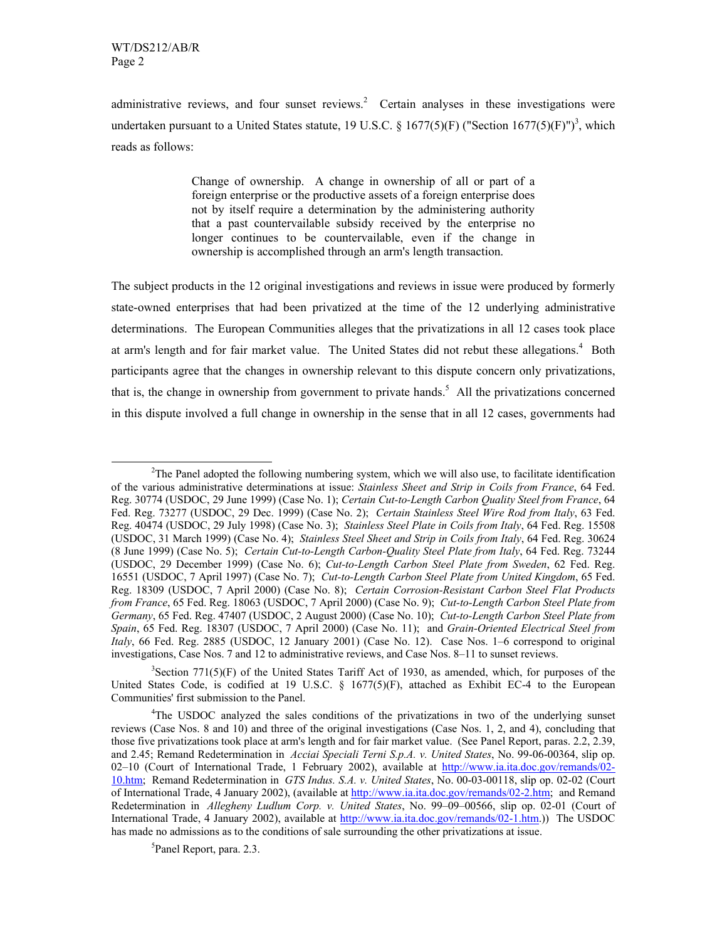administrative reviews, and four sunset reviews.<sup>2</sup> Certain analyses in these investigations were undertaken pursuant to a United States statute, 19 U.S.C. § 1677(5)(F) ("Section 1677(5)(F)")<sup>3</sup>, which reads as follows:

> Change of ownership. A change in ownership of all or part of a foreign enterprise or the productive assets of a foreign enterprise does not by itself require a determination by the administering authority that a past countervailable subsidy received by the enterprise no longer continues to be countervailable, even if the change in ownership is accomplished through an arm's length transaction.

The subject products in the 12 original investigations and reviews in issue were produced by formerly state-owned enterprises that had been privatized at the time of the 12 underlying administrative determinations. The European Communities alleges that the privatizations in all 12 cases took place at arm's length and for fair market value. The United States did not rebut these allegations.<sup>4</sup> Both participants agree that the changes in ownership relevant to this dispute concern only privatizations, that is, the change in ownership from government to private hands.<sup>5</sup> All the privatizations concerned in this dispute involved a full change in ownership in the sense that in all 12 cases, governments had

<sup>5</sup>Panel Report, para. 2.3.

 $\overline{\qquad \qquad }$  $T^2$ The Panel adopted the following numbering system, which we will also use, to facilitate identification of the various administrative determinations at issue: *Stainless Sheet and Strip in Coils from France*, 64 Fed. Reg. 30774 (USDOC, 29 June 1999) (Case No. 1); *Certain Cut-to-Length Carbon Quality Steel from France*, 64 Fed. Reg. 73277 (USDOC, 29 Dec. 1999) (Case No. 2); *Certain Stainless Steel Wire Rod from Italy*, 63 Fed. Reg. 40474 (USDOC, 29 July 1998) (Case No. 3); *Stainless Steel Plate in Coils from Italy*, 64 Fed. Reg. 15508 (USDOC, 31 March 1999) (Case No. 4); *Stainless Steel Sheet and Strip in Coils from Italy*, 64 Fed. Reg. 30624 (8 June 1999) (Case No. 5); *Certain Cut-to-Length Carbon-Quality Steel Plate from Italy*, 64 Fed. Reg. 73244 (USDOC, 29 December 1999) (Case No. 6); *Cut-to-Length Carbon Steel Plate from Sweden*, 62 Fed. Reg. 16551 (USDOC, 7 April 1997) (Case No. 7); *Cut-to-Length Carbon Steel Plate from United Kingdom*, 65 Fed. Reg. 18309 (USDOC, 7 April 2000) (Case No. 8); *Certain Corrosion-Resistant Carbon Steel Flat Products from France*, 65 Fed. Reg. 18063 (USDOC, 7 April 2000) (Case No. 9); *Cut-to-Length Carbon Steel Plate from Germany*, 65 Fed. Reg. 47407 (USDOC, 2 August 2000) (Case No. 10); *Cut-to-Length Carbon Steel Plate from Spain*, 65 Fed. Reg. 18307 (USDOC, 7 April 2000) (Case No. 11); and *Grain-Oriented Electrical Steel from Italy*, 66 Fed. Reg. 2885 (USDOC, 12 January 2001) (Case No. 12). Case Nos. 1–6 correspond to original investigations, Case Nos. 7 and 12 to administrative reviews, and Case Nos. 8–11 to sunset reviews.

 $3$ Section 771(5)(F) of the United States Tariff Act of 1930, as amended, which, for purposes of the United States Code, is codified at 19 U.S.C. § 1677(5)(F), attached as Exhibit EC-4 to the European Communities' first submission to the Panel.

<sup>&</sup>lt;sup>4</sup>The USDOC analyzed the sales conditions of the privatizations in two of the underlying sunset reviews (Case Nos. 8 and 10) and three of the original investigations (Case Nos. 1, 2, and 4), concluding that those five privatizations took place at arm's length and for fair market value. (See Panel Report, paras. 2.2, 2.39, and 2.45; Remand Redetermination in *Acciai Speciali Terni S.p.A. v. United States*, No. 99-06-00364, slip op. 02–10 (Court of International Trade, 1 February 2002), available at http://www.ia.ita.doc.gov/remands/02- 10.htm; Remand Redetermination in *GTS Indus. S.A. v. United States*, No. 00-03-00118, slip op. 02-02 (Court of International Trade, 4 January 2002), (available at http://www.ia.ita.doc.gov/remands/02-2.htm; and Remand Redetermination in *Allegheny Ludlum Corp. v. United States*, No. 99–09–00566, slip op. 02-01 (Court of International Trade, 4 January 2002), available at http://www.ia.ita.doc.gov/remands/02-1.htm.)) The USDOC has made no admissions as to the conditions of sale surrounding the other privatizations at issue.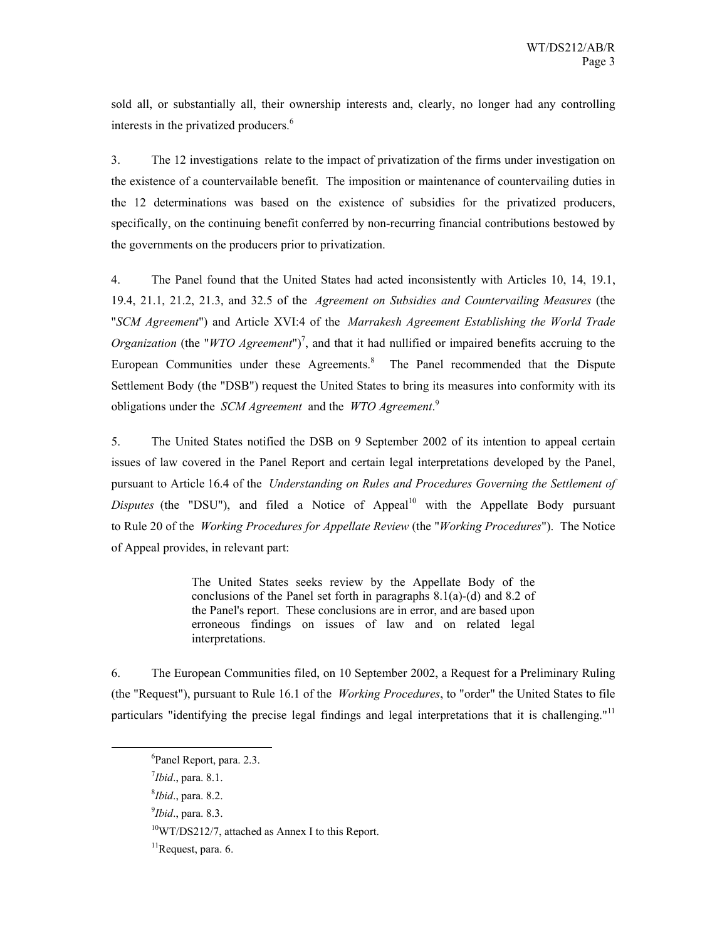sold all, or substantially all, their ownership interests and, clearly, no longer had any controlling interests in the privatized producers.<sup>6</sup>

3. The 12 investigations relate to the impact of privatization of the firms under investigation on the existence of a countervailable benefit. The imposition or maintenance of countervailing duties in the 12 determinations was based on the existence of subsidies for the privatized producers, specifically, on the continuing benefit conferred by non-recurring financial contributions bestowed by the governments on the producers prior to privatization.

4. The Panel found that the United States had acted inconsistently with Articles 10, 14, 19.1, 19.4, 21.1, 21.2, 21.3, and 32.5 of the *Agreement on Subsidies and Countervailing Measures* (the "*SCM Agreement*") and Article XVI:4 of the *Marrakesh Agreement Establishing the World Trade Organization* (the "*WTO Agreement*")<sup>7</sup>, and that it had nullified or impaired benefits accruing to the European Communities under these Agreements.<sup>8</sup> The Panel recommended that the Dispute Settlement Body (the "DSB") request the United States to bring its measures into conformity with its obligations under the *SCM Agreement* and the *WTO Agreement*. 9

5. The United States notified the DSB on 9 September 2002 of its intention to appeal certain issues of law covered in the Panel Report and certain legal interpretations developed by the Panel, pursuant to Article 16.4 of the *Understanding on Rules and Procedures Governing the Settlement of Disputes* (the "DSU"), and filed a Notice of Appeal<sup>10</sup> with the Appellate Body pursuant to Rule 20 of the *Working Procedures for Appellate Review* (the "*Working Procedures*"). The Notice of Appeal provides, in relevant part:

> The United States seeks review by the Appellate Body of the conclusions of the Panel set forth in paragraphs 8.1(a)-(d) and 8.2 of the Panel's report. These conclusions are in error, and are based upon erroneous findings on issues of law and on related legal interpretations.

6. The European Communities filed, on 10 September 2002, a Request for a Preliminary Ruling (the "Request"), pursuant to Rule 16.1 of the *Working Procedures*, to "order" the United States to file particulars "identifying the precise legal findings and legal interpretations that it is challenging."<sup>11</sup>

 <sup>6</sup> Panel Report, para. 2.3.

<sup>7</sup> *Ibid*., para. 8.1.

<sup>8</sup> *Ibid*., para. 8.2.

<sup>9</sup> *Ibid*., para. 8.3.

 $10\text{WT}/\text{DS}212/7$ , attached as Annex I to this Report.

 $<sup>11</sup>$ Request, para. 6.</sup>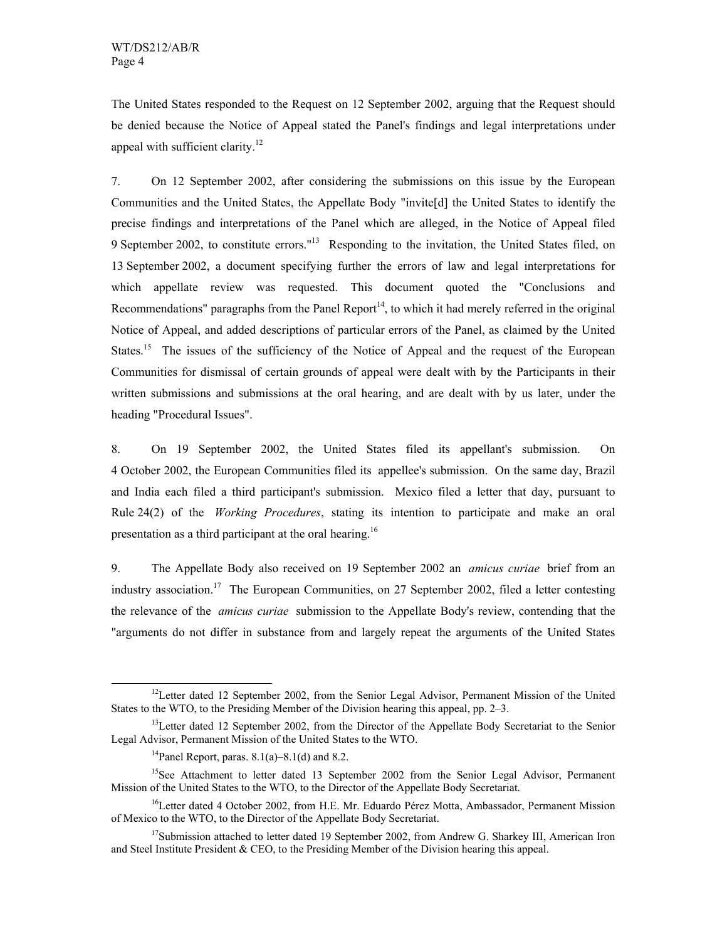The United States responded to the Request on 12 September 2002, arguing that the Request should be denied because the Notice of Appeal stated the Panel's findings and legal interpretations under appeal with sufficient clarity.<sup>12</sup>

7. On 12 September 2002, after considering the submissions on this issue by the European Communities and the United States, the Appellate Body "invite[d] the United States to identify the precise findings and interpretations of the Panel which are alleged, in the Notice of Appeal filed 9 September 2002, to constitute errors."<sup>13</sup> Responding to the invitation, the United States filed, on 13 September 2002, a document specifying further the errors of law and legal interpretations for which appellate review was requested. This document quoted the "Conclusions and Recommendations" paragraphs from the Panel Report<sup>14</sup>, to which it had merely referred in the original Notice of Appeal, and added descriptions of particular errors of the Panel, as claimed by the United States.<sup>15</sup> The issues of the sufficiency of the Notice of Appeal and the request of the European Communities for dismissal of certain grounds of appeal were dealt with by the Participants in their written submissions and submissions at the oral hearing, and are dealt with by us later, under the heading "Procedural Issues".

8. On 19 September 2002, the United States filed its appellant's submission. On 4 October 2002, the European Communities filed its appellee's submission. On the same day, Brazil and India each filed a third participant's submission. Mexico filed a letter that day, pursuant to Rule 24(2) of the *Working Procedures*, stating its intention to participate and make an oral presentation as a third participant at the oral hearing.<sup>16</sup>

9. The Appellate Body also received on 19 September 2002 an *amicus curiae* brief from an industry association.<sup>17</sup> The European Communities, on 27 September 2002, filed a letter contesting the relevance of the *amicus curiae* submission to the Appellate Body's review, contending that the "arguments do not differ in substance from and largely repeat the arguments of the United States

 $12$  Letter dated 12 September 2002, from the Senior Legal Advisor, Permanent Mission of the United States to the WTO, to the Presiding Member of the Division hearing this appeal, pp. 2–3.

<sup>&</sup>lt;sup>13</sup>Letter dated 12 September 2002, from the Director of the Appellate Body Secretariat to the Senior Legal Advisor, Permanent Mission of the United States to the WTO.

<sup>&</sup>lt;sup>14</sup>Panel Report, paras.  $8.1(a) - 8.1(d)$  and  $8.2$ .

<sup>&</sup>lt;sup>15</sup>See Attachment to letter dated 13 September 2002 from the Senior Legal Advisor. Permanent Mission of the United States to the WTO, to the Director of the Appellate Body Secretariat.

<sup>&</sup>lt;sup>16</sup>Letter dated 4 October 2002, from H.E. Mr. Eduardo Pérez Motta, Ambassador, Permanent Mission of Mexico to the WTO, to the Director of the Appellate Body Secretariat.

<sup>&</sup>lt;sup>17</sup>Submission attached to letter dated 19 September 2002, from Andrew G. Sharkey III, American Iron and Steel Institute President & CEO, to the Presiding Member of the Division hearing this appeal.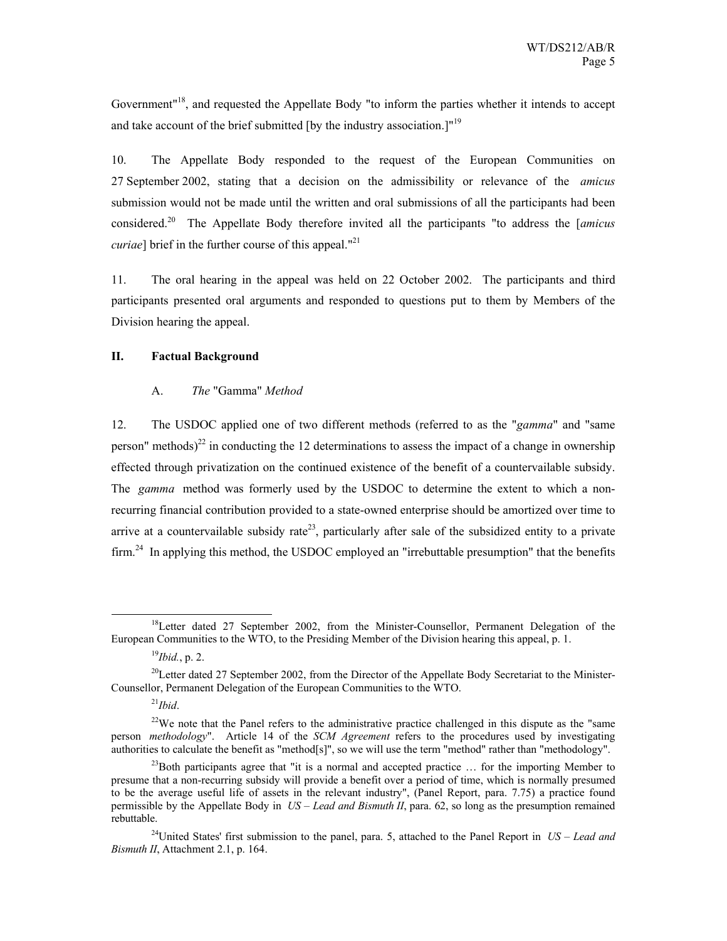Government<sup>"18</sup>, and requested the Appellate Body "to inform the parties whether it intends to accept and take account of the brief submitted [by the industry association.] $n^{19}$ 

10. The Appellate Body responded to the request of the European Communities on 27 September 2002, stating that a decision on the admissibility or relevance of the *amicus*  submission would not be made until the written and oral submissions of all the participants had been considered.<sup>20</sup>The Appellate Body therefore invited all the participants "to address the [*amicus curiae*] brief in the further course of this appeal."<sup>21</sup>

11. The oral hearing in the appeal was held on 22 October 2002. The participants and third participants presented oral arguments and responded to questions put to them by Members of the Division hearing the appeal.

# **II. Factual Background**

#### A. *The* "Gamma" *Method*

12. The USDOC applied one of two different methods (referred to as the "*gamma*" and "same person" methods)<sup>22</sup> in conducting the 12 determinations to assess the impact of a change in ownership effected through privatization on the continued existence of the benefit of a countervailable subsidy. The *gamma* method was formerly used by the USDOC to determine the extent to which a nonrecurring financial contribution provided to a state-owned enterprise should be amortized over time to arrive at a countervailable subsidy rate<sup>23</sup>, particularly after sale of the subsidized entity to a private  $firm.<sup>24</sup>$  In applying this method, the USDOC employed an "irrebuttable presumption" that the benefits

<sup>&</sup>lt;sup>18</sup>Letter dated 27 September 2002, from the Minister-Counsellor, Permanent Delegation of the European Communities to the WTO, to the Presiding Member of the Division hearing this appeal, p. 1.

<sup>19</sup>*Ibid.*, p. 2.

<sup>&</sup>lt;sup>20</sup>Letter dated 27 September 2002, from the Director of the Appellate Body Secretariat to the Minister-Counsellor, Permanent Delegation of the European Communities to the WTO.

<sup>21</sup>*Ibid*.

<sup>&</sup>lt;sup>22</sup>We note that the Panel refers to the administrative practice challenged in this dispute as the "same" person *methodology*". Article 14 of the *SCM Agreement* refers to the procedures used by investigating authorities to calculate the benefit as "method[s]", so we will use the term "method" rather than "methodology".

 $^{23}$ Both participants agree that "it is a normal and accepted practice  $\ldots$  for the importing Member to presume that a non-recurring subsidy will provide a benefit over a period of time, which is normally presumed to be the average useful life of assets in the relevant industry", (Panel Report, para. 7.75) a practice found permissible by the Appellate Body in *US – Lead and Bismuth II*, para. 62, so long as the presumption remained rebuttable.

<sup>24</sup>United States' first submission to the panel, para. 5, attached to the Panel Report in *US – Lead and Bismuth II*, Attachment 2.1, p. 164.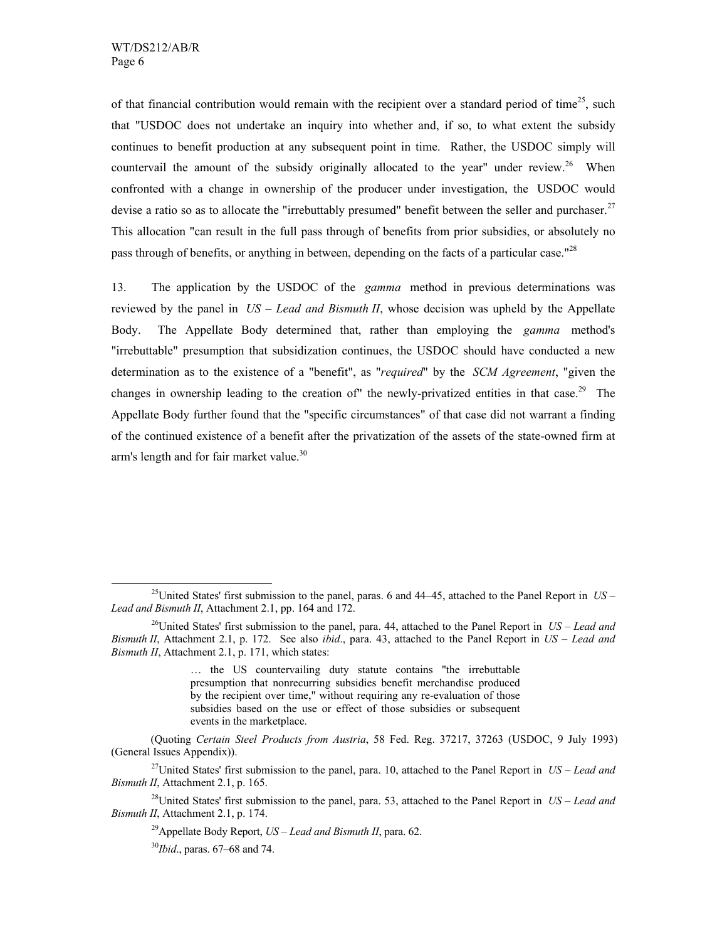of that financial contribution would remain with the recipient over a standard period of time<sup>25</sup>, such that "USDOC does not undertake an inquiry into whether and, if so, to what extent the subsidy continues to benefit production at any subsequent point in time. Rather, the USDOC simply will countervail the amount of the subsidy originally allocated to the year" under review.<sup>26</sup> When confronted with a change in ownership of the producer under investigation, the USDOC would devise a ratio so as to allocate the "irrebuttably presumed" benefit between the seller and purchaser.<sup>27</sup> This allocation "can result in the full pass through of benefits from prior subsidies, or absolutely no pass through of benefits, or anything in between, depending on the facts of a particular case."28

13. The application by the USDOC of the *gamma* method in previous determinations was reviewed by the panel in *US – Lead and Bismuth II*, whose decision was upheld by the Appellate Body. The Appellate Body determined that, rather than employing the *gamma* method's "irrebuttable" presumption that subsidization continues, the USDOC should have conducted a new determination as to the existence of a "benefit", as "*required*" by the *SCM Agreement*, "given the changes in ownership leading to the creation of" the newly-privatized entities in that case.<sup>29</sup> The Appellate Body further found that the "specific circumstances" of that case did not warrant a finding of the continued existence of a benefit after the privatization of the assets of the state-owned firm at arm's length and for fair market value.<sup>30</sup>

 <sup>25</sup>United States' first submission to the panel, paras. 6 and 44–45, attached to the Panel Report in *US – Lead and Bismuth II*, Attachment 2.1, pp. 164 and 172.

<sup>26</sup>United States' first submission to the panel, para. 44, attached to the Panel Report in *US – Lead and Bismuth II*, Attachment 2.1, p. 172. See also *ibid*., para. 43, attached to the Panel Report in *US – Lead and Bismuth II*, Attachment 2.1, p. 171, which states:

<sup>…</sup> the US countervailing duty statute contains "the irrebuttable presumption that nonrecurring subsidies benefit merchandise produced by the recipient over time," without requiring any re-evaluation of those subsidies based on the use or effect of those subsidies or subsequent events in the marketplace.

<sup>(</sup>Quoting *Certain Steel Products from Austria*, 58 Fed. Reg. 37217, 37263 (USDOC, 9 July 1993) (General Issues Appendix)).

<sup>27</sup>United States' first submission to the panel, para. 10, attached to the Panel Report in *US – Lead and Bismuth II*, Attachment 2.1, p. 165.

<sup>28</sup>United States' first submission to the panel, para. 53, attached to the Panel Report in *US – Lead and Bismuth II*, Attachment 2.1, p. 174.

<sup>29</sup>Appellate Body Report, *US – Lead and Bismuth II*, para. 62.

<sup>30</sup>*Ibid*., paras. 67–68 and 74.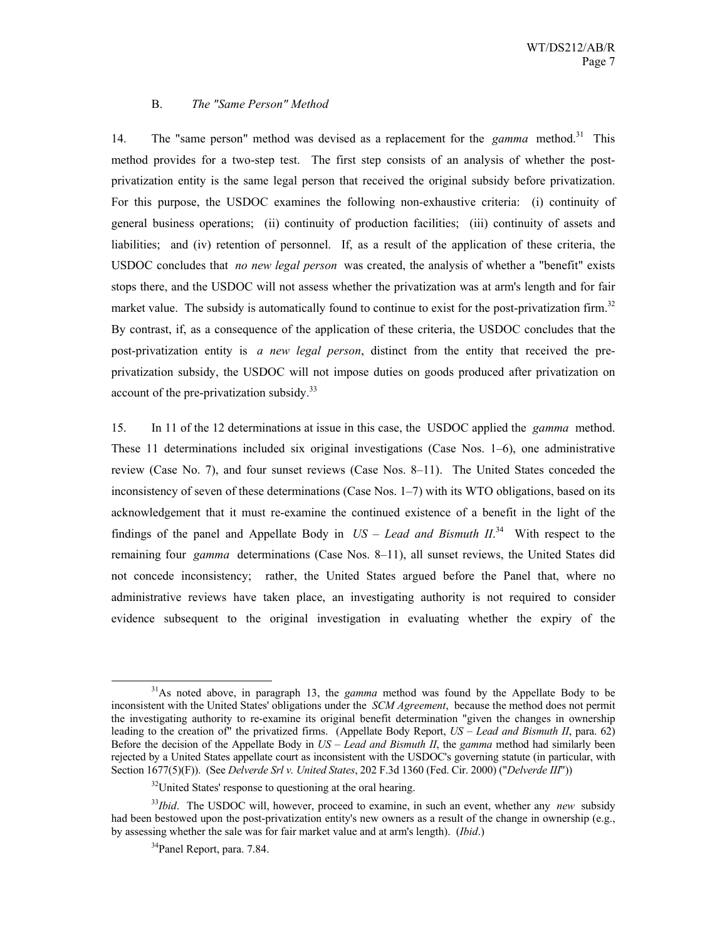#### B. *The "Same Person" Method*

14. The "same person" method was devised as a replacement for the *gamma* method.31 This method provides for a two-step test. The first step consists of an analysis of whether the postprivatization entity is the same legal person that received the original subsidy before privatization. For this purpose, the USDOC examines the following non-exhaustive criteria: (i) continuity of general business operations; (ii) continuity of production facilities; (iii) continuity of assets and liabilities; and (iv) retention of personnel. If, as a result of the application of these criteria, the USDOC concludes that *no new legal person* was created, the analysis of whether a "benefit" exists stops there, and the USDOC will not assess whether the privatization was at arm's length and for fair market value. The subsidy is automatically found to continue to exist for the post-privatization firm.<sup>32</sup> By contrast, if, as a consequence of the application of these criteria, the USDOC concludes that the post-privatization entity is *a new legal person*, distinct from the entity that received the preprivatization subsidy, the USDOC will not impose duties on goods produced after privatization on account of the pre-privatization subsidy.<sup>33</sup>

15. In 11 of the 12 determinations at issue in this case, the USDOC applied the *gamma* method. These 11 determinations included six original investigations (Case Nos. 1–6), one administrative review (Case No. 7), and four sunset reviews (Case Nos. 8–11). The United States conceded the inconsistency of seven of these determinations (Case Nos. 1–7) with its WTO obligations, based on its acknowledgement that it must re-examine the continued existence of a benefit in the light of the findings of the panel and Appellate Body in  $US - Lead$  and Bismuth  $II^{34}$ . With respect to the remaining four *gamma* determinations (Case Nos. 8–11), all sunset reviews, the United States did not concede inconsistency; rather, the United States argued before the Panel that, where no administrative reviews have taken place, an investigating authority is not required to consider evidence subsequent to the original investigation in evaluating whether the expiry of the

 <sup>31</sup>As noted above, in paragraph 13, the *gamma* method was found by the Appellate Body to be inconsistent with the United States' obligations under the *SCM Agreement*, because the method does not permit the investigating authority to re-examine its original benefit determination "given the changes in ownership leading to the creation of" the privatized firms. (Appellate Body Report, *US – Lead and Bismuth II*, para. 62) Before the decision of the Appellate Body in *US – Lead and Bismuth II*, the *gamma* method had similarly been rejected by a United States appellate court as inconsistent with the USDOC's governing statute (in particular, with Section 1677(5)(F)). (See *Delverde Srl v. United States*, 202 F.3d 1360 (Fed. Cir. 2000) ("*Delverde III*"))

 $32$ United States' response to questioning at the oral hearing.

<sup>33</sup>*Ibid*. The USDOC will, however, proceed to examine, in such an event, whether any *new* subsidy had been bestowed upon the post-privatization entity's new owners as a result of the change in ownership (e.g., by assessing whether the sale was for fair market value and at arm's length). (*Ibid*.)

<sup>&</sup>lt;sup>34</sup>Panel Report, para. 7.84.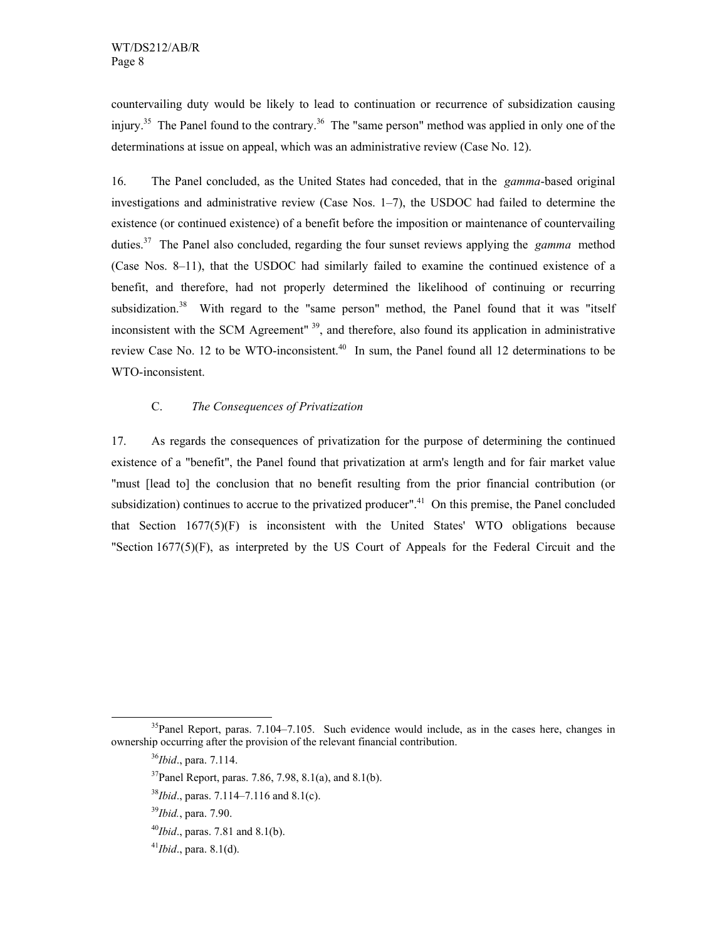countervailing duty would be likely to lead to continuation or recurrence of subsidization causing injury.<sup>35</sup> The Panel found to the contrary.<sup>36</sup> The "same person" method was applied in only one of the determinations at issue on appeal, which was an administrative review (Case No. 12).

16. The Panel concluded, as the United States had conceded, that in the *gamma*-based original investigations and administrative review (Case Nos. 1–7), the USDOC had failed to determine the existence (or continued existence) of a benefit before the imposition or maintenance of countervailing duties.37 The Panel also concluded, regarding the four sunset reviews applying the *gamma* method (Case Nos. 8–11), that the USDOC had similarly failed to examine the continued existence of a benefit, and therefore, had not properly determined the likelihood of continuing or recurring subsidization.<sup>38</sup> With regard to the "same person" method, the Panel found that it was "itself inconsistent with the SCM Agreement"<sup>39</sup>, and therefore, also found its application in administrative review Case No. 12 to be WTO-inconsistent.<sup>40</sup> In sum, the Panel found all 12 determinations to be WTO-inconsistent.

# C. *The Consequences of Privatization*

17. As regards the consequences of privatization for the purpose of determining the continued existence of a "benefit", the Panel found that privatization at arm's length and for fair market value "must [lead to] the conclusion that no benefit resulting from the prior financial contribution (or subsidization) continues to accrue to the privatized producer".<sup>41</sup> On this premise, the Panel concluded that Section  $1677(5)(F)$  is inconsistent with the United States' WTO obligations because "Section  $1677(5)(F)$ , as interpreted by the US Court of Appeals for the Federal Circuit and the

 $35$ Panel Report, paras. 7.104–7.105. Such evidence would include, as in the cases here, changes in ownership occurring after the provision of the relevant financial contribution.

<sup>36</sup>*Ibid*., para. 7.114.

 $37$ Panel Report, paras. 7.86, 7.98, 8.1(a), and 8.1(b).

<sup>38</sup>*Ibid*., paras. 7.114–7.116 and 8.1(c).

<sup>39</sup>*Ibid.*, para. 7.90.

<sup>40</sup>*Ibid*., paras. 7.81 and 8.1(b).

<sup>41</sup>*Ibid*., para. 8.1(d).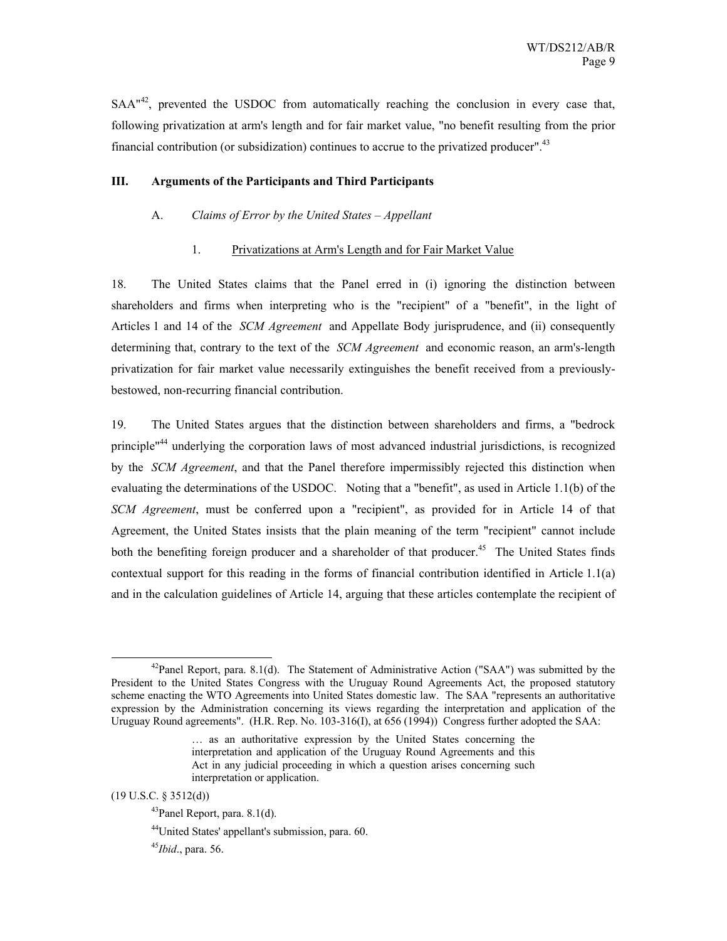$SAA<sup>42</sup>$ , prevented the USDOC from automatically reaching the conclusion in every case that, following privatization at arm's length and for fair market value, "no benefit resulting from the prior financial contribution (or subsidization) continues to accrue to the privatized producer".<sup>43</sup>

#### **III. Arguments of the Participants and Third Participants**

# A. *Claims of Error by the United States – Appellant*

# 1. Privatizations at Arm's Length and for Fair Market Value

18. The United States claims that the Panel erred in (i) ignoring the distinction between shareholders and firms when interpreting who is the "recipient" of a "benefit", in the light of Articles 1 and 14 of the *SCM Agreement* and Appellate Body jurisprudence, and (ii) consequently determining that, contrary to the text of the *SCM Agreement* and economic reason, an arm's-length privatization for fair market value necessarily extinguishes the benefit received from a previouslybestowed, non-recurring financial contribution.

19. The United States argues that the distinction between shareholders and firms, a "bedrock principle"44 underlying the corporation laws of most advanced industrial jurisdictions, is recognized by the *SCM Agreement*, and that the Panel therefore impermissibly rejected this distinction when evaluating the determinations of the USDOC. Noting that a "benefit", as used in Article 1.1(b) of the *SCM Agreement*, must be conferred upon a "recipient", as provided for in Article 14 of that Agreement, the United States insists that the plain meaning of the term "recipient" cannot include both the benefiting foreign producer and a shareholder of that producer.<sup>45</sup> The United States finds contextual support for this reading in the forms of financial contribution identified in Article 1.1(a) and in the calculation guidelines of Article 14, arguing that these articles contemplate the recipient of

(19 U.S.C. § 3512(d))

<sup>45</sup>*Ibid*., para. 56.

 $42$ Panel Report, para. 8.1(d). The Statement of Administrative Action ("SAA") was submitted by the President to the United States Congress with the Uruguay Round Agreements Act, the proposed statutory scheme enacting the WTO Agreements into United States domestic law. The SAA "represents an authoritative expression by the Administration concerning its views regarding the interpretation and application of the Uruguay Round agreements". (H.R. Rep. No. 103-316(I), at 656 (1994)) Congress further adopted the SAA:

<sup>…</sup> as an authoritative expression by the United States concerning the interpretation and application of the Uruguay Round Agreements and this Act in any judicial proceeding in which a question arises concerning such interpretation or application.

 $^{43}$ Panel Report, para. 8.1(d).

<sup>44</sup>United States' appellant's submission, para. 60.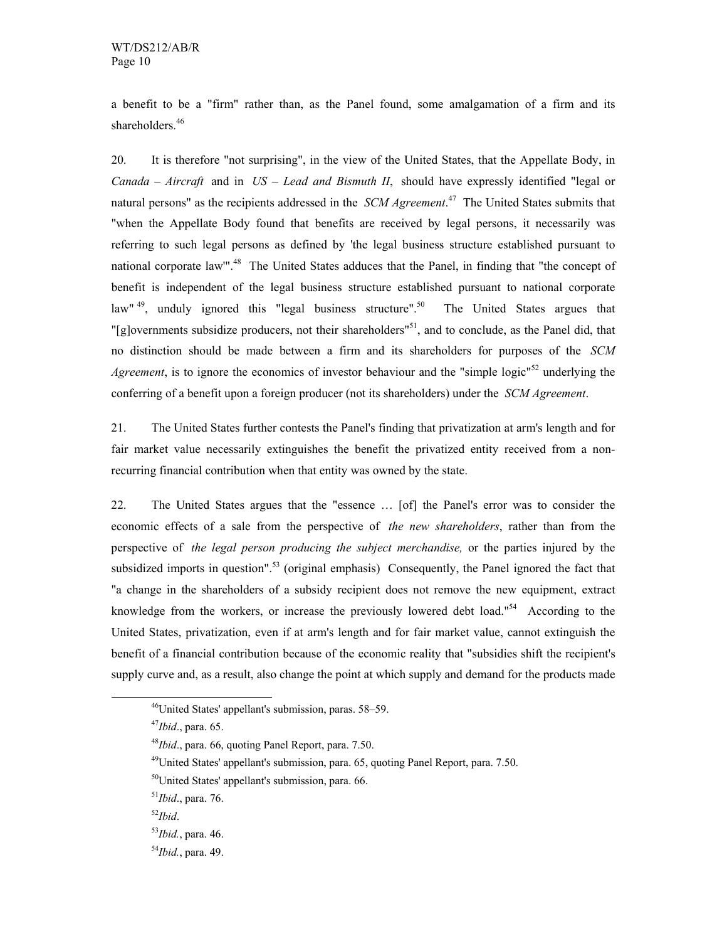a benefit to be a "firm" rather than, as the Panel found, some amalgamation of a firm and its shareholders.<sup>46</sup>

20. It is therefore "not surprising", in the view of the United States, that the Appellate Body, in *Canada – Aircraft* and in *US – Lead and Bismuth II*, should have expressly identified "legal or natural persons" as the recipients addressed in the *SCM Agreement*. 47 The United States submits that "when the Appellate Body found that benefits are received by legal persons, it necessarily was referring to such legal persons as defined by 'the legal business structure established pursuant to national corporate law"<sup>48</sup> The United States adduces that the Panel, in finding that "the concept of benefit is independent of the legal business structure established pursuant to national corporate law"<sup>49</sup>, unduly ignored this "legal business structure".<sup>50</sup> The United States argues that "[g]overnments subsidize producers, not their shareholders" $51$ , and to conclude, as the Panel did, that no distinction should be made between a firm and its shareholders for purposes of the *SCM*  Agreement, is to ignore the economics of investor behaviour and the "simple logic"<sup>52</sup> underlying the conferring of a benefit upon a foreign producer (not its shareholders) under the *SCM Agreement*.

21. The United States further contests the Panel's finding that privatization at arm's length and for fair market value necessarily extinguishes the benefit the privatized entity received from a nonrecurring financial contribution when that entity was owned by the state.

22. The United States argues that the "essence … [of] the Panel's error was to consider the economic effects of a sale from the perspective of *the new shareholders*, rather than from the perspective of *the legal person producing the subject merchandise,* or the parties injured by the subsidized imports in question".<sup>53</sup> (original emphasis) Consequently, the Panel ignored the fact that "a change in the shareholders of a subsidy recipient does not remove the new equipment, extract knowledge from the workers, or increase the previously lowered debt load."<sup>54</sup> According to the United States, privatization, even if at arm's length and for fair market value, cannot extinguish the benefit of a financial contribution because of the economic reality that "subsidies shift the recipient's supply curve and, as a result, also change the point at which supply and demand for the products made

 <sup>46</sup>United States' appellant's submission, paras. 58–59.

<sup>47</sup>*Ibid*., para. 65.

<sup>48</sup>*Ibid*., para. 66, quoting Panel Report, para. 7.50.

 $^{49}$ United States' appellant's submission, para. 65, quoting Panel Report, para. 7.50.

 $50$ United States' appellant's submission, para. 66.

<sup>51</sup>*Ibid*., para. 76.

<sup>52</sup>*Ibid*.

<sup>53</sup>*Ibid.*, para. 46.

<sup>54</sup>*Ibid.*, para. 49.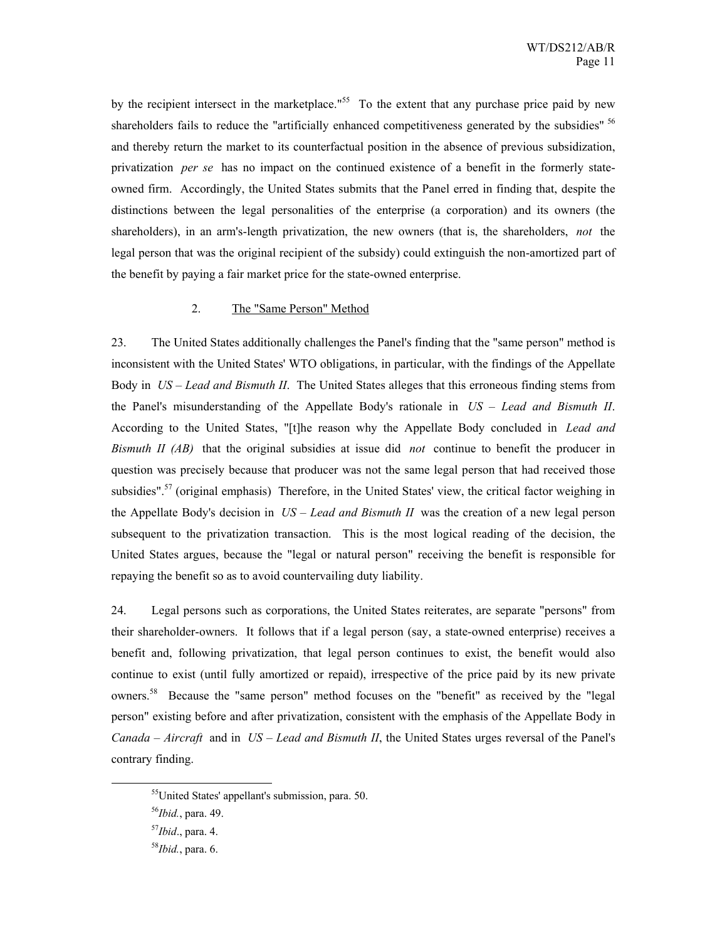by the recipient intersect in the marketplace."<sup>55</sup> To the extent that any purchase price paid by new shareholders fails to reduce the "artificially enhanced competitiveness generated by the subsidies" <sup>56</sup> and thereby return the market to its counterfactual position in the absence of previous subsidization, privatization *per se* has no impact on the continued existence of a benefit in the formerly stateowned firm. Accordingly, the United States submits that the Panel erred in finding that, despite the distinctions between the legal personalities of the enterprise (a corporation) and its owners (the shareholders), in an arm's-length privatization, the new owners (that is, the shareholders, *not* the legal person that was the original recipient of the subsidy) could extinguish the non-amortized part of the benefit by paying a fair market price for the state-owned enterprise.

# 2. The "Same Person" Method

23. The United States additionally challenges the Panel's finding that the "same person" method is inconsistent with the United States' WTO obligations, in particular, with the findings of the Appellate Body in *US – Lead and Bismuth II*. The United States alleges that this erroneous finding stems from the Panel's misunderstanding of the Appellate Body's rationale in *US – Lead and Bismuth II*. According to the United States, "[t]he reason why the Appellate Body concluded in *Lead and Bismuth II (AB)* that the original subsidies at issue did *not* continue to benefit the producer in question was precisely because that producer was not the same legal person that had received those subsidies".<sup>57</sup> (original emphasis) Therefore, in the United States' view, the critical factor weighing in the Appellate Body's decision in *US – Lead and Bismuth II* was the creation of a new legal person subsequent to the privatization transaction. This is the most logical reading of the decision, the United States argues, because the "legal or natural person" receiving the benefit is responsible for repaying the benefit so as to avoid countervailing duty liability.

24. Legal persons such as corporations, the United States reiterates, are separate "persons" from their shareholder-owners. It follows that if a legal person (say, a state-owned enterprise) receives a benefit and, following privatization, that legal person continues to exist, the benefit would also continue to exist (until fully amortized or repaid), irrespective of the price paid by its new private owners.<sup>58</sup> Because the "same person" method focuses on the "benefit" as received by the "legal person" existing before and after privatization, consistent with the emphasis of the Appellate Body in *Canada – Aircraft* and in *US – Lead and Bismuth II*, the United States urges reversal of the Panel's contrary finding.

 <sup>55</sup>United States' appellant's submission, para. 50.

<sup>56</sup>*Ibid.*, para. 49.

<sup>57</sup>*Ibid*., para. 4.

<sup>58</sup>*Ibid.*, para. 6.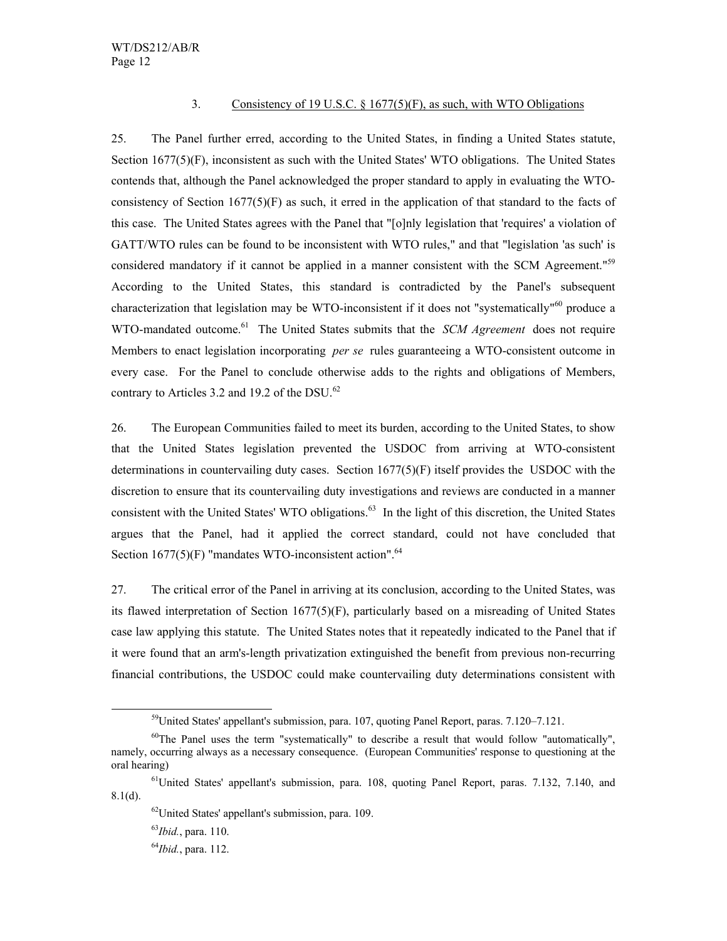#### 3. Consistency of 19 U.S.C. § 1677(5)(F), as such, with WTO Obligations

25. The Panel further erred, according to the United States, in finding a United States statute, Section 1677(5)(F), inconsistent as such with the United States' WTO obligations. The United States contends that, although the Panel acknowledged the proper standard to apply in evaluating the WTOconsistency of Section  $1677(5)(F)$  as such, it erred in the application of that standard to the facts of this case. The United States agrees with the Panel that "[o]nly legislation that 'requires' a violation of GATT/WTO rules can be found to be inconsistent with WTO rules," and that "legislation 'as such' is considered mandatory if it cannot be applied in a manner consistent with the SCM Agreement."<sup>59</sup> According to the United States, this standard is contradicted by the Panel's subsequent characterization that legislation may be WTO-inconsistent if it does not "systematically"<sup>60</sup> produce a WTO-mandated outcome.<sup>61</sup> The United States submits that the *SCM Agreement* does not require Members to enact legislation incorporating *per se* rules guaranteeing a WTO-consistent outcome in every case. For the Panel to conclude otherwise adds to the rights and obligations of Members, contrary to Articles 3.2 and 19.2 of the DSU.<sup>62</sup>

26. The European Communities failed to meet its burden, according to the United States, to show that the United States legislation prevented the USDOC from arriving at WTO-consistent determinations in countervailing duty cases. Section 1677(5)(F) itself provides the USDOC with the discretion to ensure that its countervailing duty investigations and reviews are conducted in a manner consistent with the United States' WTO obligations.<sup>63</sup> In the light of this discretion, the United States argues that the Panel, had it applied the correct standard, could not have concluded that Section  $1677(5)(F)$  "mandates WTO-inconsistent action".<sup>64</sup>

27. The critical error of the Panel in arriving at its conclusion, according to the United States, was its flawed interpretation of Section 1677(5)(F), particularly based on a misreading of United States case law applying this statute. The United States notes that it repeatedly indicated to the Panel that if it were found that an arm's-length privatization extinguished the benefit from previous non-recurring financial contributions, the USDOC could make countervailing duty determinations consistent with

 <sup>59</sup>United States' appellant's submission, para. 107, quoting Panel Report, paras. 7.120–7.121.

<sup>&</sup>lt;sup>60</sup>The Panel uses the term "systematically" to describe a result that would follow "automatically", namely, occurring always as a necessary consequence. (European Communities' response to questioning at the oral hearing)

<sup>61</sup>United States' appellant's submission, para. 108, quoting Panel Report, paras. 7.132, 7.140, and 8.1(d).

<sup>62</sup>United States' appellant's submission, para. 109.

<sup>63</sup>*Ibid.*, para. 110.

<sup>64</sup>*Ibid.*, para. 112.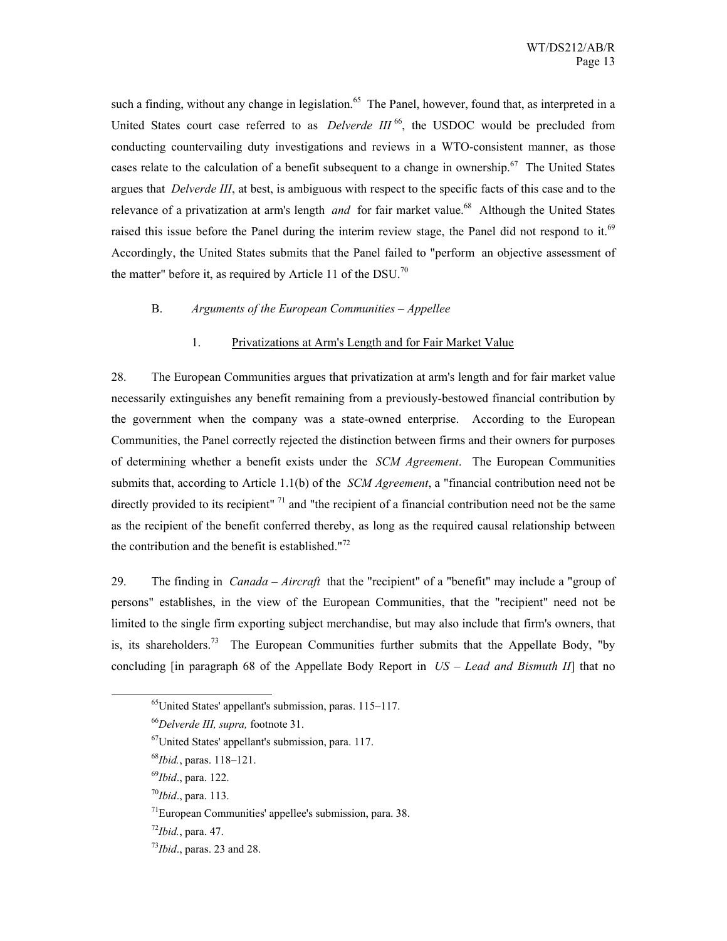such a finding, without any change in legislation.<sup>65</sup> The Panel, however, found that, as interpreted in a United States court case referred to as *Delverde III*<sup>66</sup>, the USDOC would be precluded from conducting countervailing duty investigations and reviews in a WTO-consistent manner, as those cases relate to the calculation of a benefit subsequent to a change in ownership.<sup>67</sup> The United States argues that *Delverde III*, at best, is ambiguous with respect to the specific facts of this case and to the relevance of a privatization at arm's length *and* for fair market value.<sup>68</sup> Although the United States raised this issue before the Panel during the interim review stage, the Panel did not respond to it.<sup>69</sup> Accordingly, the United States submits that the Panel failed to "perform an objective assessment of the matter" before it, as required by Article 11 of the DSU.<sup>70</sup>

# B. *Arguments of the European Communities – Appellee*

#### 1. Privatizations at Arm's Length and for Fair Market Value

28. The European Communities argues that privatization at arm's length and for fair market value necessarily extinguishes any benefit remaining from a previously-bestowed financial contribution by the government when the company was a state-owned enterprise. According to the European Communities, the Panel correctly rejected the distinction between firms and their owners for purposes of determining whether a benefit exists under the *SCM Agreement*. The European Communities submits that, according to Article 1.1(b) of the *SCM Agreement*, a "financial contribution need not be directly provided to its recipient"  $^{71}$  and "the recipient of a financial contribution need not be the same as the recipient of the benefit conferred thereby, as long as the required causal relationship between the contribution and the benefit is established."<sup>72</sup>

29. The finding in *Canada – Aircraft* that the "recipient" of a "benefit" may include a "group of persons" establishes, in the view of the European Communities, that the "recipient" need not be limited to the single firm exporting subject merchandise, but may also include that firm's owners, that is, its shareholders.<sup>73</sup> The European Communities further submits that the Appellate Body, "by concluding [in paragraph 68 of the Appellate Body Report in *US – Lead and Bismuth II*] that no

 <sup>65</sup>United States' appellant's submission, paras. 115–117.

<sup>66</sup>*Delverde III, supra,* footnote 31.

 $^{67}$ United States' appellant's submission, para. 117.

<sup>68</sup>*Ibid.*, paras. 118–121.

<sup>69</sup>*Ibid*., para. 122.

<sup>70</sup>*Ibid*., para. 113.

<sup>71</sup>European Communities' appellee's submission, para. 38.

<sup>72</sup>*Ibid.*, para. 47.

<sup>73</sup>*Ibid*., paras. 23 and 28.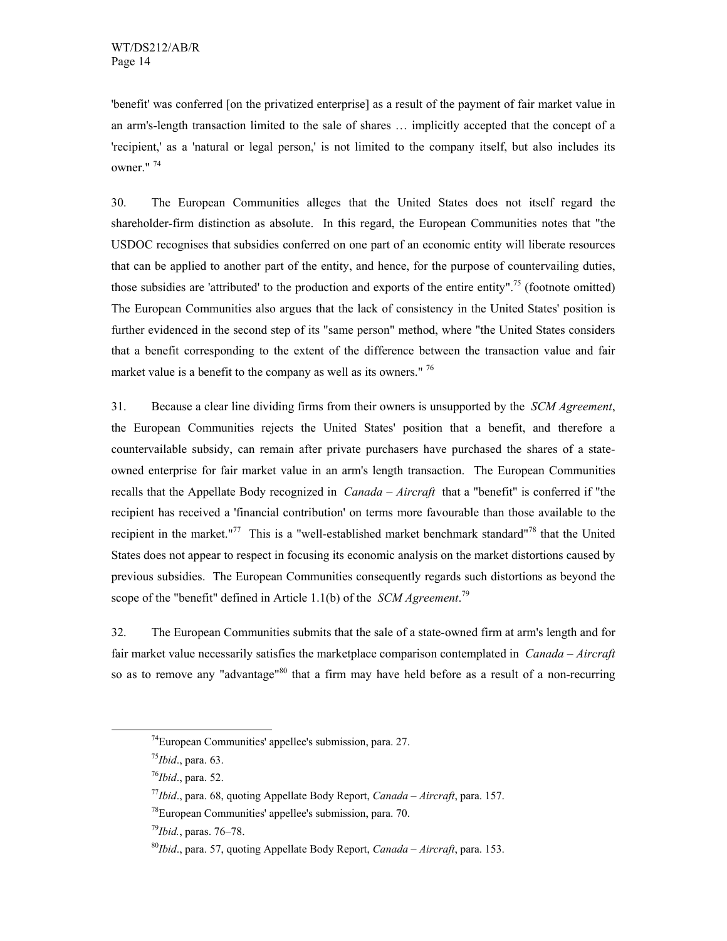'benefit' was conferred [on the privatized enterprise] as a result of the payment of fair market value in an arm's-length transaction limited to the sale of shares … implicitly accepted that the concept of a 'recipient,' as a 'natural or legal person,' is not limited to the company itself, but also includes its owner." $74$ 

30. The European Communities alleges that the United States does not itself regard the shareholder-firm distinction as absolute. In this regard, the European Communities notes that "the USDOC recognises that subsidies conferred on one part of an economic entity will liberate resources that can be applied to another part of the entity, and hence, for the purpose of countervailing duties, those subsidies are 'attributed' to the production and exports of the entire entity".<sup>75</sup> (footnote omitted) The European Communities also argues that the lack of consistency in the United States' position is further evidenced in the second step of its "same person" method, where "the United States considers that a benefit corresponding to the extent of the difference between the transaction value and fair market value is a benefit to the company as well as its owners." <sup>76</sup>

31. Because a clear line dividing firms from their owners is unsupported by the *SCM Agreement*, the European Communities rejects the United States' position that a benefit, and therefore a countervailable subsidy, can remain after private purchasers have purchased the shares of a stateowned enterprise for fair market value in an arm's length transaction. The European Communities recalls that the Appellate Body recognized in *Canada – Aircraft* that a "benefit" is conferred if "the recipient has received a 'financial contribution' on terms more favourable than those available to the recipient in the market."<sup>77</sup> This is a "well-established market benchmark standard"<sup>78</sup> that the United States does not appear to respect in focusing its economic analysis on the market distortions caused by previous subsidies. The European Communities consequently regards such distortions as beyond the scope of the "benefit" defined in Article 1.1(b) of the *SCM Agreement*. 79

32. The European Communities submits that the sale of a state-owned firm at arm's length and for fair market value necessarily satisfies the marketplace comparison contemplated in *Canada – Aircraft* so as to remove any "advantage"<sup>80</sup> that a firm may have held before as a result of a non-recurring

<sup>76</sup>*Ibid*., para. 52.

 $74$ European Communities' appellee's submission, para. 27.

<sup>75</sup>*Ibid*., para. 63.

<sup>77</sup>*Ibid*., para. 68, quoting Appellate Body Report, *Canada – Aircraft*, para. 157.

 $78$ European Communities' appellee's submission, para. 70.

<sup>79</sup>*Ibid.*, paras. 76–78.

<sup>80</sup>*Ibid*., para. 57, quoting Appellate Body Report, *Canada – Aircraft*, para. 153.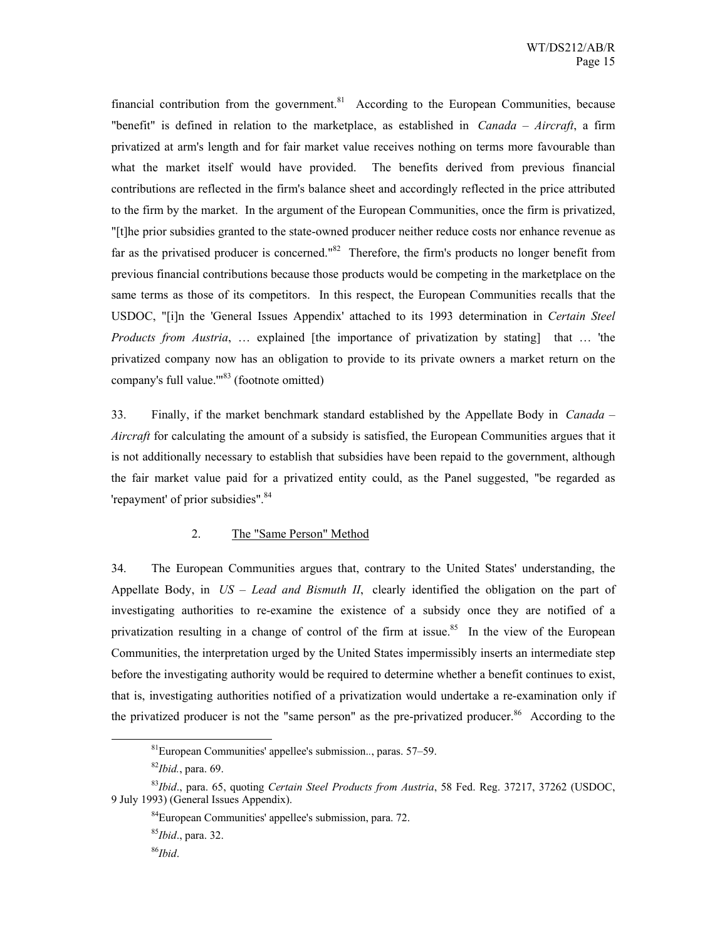financial contribution from the government.<sup>81</sup> According to the European Communities, because "benefit" is defined in relation to the marketplace, as established in *Canada – Aircraft*, a firm privatized at arm's length and for fair market value receives nothing on terms more favourable than what the market itself would have provided. The benefits derived from previous financial contributions are reflected in the firm's balance sheet and accordingly reflected in the price attributed to the firm by the market. In the argument of the European Communities, once the firm is privatized, "[t]he prior subsidies granted to the state-owned producer neither reduce costs nor enhance revenue as far as the privatised producer is concerned."<sup>82</sup> Therefore, the firm's products no longer benefit from previous financial contributions because those products would be competing in the marketplace on the same terms as those of its competitors. In this respect, the European Communities recalls that the USDOC, "[i]n the 'General Issues Appendix' attached to its 1993 determination in *Certain Steel Products from Austria*, … explained [the importance of privatization by stating] that … 'the privatized company now has an obligation to provide to its private owners a market return on the company's full value."<sup>83</sup> (footnote omitted)

33. Finally, if the market benchmark standard established by the Appellate Body in *Canada – Aircraft* for calculating the amount of a subsidy is satisfied, the European Communities argues that it is not additionally necessary to establish that subsidies have been repaid to the government, although the fair market value paid for a privatized entity could, as the Panel suggested, "be regarded as 'repayment' of prior subsidies".<sup>84</sup>

#### 2. The "Same Person" Method

34. The European Communities argues that, contrary to the United States' understanding, the Appellate Body, in *US – Lead and Bismuth II*, clearly identified the obligation on the part of investigating authorities to re-examine the existence of a subsidy once they are notified of a privatization resulting in a change of control of the firm at issue.<sup>85</sup> In the view of the European Communities, the interpretation urged by the United States impermissibly inserts an intermediate step before the investigating authority would be required to determine whether a benefit continues to exist, that is, investigating authorities notified of a privatization would undertake a re-examination only if the privatized producer is not the "same person" as the pre-privatized producer.<sup>86</sup> According to the

#### <sup>86</sup>*Ibid*.

 <sup>81</sup>European Communities' appellee's submission.*.*, paras. 57–59.

<sup>82</sup>*Ibid.*, para. 69.

<sup>83</sup>*Ibid*., para. 65, quoting *Certain Steel Products from Austria*, 58 Fed. Reg. 37217, 37262 (USDOC, 9 July 1993) (General Issues Appendix).

<sup>84</sup>European Communities' appellee's submission, para. 72.

<sup>85</sup>*Ibid*., para. 32.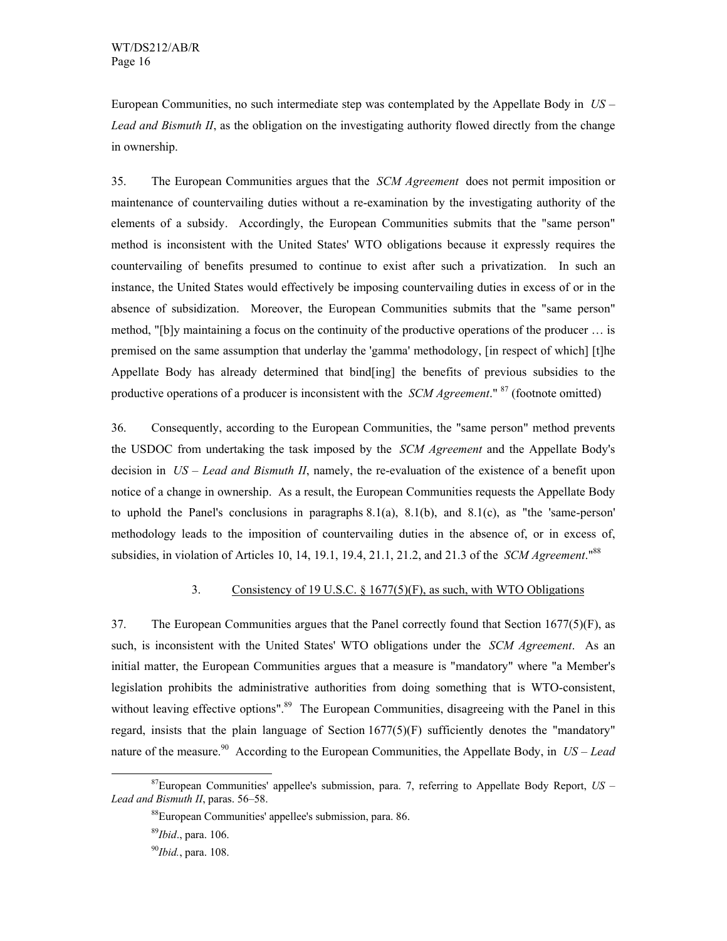European Communities, no such intermediate step was contemplated by the Appellate Body in *US – Lead and Bismuth II*, as the obligation on the investigating authority flowed directly from the change in ownership.

35. The European Communities argues that the *SCM Agreement* does not permit imposition or maintenance of countervailing duties without a re-examination by the investigating authority of the elements of a subsidy. Accordingly, the European Communities submits that the "same person" method is inconsistent with the United States' WTO obligations because it expressly requires the countervailing of benefits presumed to continue to exist after such a privatization. In such an instance, the United States would effectively be imposing countervailing duties in excess of or in the absence of subsidization. Moreover, the European Communities submits that the "same person" method, "[b]y maintaining a focus on the continuity of the productive operations of the producer ... is premised on the same assumption that underlay the 'gamma' methodology, [in respect of which] [t]he Appellate Body has already determined that bind[ing] the benefits of previous subsidies to the productive operations of a producer is inconsistent with the *SCM Agreement*." 87 (footnote omitted)

36. Consequently, according to the European Communities, the "same person" method prevents the USDOC from undertaking the task imposed by the *SCM Agreement* and the Appellate Body's decision in *US – Lead and Bismuth II*, namely, the re-evaluation of the existence of a benefit upon notice of a change in ownership. As a result, the European Communities requests the Appellate Body to uphold the Panel's conclusions in paragraphs 8.1(a), 8.1(b), and 8.1(c), as "the 'same-person' methodology leads to the imposition of countervailing duties in the absence of, or in excess of, subsidies, in violation of Articles 10, 14, 19.1, 19.4, 21.1, 21.2, and 21.3 of the *SCM Agreement*."88

#### 3. Consistency of 19 U.S.C. § 1677(5)(F), as such, with WTO Obligations

37. The European Communities argues that the Panel correctly found that Section  $1677(5)(F)$ , as such, is inconsistent with the United States' WTO obligations under the *SCM Agreement*. As an initial matter, the European Communities argues that a measure is "mandatory" where "a Member's legislation prohibits the administrative authorities from doing something that is WTO-consistent, without leaving effective options".<sup>89</sup> The European Communities, disagreeing with the Panel in this regard, insists that the plain language of Section  $1677(5)$ (F) sufficiently denotes the "mandatory" nature of the measure.<sup>90</sup> According to the European Communities, the Appellate Body, in  $US - Lead$ 

 <sup>87</sup>European Communities' appellee's submission, para. 7, referring to Appellate Body Report, *US – Lead and Bismuth II*, paras. 56–58.

<sup>88</sup>European Communities' appellee's submission, para. 86.

<sup>89</sup>*Ibid*., para. 106.

<sup>90</sup>*Ibid.*, para. 108.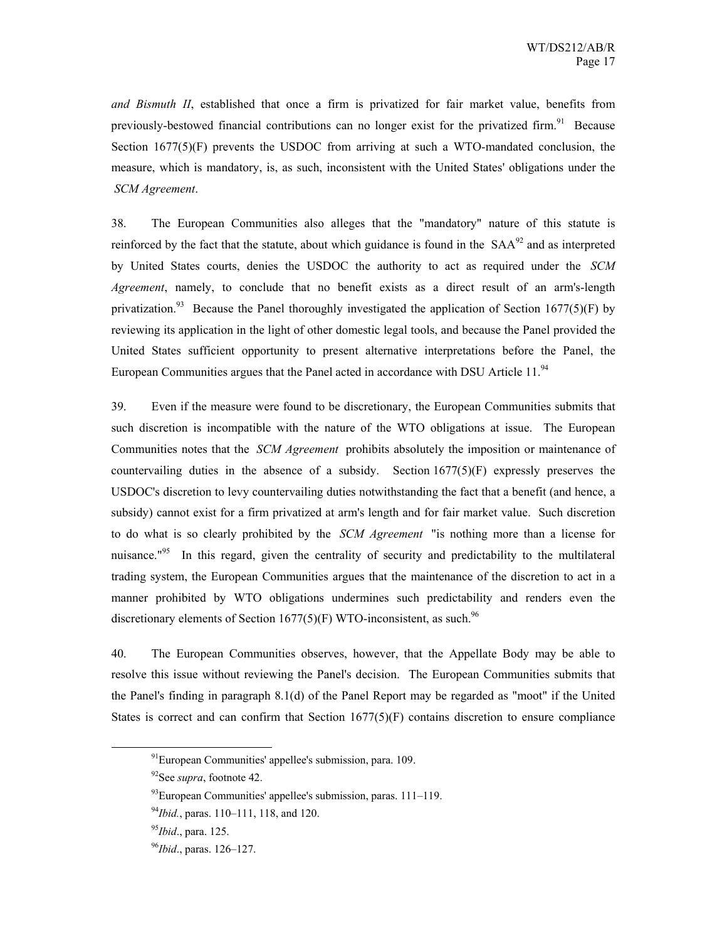*and Bismuth II*, established that once a firm is privatized for fair market value, benefits from previously-bestowed financial contributions can no longer exist for the privatized firm.<sup>91</sup> Because Section 1677(5)(F) prevents the USDOC from arriving at such a WTO-mandated conclusion, the measure, which is mandatory, is, as such, inconsistent with the United States' obligations under the *SCM Agreement*.

38. The European Communities also alleges that the "mandatory" nature of this statute is reinforced by the fact that the statute, about which guidance is found in the  $SAA^{92}$  and as interpreted by United States courts, denies the USDOC the authority to act as required under the *SCM Agreement*, namely, to conclude that no benefit exists as a direct result of an arm's-length privatization.<sup>93</sup> Because the Panel thoroughly investigated the application of Section 1677(5)(F) by reviewing its application in the light of other domestic legal tools, and because the Panel provided the United States sufficient opportunity to present alternative interpretations before the Panel, the European Communities argues that the Panel acted in accordance with DSU Article 11.<sup>94</sup>

39. Even if the measure were found to be discretionary, the European Communities submits that such discretion is incompatible with the nature of the WTO obligations at issue. The European Communities notes that the *SCM Agreement* prohibits absolutely the imposition or maintenance of countervailing duties in the absence of a subsidy. Section  $1677(5)(F)$  expressly preserves the USDOC's discretion to levy countervailing duties notwithstanding the fact that a benefit (and hence, a subsidy) cannot exist for a firm privatized at arm's length and for fair market value. Such discretion to do what is so clearly prohibited by the *SCM Agreement* "is nothing more than a license for nuisance."<sup>95</sup> In this regard, given the centrality of security and predictability to the multilateral trading system, the European Communities argues that the maintenance of the discretion to act in a manner prohibited by WTO obligations undermines such predictability and renders even the discretionary elements of Section 1677(5)(F) WTO-inconsistent, as such.<sup>96</sup>

40. The European Communities observes, however, that the Appellate Body may be able to resolve this issue without reviewing the Panel's decision. The European Communities submits that the Panel's finding in paragraph 8.1(d) of the Panel Report may be regarded as "moot" if the United States is correct and can confirm that Section  $1677(5)(F)$  contains discretion to ensure compliance

<sup>&</sup>lt;sup>91</sup>European Communities' appellee's submission, para. 109.

<sup>92</sup>See *supra*, footnote 42.

<sup>93</sup>European Communities' appellee's submission, paras. 111–119.

<sup>94</sup>*Ibid.*, paras. 110–111, 118, and 120.

<sup>95</sup>*Ibid*., para. 125.

<sup>96</sup>*Ibid*., paras. 126–127.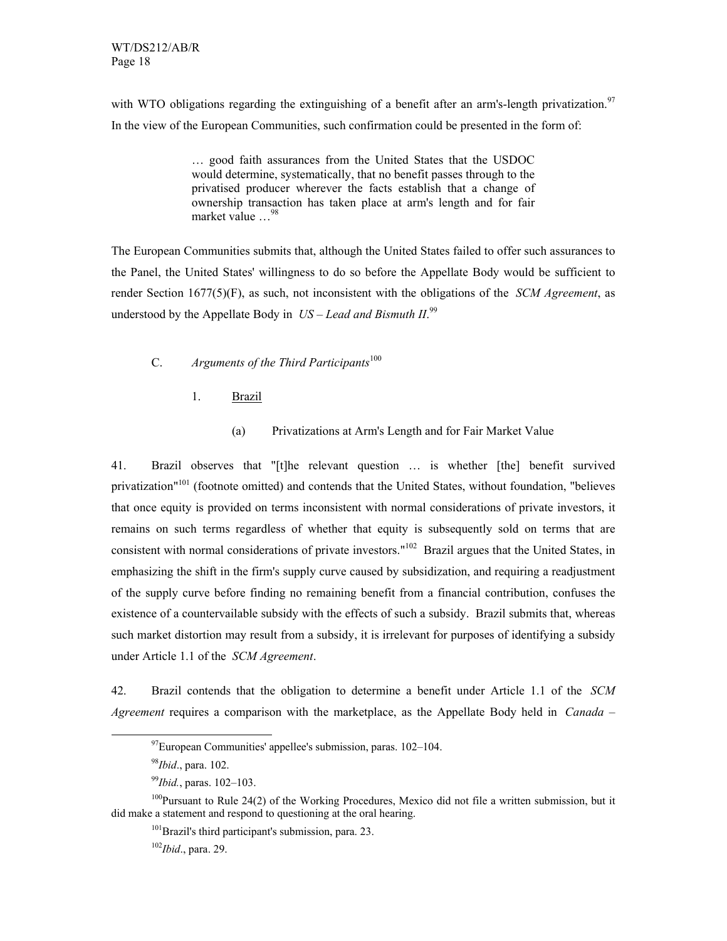with WTO obligations regarding the extinguishing of a benefit after an arm's-length privatization.<sup>97</sup> In the view of the European Communities, such confirmation could be presented in the form of:

> … good faith assurances from the United States that the USDOC would determine, systematically, that no benefit passes through to the privatised producer wherever the facts establish that a change of ownership transaction has taken place at arm's length and for fair market value …98

The European Communities submits that, although the United States failed to offer such assurances to the Panel, the United States' willingness to do so before the Appellate Body would be sufficient to render Section 1677(5)(F), as such, not inconsistent with the obligations of the *SCM Agreement*, as understood by the Appellate Body in  $US - Lead$  and Bismuth II.<sup>99</sup>

# C. *Arguments of the Third Participants*<sup>100</sup>

1. Brazil

# (a) Privatizations at Arm's Length and for Fair Market Value

41. Brazil observes that "[t]he relevant question … is whether [the] benefit survived privatization"<sup>101</sup> (footnote omitted) and contends that the United States, without foundation, "believes that once equity is provided on terms inconsistent with normal considerations of private investors, it remains on such terms regardless of whether that equity is subsequently sold on terms that are consistent with normal considerations of private investors."102 Brazil argues that the United States, in emphasizing the shift in the firm's supply curve caused by subsidization, and requiring a readjustment of the supply curve before finding no remaining benefit from a financial contribution, confuses the existence of a countervailable subsidy with the effects of such a subsidy. Brazil submits that, whereas such market distortion may result from a subsidy, it is irrelevant for purposes of identifying a subsidy under Article 1.1 of the *SCM Agreement*.

42. Brazil contends that the obligation to determine a benefit under Article 1.1 of the *SCM Agreement* requires a comparison with the marketplace, as the Appellate Body held in *Canada –* 

<sup>102</sup>*Ibid*., para. 29.

 $97$ European Communities' appellee's submission, paras. 102–104.

<sup>98</sup>*Ibid*., para. 102.

<sup>99</sup>*Ibid.*, paras. 102–103.

<sup>&</sup>lt;sup>100</sup>Pursuant to Rule 24(2) of the Working Procedures, Mexico did not file a written submission, but it did make a statement and respond to questioning at the oral hearing.

<sup>&</sup>lt;sup>101</sup>Brazil's third participant's submission, para. 23.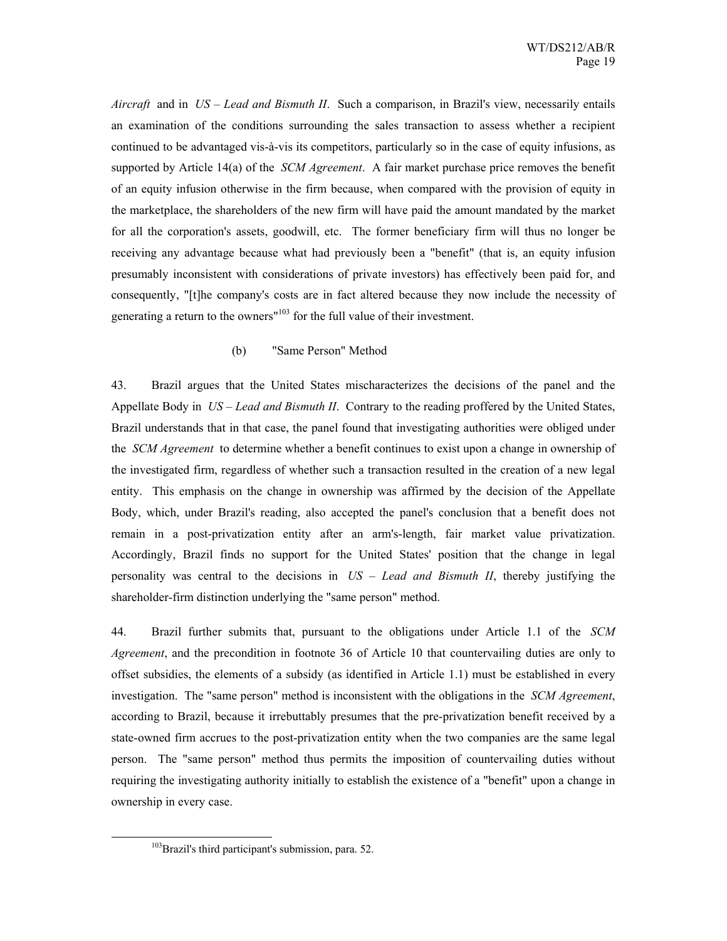*Aircraft* and in *US – Lead and Bismuth II*. Such a comparison, in Brazil's view, necessarily entails an examination of the conditions surrounding the sales transaction to assess whether a recipient continued to be advantaged vis-à-vis its competitors, particularly so in the case of equity infusions, as supported by Article 14(a) of the *SCM Agreement*. A fair market purchase price removes the benefit of an equity infusion otherwise in the firm because, when compared with the provision of equity in the marketplace, the shareholders of the new firm will have paid the amount mandated by the market for all the corporation's assets, goodwill, etc. The former beneficiary firm will thus no longer be receiving any advantage because what had previously been a "benefit" (that is, an equity infusion presumably inconsistent with considerations of private investors) has effectively been paid for, and consequently, "[t]he company's costs are in fact altered because they now include the necessity of generating a return to the owners<sup> $n103$ </sup> for the full value of their investment.

#### (b) "Same Person" Method

43. Brazil argues that the United States mischaracterizes the decisions of the panel and the Appellate Body in *US – Lead and Bismuth II*. Contrary to the reading proffered by the United States, Brazil understands that in that case, the panel found that investigating authorities were obliged under the *SCM Agreement* to determine whether a benefit continues to exist upon a change in ownership of the investigated firm, regardless of whether such a transaction resulted in the creation of a new legal entity. This emphasis on the change in ownership was affirmed by the decision of the Appellate Body, which, under Brazil's reading, also accepted the panel's conclusion that a benefit does not remain in a post-privatization entity after an arm's-length, fair market value privatization. Accordingly, Brazil finds no support for the United States' position that the change in legal personality was central to the decisions in *US – Lead and Bismuth II*, thereby justifying the shareholder-firm distinction underlying the "same person" method.

44. Brazil further submits that, pursuant to the obligations under Article 1.1 of the *SCM Agreement*, and the precondition in footnote 36 of Article 10 that countervailing duties are only to offset subsidies, the elements of a subsidy (as identified in Article 1.1) must be established in every investigation. The "same person" method is inconsistent with the obligations in the *SCM Agreement*, according to Brazil, because it irrebuttably presumes that the pre-privatization benefit received by a state-owned firm accrues to the post-privatization entity when the two companies are the same legal person. The "same person" method thus permits the imposition of countervailing duties without requiring the investigating authority initially to establish the existence of a "benefit" upon a change in ownership in every case.

 $103$ Brazil's third participant's submission, para. 52.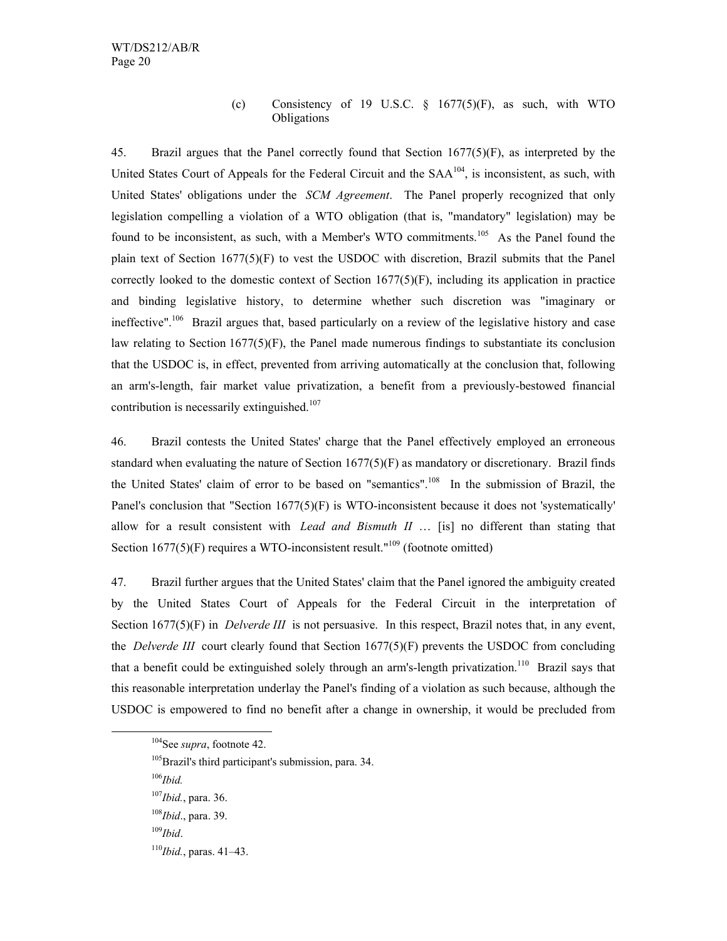(c) Consistency of 19 U.S.C.  $\frac{6}{5}$  1677(5)(F), as such, with WTO Obligations

45. Brazil argues that the Panel correctly found that Section 1677(5)(F), as interpreted by the United States Court of Appeals for the Federal Circuit and the  $SAA^{104}$ , is inconsistent, as such, with United States' obligations under the *SCM Agreement*. The Panel properly recognized that only legislation compelling a violation of a WTO obligation (that is, "mandatory" legislation) may be found to be inconsistent, as such, with a Member's WTO commitments.<sup>105</sup> As the Panel found the plain text of Section 1677(5)(F) to vest the USDOC with discretion, Brazil submits that the Panel correctly looked to the domestic context of Section 1677(5)(F), including its application in practice and binding legislative history, to determine whether such discretion was "imaginary or ineffective".106 Brazil argues that, based particularly on a review of the legislative history and case law relating to Section 1677(5)(F), the Panel made numerous findings to substantiate its conclusion that the USDOC is, in effect, prevented from arriving automatically at the conclusion that, following an arm's-length, fair market value privatization, a benefit from a previously-bestowed financial contribution is necessarily extinguished.<sup>107</sup>

46. Brazil contests the United States' charge that the Panel effectively employed an erroneous standard when evaluating the nature of Section  $1677(5)(F)$  as mandatory or discretionary. Brazil finds the United States' claim of error to be based on "semantics".<sup>108</sup> In the submission of Brazil, the Panel's conclusion that "Section 1677(5)(F) is WTO-inconsistent because it does not 'systematically' allow for a result consistent with *Lead and Bismuth II* … [is] no different than stating that Section  $1677(5)$ (F) requires a WTO-inconsistent result."<sup>109</sup> (footnote omitted)

47. Brazil further argues that the United States' claim that the Panel ignored the ambiguity created by the United States Court of Appeals for the Federal Circuit in the interpretation of Section 1677(5)(F) in *Delverde III* is not persuasive. In this respect, Brazil notes that, in any event, the *Delverde III* court clearly found that Section 1677(5)(F) prevents the USDOC from concluding that a benefit could be extinguished solely through an arm's-length privatization.<sup>110</sup> Brazil says that this reasonable interpretation underlay the Panel's finding of a violation as such because, although the USDOC is empowered to find no benefit after a change in ownership, it would be precluded from

 <sup>104</sup>See *supra*, footnote 42.

<sup>&</sup>lt;sup>105</sup>Brazil's third participant's submission, para. 34.

<sup>106</sup>*Ibid.*

<sup>107</sup>*Ibid.*, para. 36. <sup>108</sup>*Ibid*., para. 39.

<sup>109</sup>*Ibid*.

<sup>110</sup>*Ibid.*, paras. 41–43.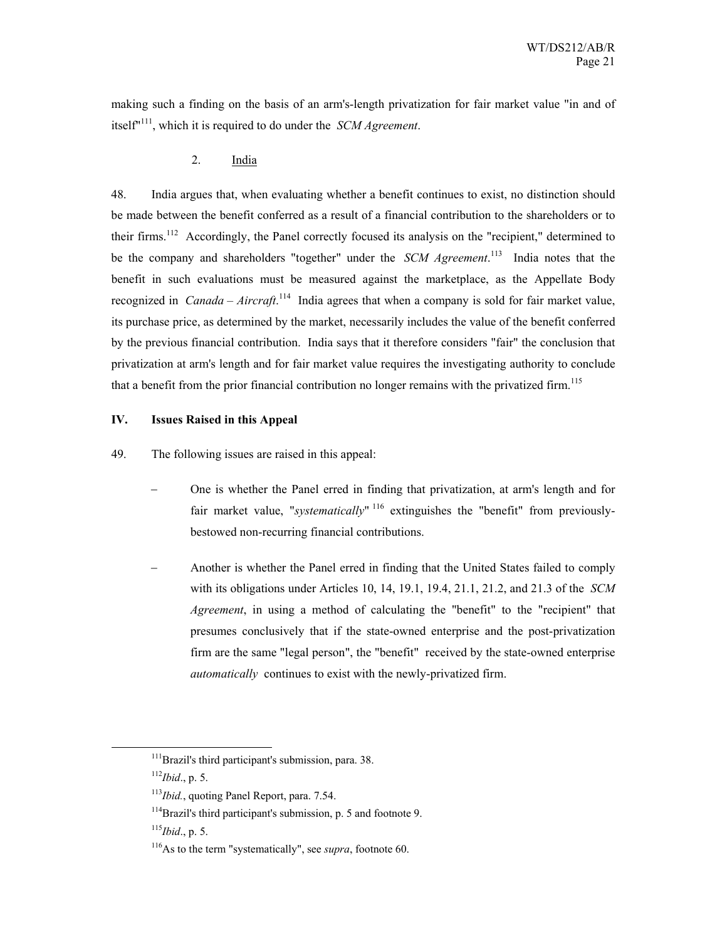making such a finding on the basis of an arm's-length privatization for fair market value "in and of itself"111, which it is required to do under the *SCM Agreement*.

2. India

48. India argues that, when evaluating whether a benefit continues to exist, no distinction should be made between the benefit conferred as a result of a financial contribution to the shareholders or to their firms.112 Accordingly, the Panel correctly focused its analysis on the "recipient," determined to be the company and shareholders "together" under the *SCM Agreement*. 113 India notes that the benefit in such evaluations must be measured against the marketplace, as the Appellate Body recognized in *Canada – Aircraft*. 114 India agrees that when a company is sold for fair market value, its purchase price, as determined by the market, necessarily includes the value of the benefit conferred by the previous financial contribution. India says that it therefore considers "fair" the conclusion that privatization at arm's length and for fair market value requires the investigating authority to conclude that a benefit from the prior financial contribution no longer remains with the privatized firm.<sup>115</sup>

# **IV. Issues Raised in this Appeal**

49. The following issues are raised in this appeal:

- − One is whether the Panel erred in finding that privatization, at arm's length and for fair market value, "*systematically*"<sup>116</sup> extinguishes the "benefit" from previouslybestowed non-recurring financial contributions.
- − Another is whether the Panel erred in finding that the United States failed to comply with its obligations under Articles 10, 14, 19.1, 19.4, 21.1, 21.2, and 21.3 of the *SCM Agreement*, in using a method of calculating the "benefit" to the "recipient" that presumes conclusively that if the state-owned enterprise and the post-privatization firm are the same "legal person", the "benefit" received by the state-owned enterprise *automatically* continues to exist with the newly-privatized firm.

<sup>&</sup>lt;sup>111</sup>Brazil's third participant's submission, para. 38.

<sup>112</sup>*Ibid*., p. 5.

<sup>113</sup>*Ibid.*, quoting Panel Report, para. 7.54.

<sup>&</sup>lt;sup>114</sup>Brazil's third participant's submission, p. 5 and footnote 9.

<sup>115</sup>*Ibid*., p. 5.

<sup>116</sup>As to the term "systematically", see *supra*, footnote 60.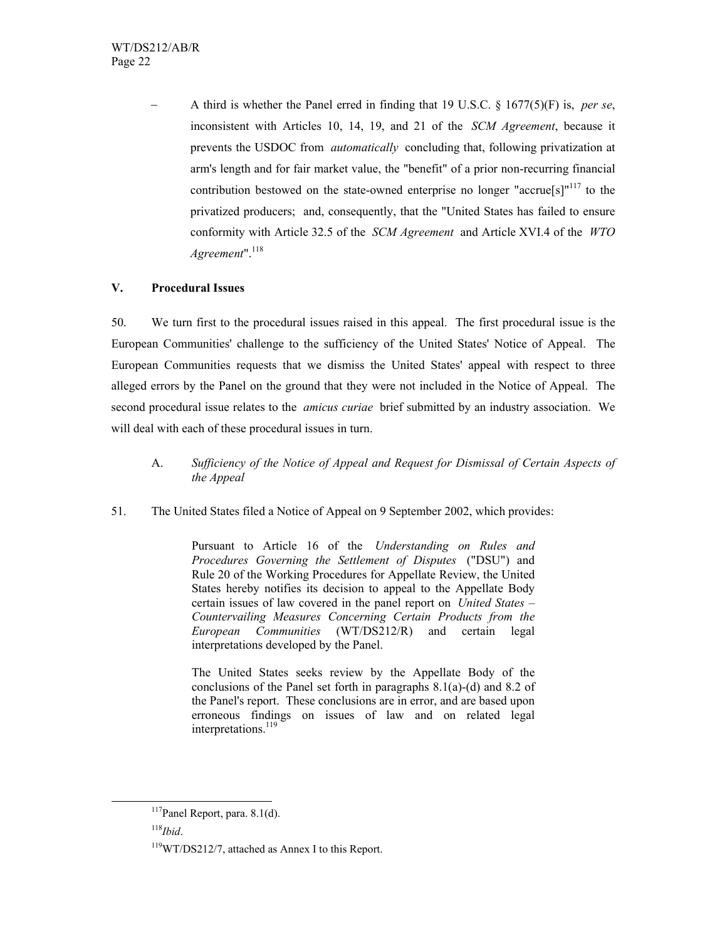− A third is whether the Panel erred in finding that 19 U.S.C. § 1677(5)(F) is, *per se*, inconsistent with Articles 10, 14, 19, and 21 of the *SCM Agreement*, because it prevents the USDOC from *automatically* concluding that, following privatization at arm's length and for fair market value, the "benefit" of a prior non-recurring financial contribution bestowed on the state-owned enterprise no longer "accrue[s]"<sup>117</sup> to the privatized producers; and, consequently, that the "United States has failed to ensure conformity with Article 32.5 of the *SCM Agreement* and Article XVI.4 of the *WTO Agreement*".<sup>118</sup>

# **V. Procedural Issues**

50. We turn first to the procedural issues raised in this appeal. The first procedural issue is the European Communities' challenge to the sufficiency of the United States' Notice of Appeal. The European Communities requests that we dismiss the United States' appeal with respect to three alleged errors by the Panel on the ground that they were not included in the Notice of Appeal. The second procedural issue relates to the *amicus curiae* brief submitted by an industry association. We will deal with each of these procedural issues in turn.

- A. *Sufficiency of the Notice of Appeal and Request for Dismissal of Certain Aspects of the Appeal*
- 51. The United States filed a Notice of Appeal on 9 September 2002, which provides:

Pursuant to Article 16 of the *Understanding on Rules and Procedures Governing the Settlement of Disputes* ("DSU") and Rule 20 of the Working Procedures for Appellate Review, the United States hereby notifies its decision to appeal to the Appellate Body certain issues of law covered in the panel report on *United States – Countervailing Measures Concerning Certain Products from the European Communities* (WT/DS212/R) and certain legal interpretations developed by the Panel.

The United States seeks review by the Appellate Body of the conclusions of the Panel set forth in paragraphs 8.1(a)-(d) and 8.2 of the Panel's report. These conclusions are in error, and are based upon erroneous findings on issues of law and on related legal interpretations.<sup>119</sup>

 $117$ Panel Report, para. 8.1(d).

<sup>118</sup>*Ibid*.

<sup>119</sup>WT/DS212/7, attached as Annex I to this Report.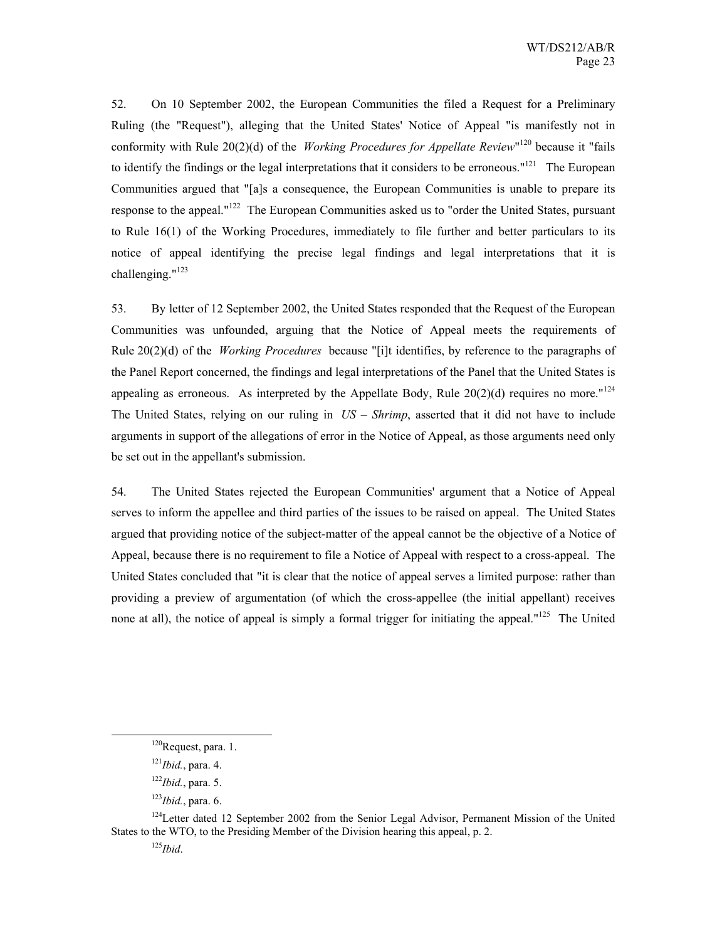52. On 10 September 2002, the European Communities the filed a Request for a Preliminary Ruling (the "Request"), alleging that the United States' Notice of Appeal "is manifestly not in conformity with Rule 20(2)(d) of the *Working Procedures for Appellate Review*" 120 because it "fails to identify the findings or the legal interpretations that it considers to be erroneous."<sup>121</sup> The European Communities argued that "[a]s a consequence, the European Communities is unable to prepare its response to the appeal."<sup>122</sup> The European Communities asked us to "order the United States, pursuant to Rule 16(1) of the Working Procedures, immediately to file further and better particulars to its notice of appeal identifying the precise legal findings and legal interpretations that it is challenging." $123$ 

53. By letter of 12 September 2002, the United States responded that the Request of the European Communities was unfounded, arguing that the Notice of Appeal meets the requirements of Rule 20(2)(d) of the *Working Procedures* because "[i]t identifies, by reference to the paragraphs of the Panel Report concerned, the findings and legal interpretations of the Panel that the United States is appealing as erroneous. As interpreted by the Appellate Body, Rule 20(2)(d) requires no more.<sup>"124</sup> The United States, relying on our ruling in *US – Shrimp*, asserted that it did not have to include arguments in support of the allegations of error in the Notice of Appeal, as those arguments need only be set out in the appellant's submission.

54. The United States rejected the European Communities' argument that a Notice of Appeal serves to inform the appellee and third parties of the issues to be raised on appeal. The United States argued that providing notice of the subject-matter of the appeal cannot be the objective of a Notice of Appeal, because there is no requirement to file a Notice of Appeal with respect to a cross-appeal. The United States concluded that "it is clear that the notice of appeal serves a limited purpose: rather than providing a preview of argumentation (of which the cross-appellee (the initial appellant) receives none at all), the notice of appeal is simply a formal trigger for initiating the appeal."<sup>125</sup> The United

<sup>123</sup>*Ibid.*, para. 6.

 $124$ Letter dated 12 September 2002 from the Senior Legal Advisor, Permanent Mission of the United States to the WTO, to the Presiding Member of the Division hearing this appeal, p. 2.

<sup>125</sup>*Ibid*.

 <sup>120</sup>Request, para. 1.

<sup>121</sup>*Ibid.*, para. 4.

<sup>122</sup>*Ibid.*, para. 5.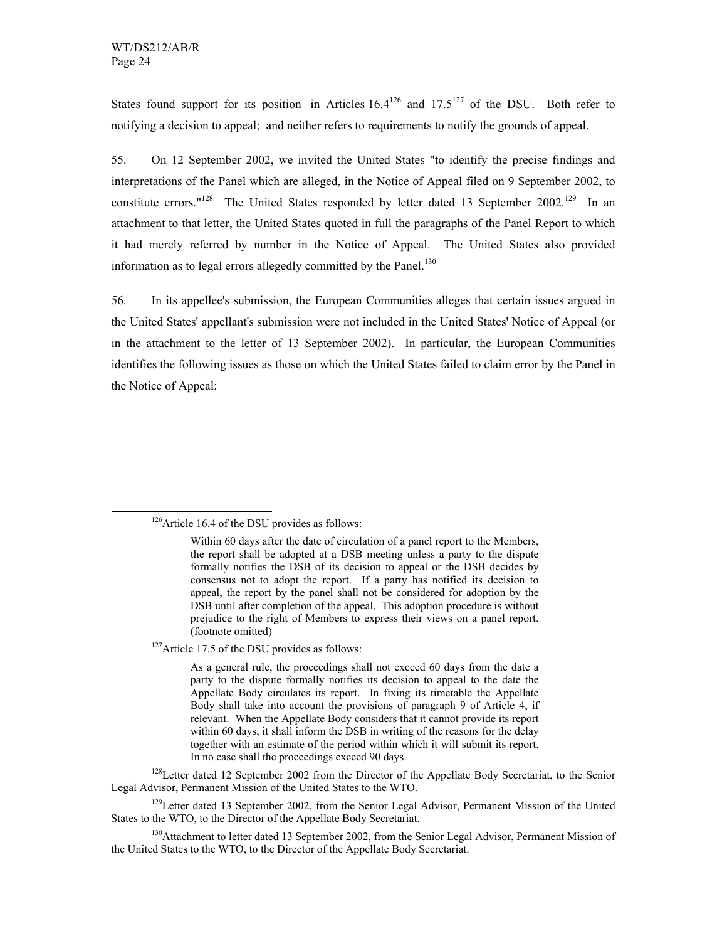States found support for its position in Articles  $16.4^{126}$  and  $17.5^{127}$  of the DSU. Both refer to notifying a decision to appeal; and neither refers to requirements to notify the grounds of appeal.

55. On 12 September 2002, we invited the United States "to identify the precise findings and interpretations of the Panel which are alleged, in the Notice of Appeal filed on 9 September 2002, to constitute errors."<sup>128</sup> The United States responded by letter dated 13 September 2002.<sup>129</sup> In an attachment to that letter, the United States quoted in full the paragraphs of the Panel Report to which it had merely referred by number in the Notice of Appeal. The United States also provided information as to legal errors allegedly committed by the Panel.<sup>130</sup>

56. In its appellee's submission, the European Communities alleges that certain issues argued in the United States' appellant's submission were not included in the United States' Notice of Appeal (or in the attachment to the letter of 13 September 2002). In particular, the European Communities identifies the following issues as those on which the United States failed to claim error by the Panel in the Notice of Appeal:

<sup>127</sup>Article 17.5 of the DSU provides as follows:

As a general rule, the proceedings shall not exceed 60 days from the date a party to the dispute formally notifies its decision to appeal to the date the Appellate Body circulates its report. In fixing its timetable the Appellate Body shall take into account the provisions of paragraph 9 of Article 4, if relevant. When the Appellate Body considers that it cannot provide its report within 60 days, it shall inform the DSB in writing of the reasons for the delay together with an estimate of the period within which it will submit its report. In no case shall the proceedings exceed 90 days.

<sup>128</sup>Letter dated 12 September 2002 from the Director of the Appellate Body Secretariat, to the Senior Legal Advisor, Permanent Mission of the United States to the WTO.

<sup>129</sup>Letter dated 13 September 2002, from the Senior Legal Advisor, Permanent Mission of the United States to the WTO, to the Director of the Appellate Body Secretariat.

<sup>130</sup>Attachment to letter dated 13 September 2002, from the Senior Legal Advisor, Permanent Mission of the United States to the WTO, to the Director of the Appellate Body Secretariat.

<sup>&</sup>lt;sup>126</sup> Article 16.4 of the DSU provides as follows:

Within 60 days after the date of circulation of a panel report to the Members, the report shall be adopted at a DSB meeting unless a party to the dispute formally notifies the DSB of its decision to appeal or the DSB decides by consensus not to adopt the report. If a party has notified its decision to appeal, the report by the panel shall not be considered for adoption by the DSB until after completion of the appeal. This adoption procedure is without prejudice to the right of Members to express their views on a panel report. (footnote omitted)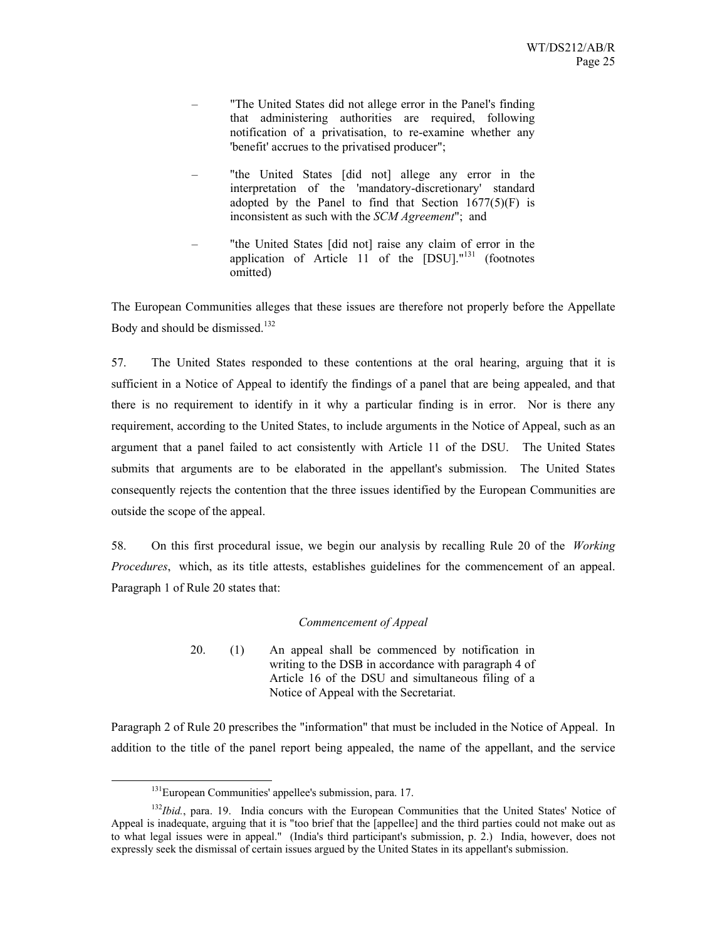- "The United States did not allege error in the Panel's finding that administering authorities are required, following notification of a privatisation, to re-examine whether any 'benefit' accrues to the privatised producer";
- "the United States [did not] allege any error in the interpretation of the 'mandatory-discretionary' standard adopted by the Panel to find that Section  $1677(5)(F)$  is inconsistent as such with the *SCM Agreement*"; and
- "the United States [did not] raise any claim of error in the application of Article  $11$  of the [DSU]." $131$  (footnotes omitted)

The European Communities alleges that these issues are therefore not properly before the Appellate Body and should be dismissed.<sup>132</sup>

57. The United States responded to these contentions at the oral hearing, arguing that it is sufficient in a Notice of Appeal to identify the findings of a panel that are being appealed, and that there is no requirement to identify in it why a particular finding is in error. Nor is there any requirement, according to the United States, to include arguments in the Notice of Appeal, such as an argument that a panel failed to act consistently with Article 11 of the DSU. The United States submits that arguments are to be elaborated in the appellant's submission. The United States consequently rejects the contention that the three issues identified by the European Communities are outside the scope of the appeal.

58. On this first procedural issue, we begin our analysis by recalling Rule 20 of the *Working Procedures*, which, as its title attests, establishes guidelines for the commencement of an appeal. Paragraph 1 of Rule 20 states that:

#### *Commencement of Appeal*

20. (1) An appeal shall be commenced by notification in writing to the DSB in accordance with paragraph 4 of Article 16 of the DSU and simultaneous filing of a Notice of Appeal with the Secretariat.

Paragraph 2 of Rule 20 prescribes the "information" that must be included in the Notice of Appeal. In addition to the title of the panel report being appealed, the name of the appellant, and the service

<sup>&</sup>lt;sup>131</sup>European Communities' appellee's submission, para. 17.

<sup>&</sup>lt;sup>132</sup>*Ibid.*, para. 19. India concurs with the European Communities that the United States' Notice of Appeal is inadequate, arguing that it is "too brief that the [appellee] and the third parties could not make out as to what legal issues were in appeal." (India's third participant's submission, p. 2.) India, however, does not expressly seek the dismissal of certain issues argued by the United States in its appellant's submission.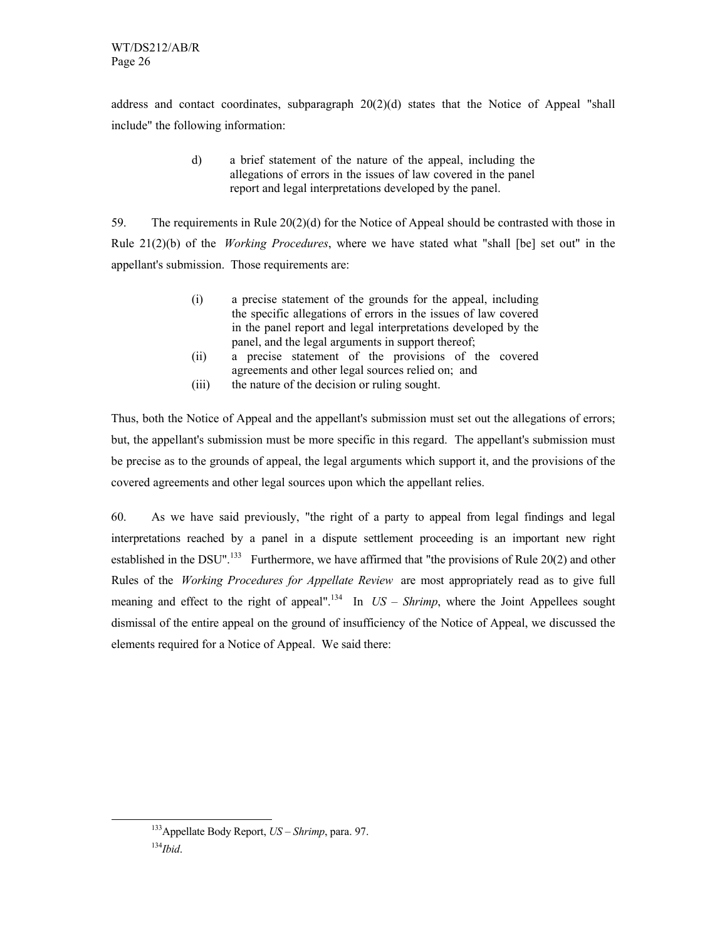address and contact coordinates, subparagraph 20(2)(d) states that the Notice of Appeal "shall include" the following information:

> d) a brief statement of the nature of the appeal, including the allegations of errors in the issues of law covered in the panel report and legal interpretations developed by the panel.

59. The requirements in Rule 20(2)(d) for the Notice of Appeal should be contrasted with those in Rule 21(2)(b) of the *Working Procedures*, where we have stated what "shall [be] set out" in the appellant's submission. Those requirements are:

- (i) a precise statement of the grounds for the appeal, including the specific allegations of errors in the issues of law covered in the panel report and legal interpretations developed by the panel, and the legal arguments in support thereof;
- (ii) a precise statement of the provisions of the covered agreements and other legal sources relied on; and
- (iii) the nature of the decision or ruling sought.

Thus, both the Notice of Appeal and the appellant's submission must set out the allegations of errors; but, the appellant's submission must be more specific in this regard. The appellant's submission must be precise as to the grounds of appeal, the legal arguments which support it, and the provisions of the covered agreements and other legal sources upon which the appellant relies.

60. As we have said previously, "the right of a party to appeal from legal findings and legal interpretations reached by a panel in a dispute settlement proceeding is an important new right established in the DSU".<sup>133</sup> Furthermore, we have affirmed that "the provisions of Rule 20(2) and other Rules of the *Working Procedures for Appellate Review* are most appropriately read as to give full meaning and effect to the right of appeal".<sup>134</sup> In  $US - Shrimp$ , where the Joint Appellees sought dismissal of the entire appeal on the ground of insufficiency of the Notice of Appeal, we discussed the elements required for a Notice of Appeal. We said there:

 <sup>133</sup>Appellate Body Report, *US – Shrimp*, para. 97. <sup>134</sup>*Ibid*.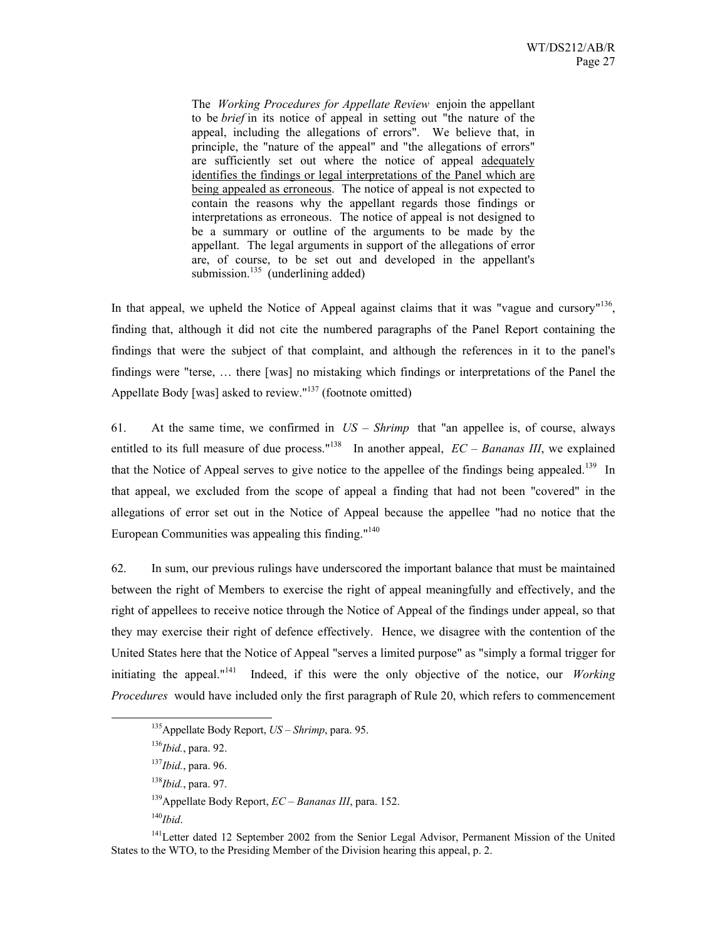The *Working Procedures for Appellate Review* enjoin the appellant to be *brief* in its notice of appeal in setting out "the nature of the appeal, including the allegations of errors". We believe that, in principle, the "nature of the appeal" and "the allegations of errors" are sufficiently set out where the notice of appeal adequately identifies the findings or legal interpretations of the Panel which are being appealed as erroneous. The notice of appeal is not expected to contain the reasons why the appellant regards those findings or interpretations as erroneous. The notice of appeal is not designed to be a summary or outline of the arguments to be made by the appellant. The legal arguments in support of the allegations of error are, of course, to be set out and developed in the appellant's submission. $^{135}$  (underlining added)

In that appeal, we upheld the Notice of Appeal against claims that it was "vague and cursory"<sup>136</sup>, finding that, although it did not cite the numbered paragraphs of the Panel Report containing the findings that were the subject of that complaint, and although the references in it to the panel's findings were "terse, … there [was] no mistaking which findings or interpretations of the Panel the Appellate Body [was] asked to review."<sup>137</sup> (footnote omitted)

61. At the same time, we confirmed in *US – Shrimp* that "an appellee is, of course, always entitled to its full measure of due process."<sup>138</sup> In another appeal,  $EC - Bananas III$ , we explained that the Notice of Appeal serves to give notice to the appellee of the findings being appealed.<sup>139</sup> In that appeal, we excluded from the scope of appeal a finding that had not been "covered" in the allegations of error set out in the Notice of Appeal because the appellee "had no notice that the European Communities was appealing this finding."140

62. In sum, our previous rulings have underscored the important balance that must be maintained between the right of Members to exercise the right of appeal meaningfully and effectively, and the right of appellees to receive notice through the Notice of Appeal of the findings under appeal, so that they may exercise their right of defence effectively. Hence, we disagree with the contention of the United States here that the Notice of Appeal "serves a limited purpose" as "simply a formal trigger for initiating the appeal."141 Indeed, if this were the only objective of the notice, our *Working Procedures* would have included only the first paragraph of Rule 20, which refers to commencement

 <sup>135</sup>Appellate Body Report, *US – Shrimp*, para. 95.

<sup>136</sup>*Ibid.*, para. 92.

<sup>137</sup>*Ibid.*, para. 96.

<sup>138</sup>*Ibid.*, para. 97.

<sup>139</sup>Appellate Body Report, *EC* – *Bananas III*, para. 152.

<sup>140</sup>*Ibid*.

<sup>&</sup>lt;sup>141</sup>Letter dated 12 September 2002 from the Senior Legal Advisor, Permanent Mission of the United States to the WTO, to the Presiding Member of the Division hearing this appeal, p. 2.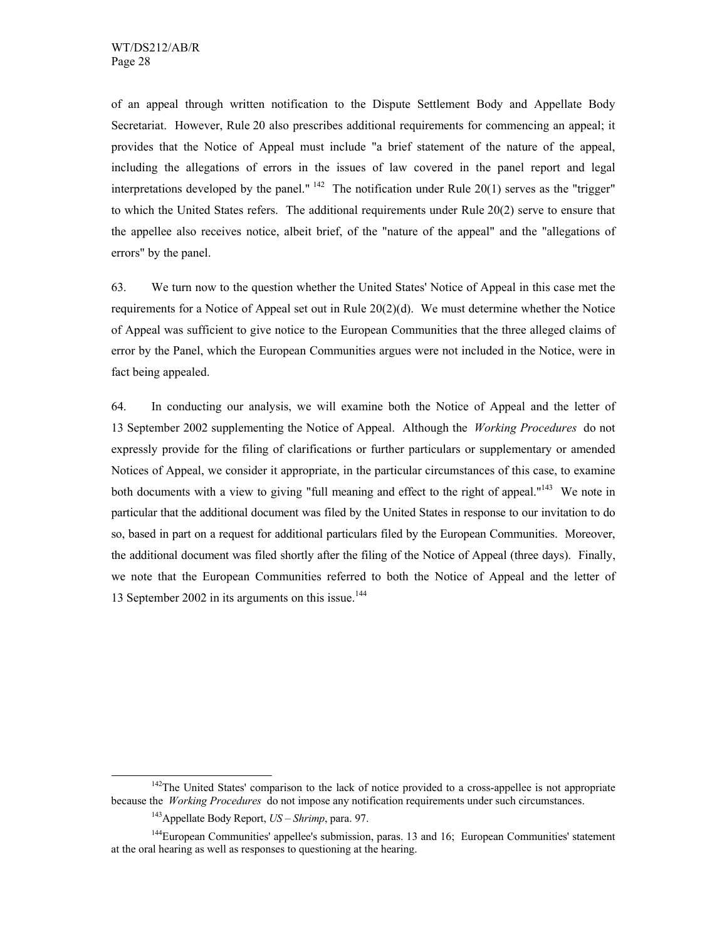of an appeal through written notification to the Dispute Settlement Body and Appellate Body Secretariat. However, Rule 20 also prescribes additional requirements for commencing an appeal; it provides that the Notice of Appeal must include "a brief statement of the nature of the appeal, including the allegations of errors in the issues of law covered in the panel report and legal interpretations developed by the panel."  $142$  The notification under Rule 20(1) serves as the "trigger" to which the United States refers. The additional requirements under Rule 20(2) serve to ensure that the appellee also receives notice, albeit brief, of the "nature of the appeal" and the "allegations of errors" by the panel.

63. We turn now to the question whether the United States' Notice of Appeal in this case met the requirements for a Notice of Appeal set out in Rule 20(2)(d). We must determine whether the Notice of Appeal was sufficient to give notice to the European Communities that the three alleged claims of error by the Panel, which the European Communities argues were not included in the Notice, were in fact being appealed.

64. In conducting our analysis, we will examine both the Notice of Appeal and the letter of 13 September 2002 supplementing the Notice of Appeal. Although the *Working Procedures* do not expressly provide for the filing of clarifications or further particulars or supplementary or amended Notices of Appeal, we consider it appropriate, in the particular circumstances of this case, to examine both documents with a view to giving "full meaning and effect to the right of appeal."<sup>143</sup> We note in particular that the additional document was filed by the United States in response to our invitation to do so, based in part on a request for additional particulars filed by the European Communities. Moreover, the additional document was filed shortly after the filing of the Notice of Appeal (three days). Finally, we note that the European Communities referred to both the Notice of Appeal and the letter of 13 September 2002 in its arguments on this issue.<sup>144</sup>

<sup>&</sup>lt;sup>142</sup>The United States' comparison to the lack of notice provided to a cross-appellee is not appropriate because the *Working Procedures* do not impose any notification requirements under such circumstances.

<sup>143</sup>Appellate Body Report, *US – Shrimp*, para. 97.

<sup>&</sup>lt;sup>144</sup>European Communities' appellee's submission, paras. 13 and 16; European Communities' statement at the oral hearing as well as responses to questioning at the hearing.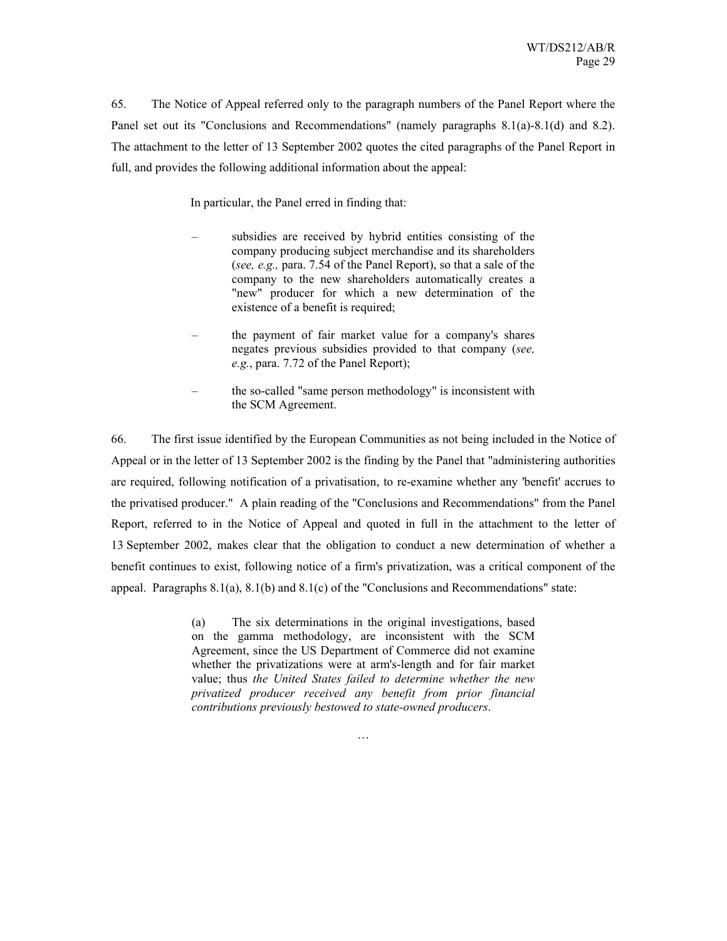65. The Notice of Appeal referred only to the paragraph numbers of the Panel Report where the Panel set out its "Conclusions and Recommendations" (namely paragraphs 8.1(a)-8.1(d) and 8.2). The attachment to the letter of 13 September 2002 quotes the cited paragraphs of the Panel Report in full, and provides the following additional information about the appeal:

In particular, the Panel erred in finding that:

- subsidies are received by hybrid entities consisting of the company producing subject merchandise and its shareholders (*see, e.g.,* para. 7.54 of the Panel Report), so that a sale of the company to the new shareholders automatically creates a "new" producer for which a new determination of the existence of a benefit is required;
- the payment of fair market value for a company's shares negates previous subsidies provided to that company (*see, e.g.*, para. 7.72 of the Panel Report);
- the so-called "same person methodology" is inconsistent with the SCM Agreement.

66. The first issue identified by the European Communities as not being included in the Notice of Appeal or in the letter of 13 September 2002 is the finding by the Panel that "administering authorities are required, following notification of a privatisation, to re-examine whether any 'benefit' accrues to the privatised producer." A plain reading of the "Conclusions and Recommendations" from the Panel Report, referred to in the Notice of Appeal and quoted in full in the attachment to the letter of 13 September 2002, makes clear that the obligation to conduct a new determination of whether a benefit continues to exist, following notice of a firm's privatization, was a critical component of the appeal. Paragraphs  $8.1(a)$ ,  $8.1(b)$  and  $8.1(c)$  of the "Conclusions and Recommendations" state:

> (a) The six determinations in the original investigations, based on the gamma methodology, are inconsistent with the SCM Agreement, since the US Department of Commerce did not examine whether the privatizations were at arm's-length and for fair market value; thus *the United States failed to determine whether the new privatized producer received any benefit from prior financial contributions previously bestowed to state-owned producers*.

> > …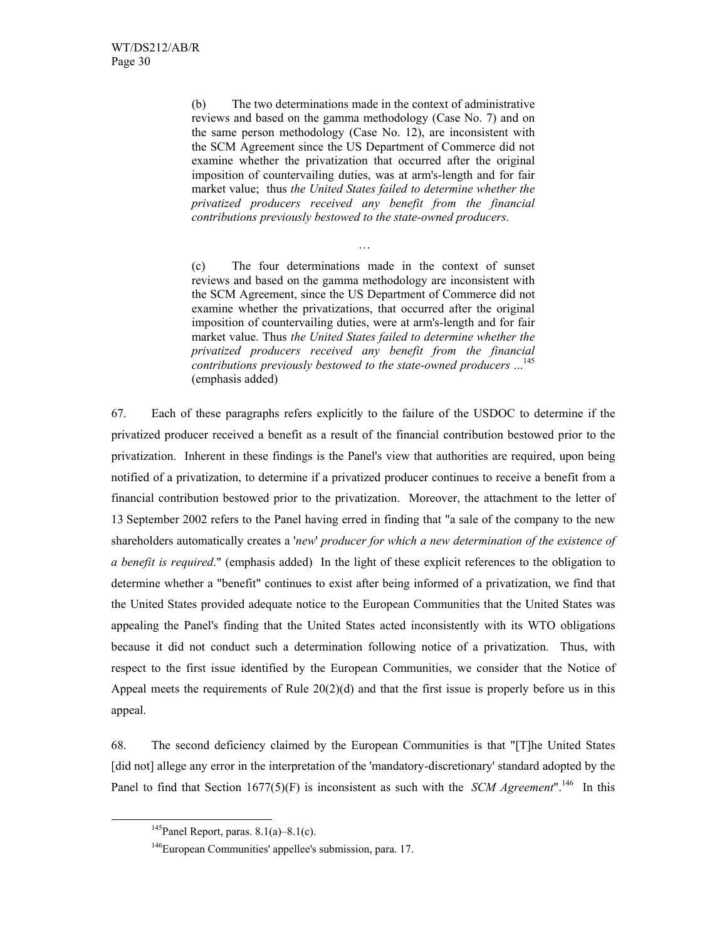(b) The two determinations made in the context of administrative reviews and based on the gamma methodology (Case No. 7) and on the same person methodology (Case No. 12), are inconsistent with the SCM Agreement since the US Department of Commerce did not examine whether the privatization that occurred after the original imposition of countervailing duties, was at arm's-length and for fair market value; thus *the United States failed to determine whether the privatized producers received any benefit from the financial contributions previously bestowed to the state-owned producers*.

(c) The four determinations made in the context of sunset reviews and based on the gamma methodology are inconsistent with the SCM Agreement, since the US Department of Commerce did not examine whether the privatizations, that occurred after the original imposition of countervailing duties, were at arm's-length and for fair market value. Thus *the United States failed to determine whether the privatized producers received any benefit from the financial contributions previously bestowed to the state-owned producers* ...<sup>145</sup> (emphasis added)

…

67. Each of these paragraphs refers explicitly to the failure of the USDOC to determine if the privatized producer received a benefit as a result of the financial contribution bestowed prior to the privatization. Inherent in these findings is the Panel's view that authorities are required, upon being notified of a privatization, to determine if a privatized producer continues to receive a benefit from a financial contribution bestowed prior to the privatization. Moreover, the attachment to the letter of 13 September 2002 refers to the Panel having erred in finding that "a sale of the company to the new shareholders automatically creates a '*new*' *producer for which a new determination of the existence of a benefit is required*." (emphasis added) In the light of these explicit references to the obligation to determine whether a "benefit" continues to exist after being informed of a privatization, we find that the United States provided adequate notice to the European Communities that the United States was appealing the Panel's finding that the United States acted inconsistently with its WTO obligations because it did not conduct such a determination following notice of a privatization. Thus, with respect to the first issue identified by the European Communities, we consider that the Notice of Appeal meets the requirements of Rule  $20(2)(d)$  and that the first issue is properly before us in this appeal.

68. The second deficiency claimed by the European Communities is that "[T]he United States [did not] allege any error in the interpretation of the 'mandatory-discretionary' standard adopted by the Panel to find that Section 1677(5)(F) is inconsistent as such with the *SCM Agreement*".<sup>146</sup> In this

 $145$ Panel Report, paras. 8.1(a)–8.1(c).

<sup>&</sup>lt;sup>146</sup>European Communities' appellee's submission, para. 17.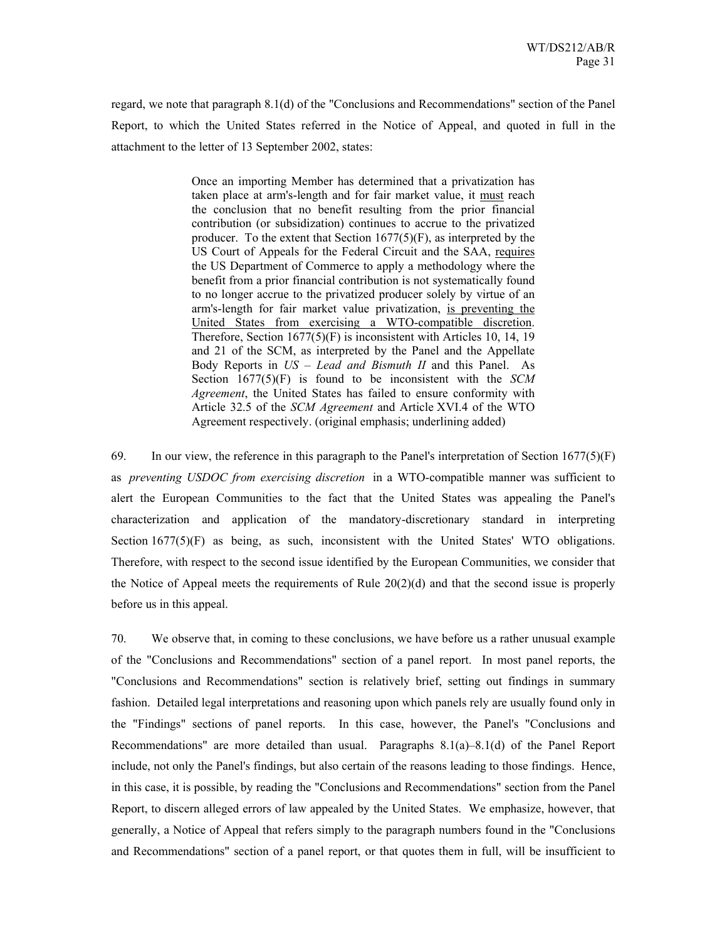regard, we note that paragraph 8.1(d) of the "Conclusions and Recommendations" section of the Panel Report, to which the United States referred in the Notice of Appeal, and quoted in full in the attachment to the letter of 13 September 2002, states:

> Once an importing Member has determined that a privatization has taken place at arm's-length and for fair market value, it must reach the conclusion that no benefit resulting from the prior financial contribution (or subsidization) continues to accrue to the privatized producer. To the extent that Section  $1677(5)(F)$ , as interpreted by the US Court of Appeals for the Federal Circuit and the SAA, requires the US Department of Commerce to apply a methodology where the benefit from a prior financial contribution is not systematically found to no longer accrue to the privatized producer solely by virtue of an arm's-length for fair market value privatization, is preventing the United States from exercising a WTO-compatible discretion. Therefore, Section 1677(5)(F) is inconsistent with Articles 10, 14, 19 and 21 of the SCM, as interpreted by the Panel and the Appellate Body Reports in *US – Lead and Bismuth II* and this Panel. As Section 1677(5)(F) is found to be inconsistent with the *SCM Agreement*, the United States has failed to ensure conformity with Article 32.5 of the *SCM Agreement* and Article XVI.4 of the WTO Agreement respectively. (original emphasis; underlining added)

69. In our view, the reference in this paragraph to the Panel's interpretation of Section  $1677(5)(F)$ as *preventing USDOC from exercising discretion* in a WTO-compatible manner was sufficient to alert the European Communities to the fact that the United States was appealing the Panel's characterization and application of the mandatory-discretionary standard in interpreting Section 1677(5)(F) as being, as such, inconsistent with the United States' WTO obligations. Therefore, with respect to the second issue identified by the European Communities, we consider that the Notice of Appeal meets the requirements of Rule  $20(2)(d)$  and that the second issue is properly before us in this appeal.

70. We observe that, in coming to these conclusions, we have before us a rather unusual example of the "Conclusions and Recommendations" section of a panel report. In most panel reports, the "Conclusions and Recommendations" section is relatively brief, setting out findings in summary fashion. Detailed legal interpretations and reasoning upon which panels rely are usually found only in the "Findings" sections of panel reports. In this case, however, the Panel's "Conclusions and Recommendations" are more detailed than usual. Paragraphs 8.1(a)–8.1(d) of the Panel Report include, not only the Panel's findings, but also certain of the reasons leading to those findings. Hence, in this case, it is possible, by reading the "Conclusions and Recommendations" section from the Panel Report, to discern alleged errors of law appealed by the United States. We emphasize, however, that generally, a Notice of Appeal that refers simply to the paragraph numbers found in the "Conclusions and Recommendations" section of a panel report, or that quotes them in full, will be insufficient to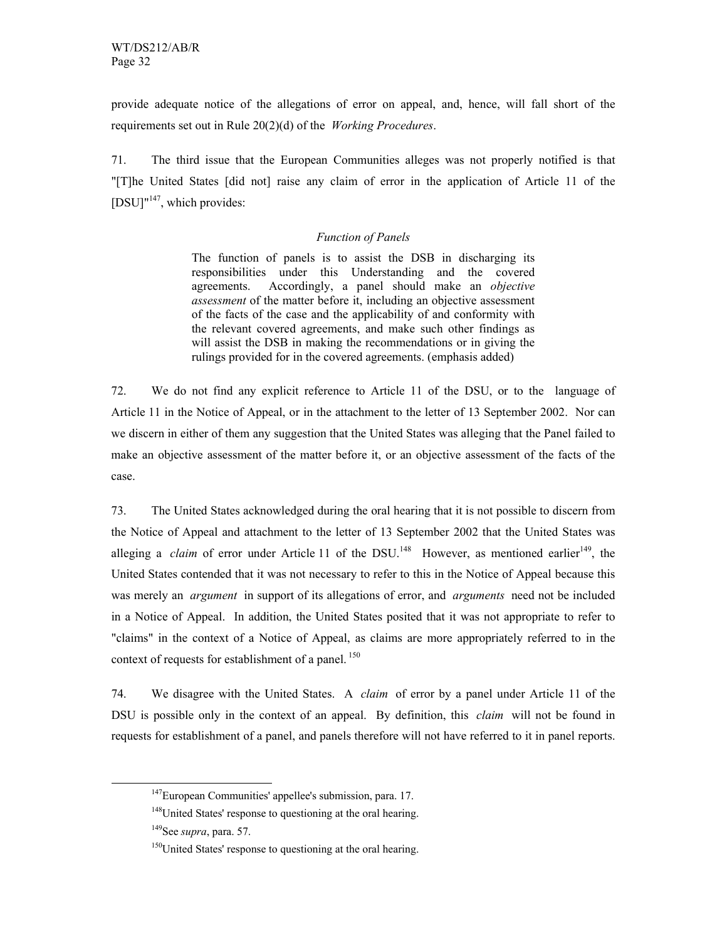provide adequate notice of the allegations of error on appeal, and, hence, will fall short of the requirements set out in Rule 20(2)(d) of the *Working Procedures*.

71. The third issue that the European Communities alleges was not properly notified is that "[T]he United States [did not] raise any claim of error in the application of Article 11 of the  $[DSU]^{447}$ , which provides:

## *Function of Panels*

The function of panels is to assist the DSB in discharging its responsibilities under this Understanding and the covered agreements. Accordingly, a panel should make an *objective assessment* of the matter before it, including an objective assessment of the facts of the case and the applicability of and conformity with the relevant covered agreements, and make such other findings as will assist the DSB in making the recommendations or in giving the rulings provided for in the covered agreements. (emphasis added)

72. We do not find any explicit reference to Article 11 of the DSU, or to the language of Article 11 in the Notice of Appeal, or in the attachment to the letter of 13 September 2002. Nor can we discern in either of them any suggestion that the United States was alleging that the Panel failed to make an objective assessment of the matter before it, or an objective assessment of the facts of the case.

73. The United States acknowledged during the oral hearing that it is not possible to discern from the Notice of Appeal and attachment to the letter of 13 September 2002 that the United States was alleging a *claim* of error under Article 11 of the DSU.<sup>148</sup> However, as mentioned earlier<sup>149</sup>, the United States contended that it was not necessary to refer to this in the Notice of Appeal because this was merely an *argument* in support of its allegations of error, and *arguments* need not be included in a Notice of Appeal. In addition, the United States posited that it was not appropriate to refer to "claims" in the context of a Notice of Appeal, as claims are more appropriately referred to in the context of requests for establishment of a panel.<sup>150</sup>

74. We disagree with the United States. A *claim* of error by a panel under Article 11 of the DSU is possible only in the context of an appeal. By definition, this *claim* will not be found in requests for establishment of a panel, and panels therefore will not have referred to it in panel reports.

<sup>&</sup>lt;sup>147</sup>European Communities' appellee's submission, para. 17.

 $148$ United States' response to questioning at the oral hearing.

<sup>149</sup>See *supra*, para. 57.

<sup>&</sup>lt;sup>150</sup>United States' response to questioning at the oral hearing.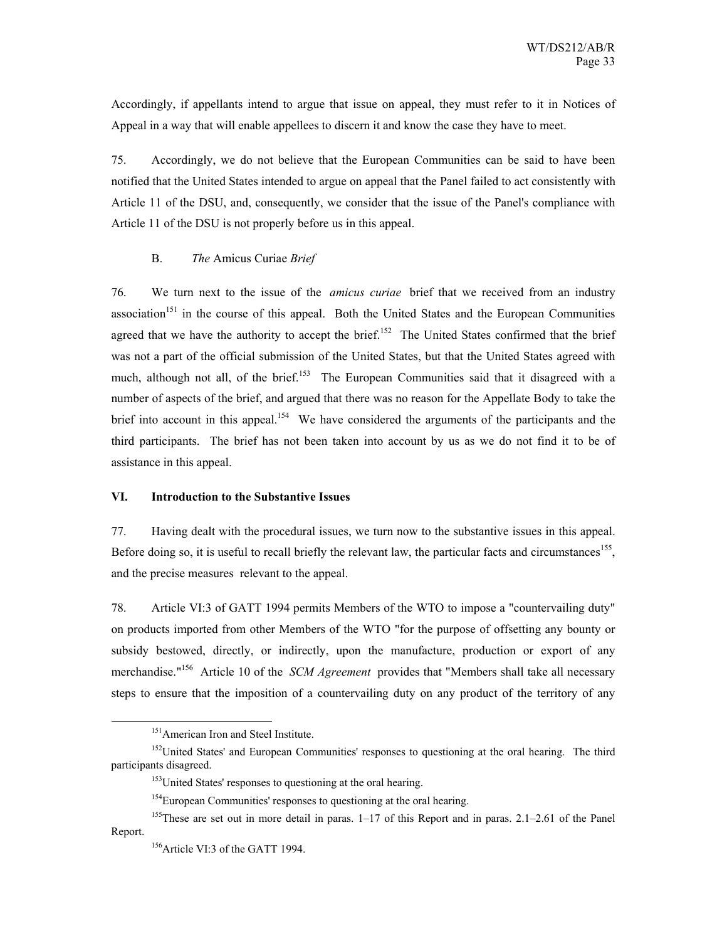Accordingly, if appellants intend to argue that issue on appeal, they must refer to it in Notices of Appeal in a way that will enable appellees to discern it and know the case they have to meet.

75. Accordingly, we do not believe that the European Communities can be said to have been notified that the United States intended to argue on appeal that the Panel failed to act consistently with Article 11 of the DSU, and, consequently, we consider that the issue of the Panel's compliance with Article 11 of the DSU is not properly before us in this appeal.

## B. *The* Amicus Curiae *Brief*

76. We turn next to the issue of the *amicus curiae* brief that we received from an industry association<sup>151</sup> in the course of this appeal. Both the United States and the European Communities agreed that we have the authority to accept the brief.<sup>152</sup> The United States confirmed that the brief was not a part of the official submission of the United States, but that the United States agreed with much, although not all, of the brief.<sup>153</sup> The European Communities said that it disagreed with a number of aspects of the brief, and argued that there was no reason for the Appellate Body to take the brief into account in this appeal.<sup>154</sup> We have considered the arguments of the participants and the third participants. The brief has not been taken into account by us as we do not find it to be of assistance in this appeal.

## **VI. Introduction to the Substantive Issues**

77. Having dealt with the procedural issues, we turn now to the substantive issues in this appeal. Before doing so, it is useful to recall briefly the relevant law, the particular facts and circumstances<sup>155</sup>. and the precise measures relevant to the appeal.

78. Article VI:3 of GATT 1994 permits Members of the WTO to impose a "countervailing duty" on products imported from other Members of the WTO "for the purpose of offsetting any bounty or subsidy bestowed, directly, or indirectly, upon the manufacture, production or export of any merchandise."156 Article 10 of the *SCM Agreement* provides that "Members shall take all necessary steps to ensure that the imposition of a countervailing duty on any product of the territory of any

<sup>&</sup>lt;sup>151</sup> American Iron and Steel Institute.

<sup>&</sup>lt;sup>152</sup>United States' and European Communities' responses to questioning at the oral hearing. The third participants disagreed.

<sup>&</sup>lt;sup>153</sup>United States' responses to questioning at the oral hearing.

<sup>&</sup>lt;sup>154</sup>European Communities' responses to questioning at the oral hearing.

<sup>&</sup>lt;sup>155</sup>These are set out in more detail in paras.  $1-17$  of this Report and in paras.  $2.1-2.61$  of the Panel Report.

<sup>&</sup>lt;sup>156</sup> Article VI:3 of the GATT 1994.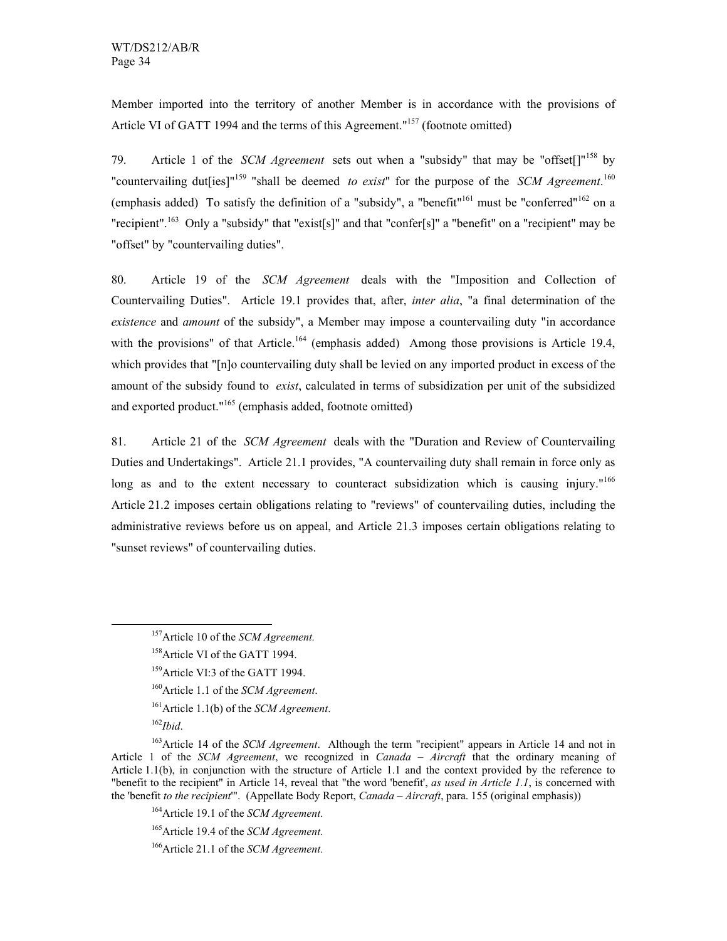Member imported into the territory of another Member is in accordance with the provisions of Article VI of GATT 1994 and the terms of this Agreement."<sup>157</sup> (footnote omitted)

79. Article 1 of the *SCM Agreement* sets out when a "subsidy" that may be "offset[]"158 by "countervailing dut[ies]"<sup>159</sup> "shall be deemed *to exist*" for the purpose of the *SCM Agreement*.<sup>160</sup> (emphasis added) To satisfy the definition of a "subsidy", a "benefit"<sup>161</sup> must be "conferred"<sup>162</sup> on a "recipient".<sup>163</sup> Only a "subsidy" that "exist[s]" and that "confer[s]" a "benefit" on a "recipient" may be "offset" by "countervailing duties".

80. Article 19 of the *SCM Agreement* deals with the "Imposition and Collection of Countervailing Duties". Article 19.1 provides that, after, *inter alia*, "a final determination of the *existence* and *amount* of the subsidy", a Member may impose a countervailing duty "in accordance with the provisions" of that Article.<sup>164</sup> (emphasis added) Among those provisions is Article 19.4, which provides that "[n]o countervailing duty shall be levied on any imported product in excess of the amount of the subsidy found to *exist*, calculated in terms of subsidization per unit of the subsidized and exported product."165 (emphasis added, footnote omitted)

81. Article 21 of the *SCM Agreement* deals with the "Duration and Review of Countervailing Duties and Undertakings". Article 21.1 provides, "A countervailing duty shall remain in force only as long as and to the extent necessary to counteract subsidization which is causing injury."<sup>166</sup> Article 21.2 imposes certain obligations relating to "reviews" of countervailing duties, including the administrative reviews before us on appeal, and Article 21.3 imposes certain obligations relating to "sunset reviews" of countervailing duties.

 <sup>157</sup>Article 10 of the *SCM Agreement.*

<sup>&</sup>lt;sup>158</sup>Article VI of the GATT 1994.

<sup>&</sup>lt;sup>159</sup>Article VI:3 of the GATT 1994.

<sup>160</sup>Article 1.1 of the *SCM Agreement*.

<sup>161</sup>Article 1.1(b) of the *SCM Agreement*.

<sup>162</sup>*Ibid*.

<sup>163</sup>Article 14 of the *SCM Agreement*. Although the term "recipient" appears in Article 14 and not in Article 1 of the *SCM Agreement*, we recognized in *Canada – Aircraft* that the ordinary meaning of Article 1.1(b), in conjunction with the structure of Article 1.1 and the context provided by the reference to "benefit to the recipient" in Article 14, reveal that "the word 'benefit', *as used in Article 1.1*, is concerned with the 'benefit *to the recipient*'". (Appellate Body Report, *Canada – Aircraft*, para. 155 (original emphasis))

<sup>164</sup>Article 19.1 of the *SCM Agreement.*

<sup>165</sup>Article 19.4 of the *SCM Agreement.*

<sup>166</sup>Article 21.1 of the *SCM Agreement.*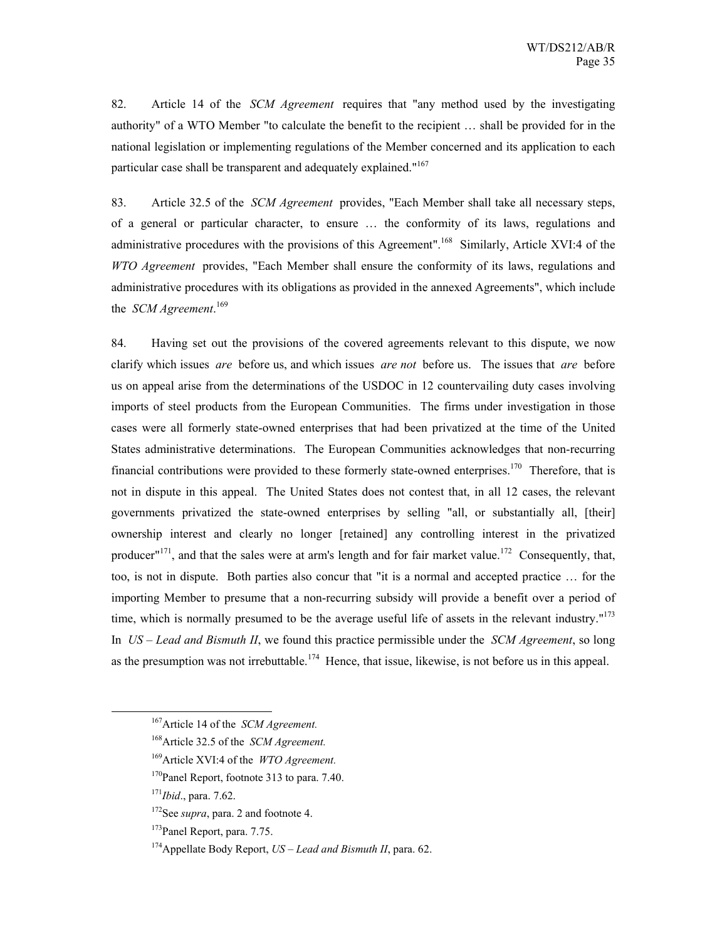82. Article 14 of the *SCM Agreement* requires that "any method used by the investigating authority" of a WTO Member "to calculate the benefit to the recipient … shall be provided for in the national legislation or implementing regulations of the Member concerned and its application to each particular case shall be transparent and adequately explained."<sup>167</sup>

83. Article 32.5 of the *SCM Agreement* provides, "Each Member shall take all necessary steps, of a general or particular character, to ensure … the conformity of its laws, regulations and administrative procedures with the provisions of this Agreement".<sup>168</sup> Similarly, Article XVI:4 of the *WTO Agreement* provides, "Each Member shall ensure the conformity of its laws, regulations and administrative procedures with its obligations as provided in the annexed Agreements", which include the *SCM Agreement*. 169

84. Having set out the provisions of the covered agreements relevant to this dispute, we now clarify which issues *are* before us, and which issues *are not* before us. The issues that *are* before us on appeal arise from the determinations of the USDOC in 12 countervailing duty cases involving imports of steel products from the European Communities. The firms under investigation in those cases were all formerly state-owned enterprises that had been privatized at the time of the United States administrative determinations. The European Communities acknowledges that non-recurring financial contributions were provided to these formerly state-owned enterprises.<sup>170</sup> Therefore, that is not in dispute in this appeal. The United States does not contest that, in all 12 cases, the relevant governments privatized the state-owned enterprises by selling "all, or substantially all, [their] ownership interest and clearly no longer [retained] any controlling interest in the privatized producer"<sup>171</sup>, and that the sales were at arm's length and for fair market value.<sup>172</sup> Consequently, that, too, is not in dispute. Both parties also concur that "it is a normal and accepted practice … for the importing Member to presume that a non-recurring subsidy will provide a benefit over a period of time, which is normally presumed to be the average useful life of assets in the relevant industry. $173$ In *US – Lead and Bismuth II*, we found this practice permissible under the *SCM Agreement*, so long as the presumption was not irrebuttable.<sup>174</sup> Hence, that issue, likewise, is not before us in this appeal.

 <sup>167</sup>Article 14 of the *SCM Agreement.*

<sup>168</sup>Article 32.5 of the *SCM Agreement.*

<sup>169</sup>Article XVI:4 of the *WTO Agreement.* 

<sup>&</sup>lt;sup>170</sup>Panel Report, footnote 313 to para. 7.40.

<sup>171</sup>*Ibid*., para. 7.62.

<sup>172</sup>See *supra*, para. 2 and footnote 4.

<sup>173</sup>Panel Report, para. 7.75.

<sup>174</sup>Appellate Body Report, *US – Lead and Bismuth II*, para. 62.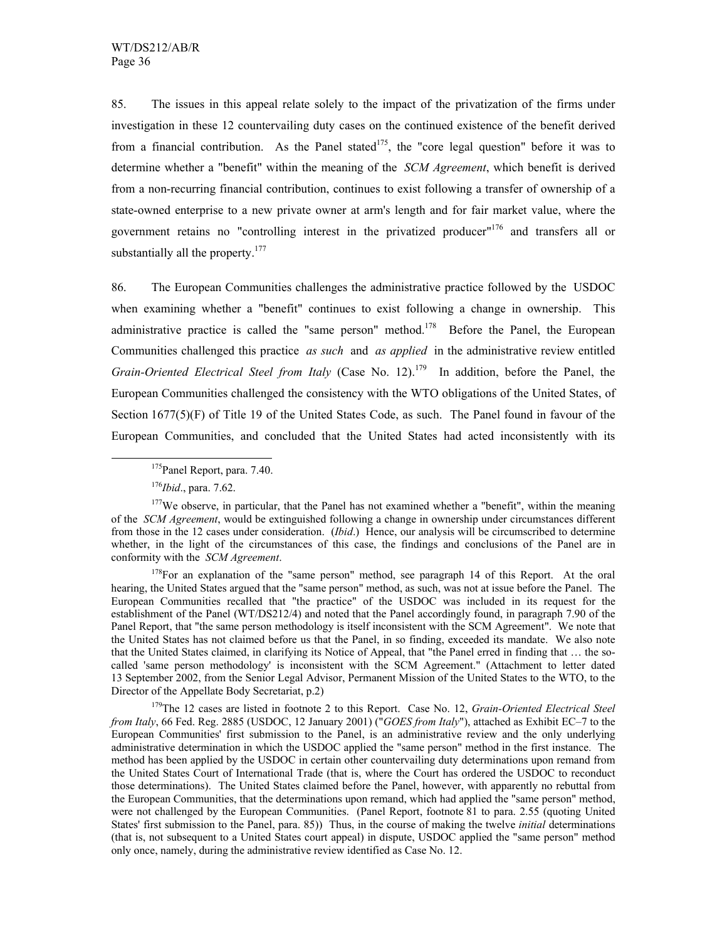85. The issues in this appeal relate solely to the impact of the privatization of the firms under investigation in these 12 countervailing duty cases on the continued existence of the benefit derived from a financial contribution. As the Panel stated<sup>175</sup>, the "core legal question" before it was to determine whether a "benefit" within the meaning of the *SCM Agreement*, which benefit is derived from a non-recurring financial contribution, continues to exist following a transfer of ownership of a state-owned enterprise to a new private owner at arm's length and for fair market value, where the government retains no "controlling interest in the privatized producer"<sup>176</sup> and transfers all or substantially all the property.<sup>177</sup>

86. The European Communities challenges the administrative practice followed by the USDOC when examining whether a "benefit" continues to exist following a change in ownership. This administrative practice is called the "same person" method.<sup>178</sup> Before the Panel, the European Communities challenged this practice *as such* and *as applied* in the administrative review entitled *Grain-Oriented Electrical Steel from Italy* (Case No. 12).179 In addition, before the Panel, the European Communities challenged the consistency with the WTO obligations of the United States, of Section 1677(5)(F) of Title 19 of the United States Code, as such. The Panel found in favour of the European Communities, and concluded that the United States had acted inconsistently with its

<sup>&</sup>lt;sup>175</sup>Panel Report, para. 7.40.

<sup>176</sup>*Ibid*., para. 7.62.

 $177$ We observe, in particular, that the Panel has not examined whether a "benefit", within the meaning of the *SCM Agreement*, would be extinguished following a change in ownership under circumstances different from those in the 12 cases under consideration. (*Ibid*.) Hence, our analysis will be circumscribed to determine whether, in the light of the circumstances of this case, the findings and conclusions of the Panel are in conformity with the *SCM Agreement*.

<sup>&</sup>lt;sup>178</sup>For an explanation of the "same person" method, see paragraph 14 of this Report. At the oral hearing, the United States argued that the "same person" method, as such, was not at issue before the Panel. The European Communities recalled that "the practice" of the USDOC was included in its request for the establishment of the Panel (WT/DS212/4) and noted that the Panel accordingly found, in paragraph 7.90 of the Panel Report, that "the same person methodology is itself inconsistent with the SCM Agreement". We note that the United States has not claimed before us that the Panel, in so finding, exceeded its mandate. We also note that the United States claimed, in clarifying its Notice of Appeal, that "the Panel erred in finding that … the socalled 'same person methodology' is inconsistent with the SCM Agreement." (Attachment to letter dated 13 September 2002, from the Senior Legal Advisor, Permanent Mission of the United States to the WTO, to the Director of the Appellate Body Secretariat, p.2)

<sup>179</sup>The 12 cases are listed in footnote 2 to this Report. Case No. 12, *Grain-Oriented Electrical Steel from Italy*, 66 Fed. Reg. 2885 (USDOC, 12 January 2001) ("*GOES from Italy*"), attached as Exhibit EC–7 to the European Communities' first submission to the Panel, is an administrative review and the only underlying administrative determination in which the USDOC applied the "same person" method in the first instance. The method has been applied by the USDOC in certain other countervailing duty determinations upon remand from the United States Court of International Trade (that is, where the Court has ordered the USDOC to reconduct those determinations). The United States claimed before the Panel, however, with apparently no rebuttal from the European Communities, that the determinations upon remand, which had applied the "same person" method, were not challenged by the European Communities. (Panel Report, footnote 81 to para. 2.55 (quoting United States' first submission to the Panel, para. 85)) Thus, in the course of making the twelve *initial* determinations (that is, not subsequent to a United States court appeal) in dispute, USDOC applied the "same person" method only once, namely, during the administrative review identified as Case No. 12.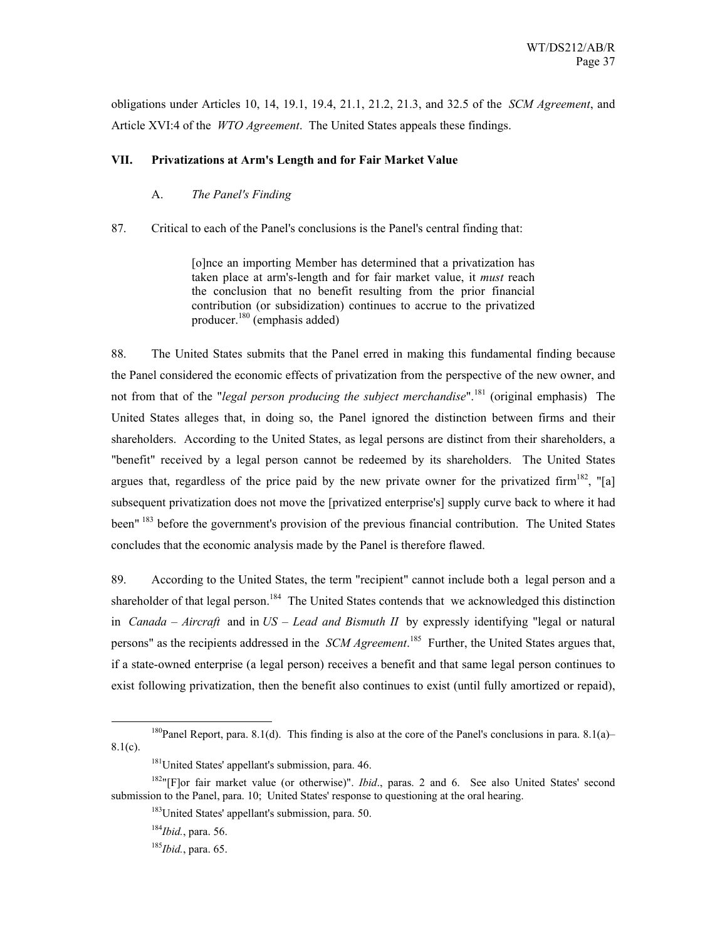obligations under Articles 10, 14, 19.1, 19.4, 21.1, 21.2, 21.3, and 32.5 of the *SCM Agreement*, and Article XVI:4 of the *WTO Agreement*. The United States appeals these findings.

## **VII. Privatizations at Arm's Length and for Fair Market Value**

# A. *The Panel's Finding*

87. Critical to each of the Panel's conclusions is the Panel's central finding that:

[o]nce an importing Member has determined that a privatization has taken place at arm's-length and for fair market value, it *must* reach the conclusion that no benefit resulting from the prior financial contribution (or subsidization) continues to accrue to the privatized producer.<sup>180</sup> (emphasis added)

88. The United States submits that the Panel erred in making this fundamental finding because the Panel considered the economic effects of privatization from the perspective of the new owner, and not from that of the "*legal person producing the subject merchandise*".181 (original emphasis) The United States alleges that, in doing so, the Panel ignored the distinction between firms and their shareholders. According to the United States, as legal persons are distinct from their shareholders, a "benefit" received by a legal person cannot be redeemed by its shareholders. The United States argues that, regardless of the price paid by the new private owner for the privatized firm<sup>182</sup>, "[a] subsequent privatization does not move the [privatized enterprise's] supply curve back to where it had been"<sup>183</sup> before the government's provision of the previous financial contribution. The United States concludes that the economic analysis made by the Panel is therefore flawed.

89. According to the United States, the term "recipient" cannot include both a legal person and a shareholder of that legal person.<sup>184</sup> The United States contends that we acknowledged this distinction in *Canada – Aircraft* and in *US – Lead and Bismuth II* by expressly identifying "legal or natural persons" as the recipients addressed in the *SCM Agreement*. 185 Further, the United States argues that, if a state-owned enterprise (a legal person) receives a benefit and that same legal person continues to exist following privatization, then the benefit also continues to exist (until fully amortized or repaid),

<sup>&</sup>lt;sup>180</sup>Panel Report, para. 8.1(d). This finding is also at the core of the Panel's conclusions in para. 8.1(a)–  $8.1(c)$ .

<sup>&</sup>lt;sup>181</sup>United States' appellant's submission, para. 46.

<sup>&</sup>lt;sup>182</sup>"[F]or fair market value (or otherwise)". *Ibid.*, paras. 2 and 6. See also United States' second submission to the Panel, para. 10; United States' response to questioning at the oral hearing.

<sup>&</sup>lt;sup>183</sup>United States' appellant's submission, para. 50.

<sup>184</sup>*Ibid.*, para. 56.

<sup>185</sup>*Ibid.*, para. 65.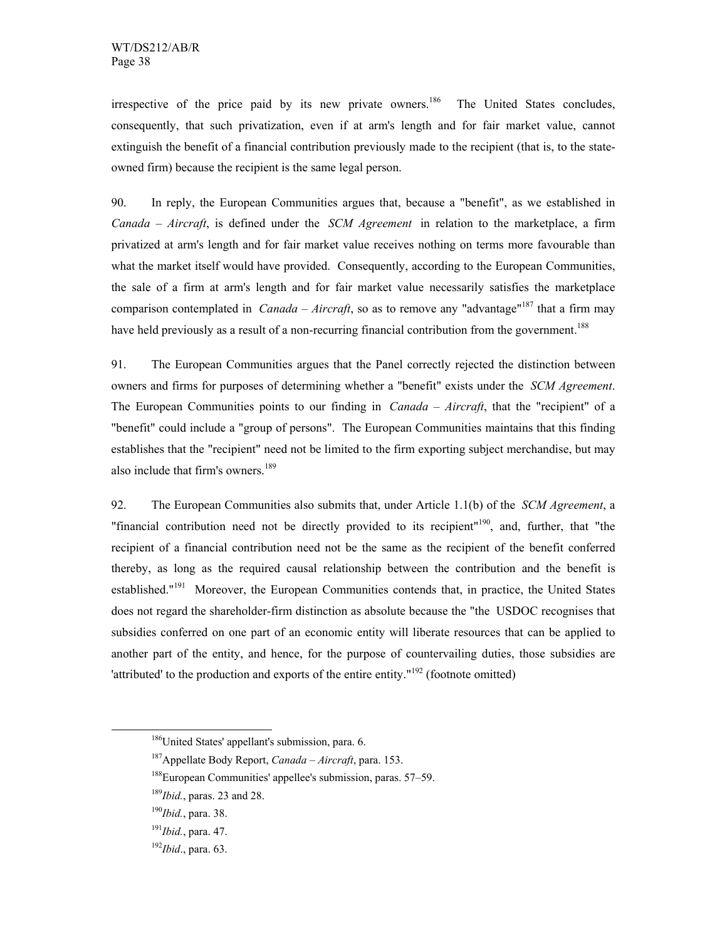irrespective of the price paid by its new private owners.<sup>186</sup> The United States concludes, consequently, that such privatization, even if at arm's length and for fair market value, cannot extinguish the benefit of a financial contribution previously made to the recipient (that is, to the stateowned firm) because the recipient is the same legal person.

90. In reply, the European Communities argues that, because a "benefit", as we established in *Canada – Aircraft*, is defined under the *SCM Agreement* in relation to the marketplace, a firm privatized at arm's length and for fair market value receives nothing on terms more favourable than what the market itself would have provided. Consequently, according to the European Communities, the sale of a firm at arm's length and for fair market value necessarily satisfies the marketplace comparison contemplated in *Canada – Aircraft*, so as to remove any "advantage"187 that a firm may have held previously as a result of a non-recurring financial contribution from the government.<sup>188</sup>

91. The European Communities argues that the Panel correctly rejected the distinction between owners and firms for purposes of determining whether a "benefit" exists under the *SCM Agreement*. The European Communities points to our finding in *Canada – Aircraft*, that the "recipient" of a "benefit" could include a "group of persons". The European Communities maintains that this finding establishes that the "recipient" need not be limited to the firm exporting subject merchandise, but may also include that firm's owners.<sup>189</sup>

92. The European Communities also submits that, under Article 1.1(b) of the *SCM Agreement*, a "financial contribution need not be directly provided to its recipient<sup>"190</sup>, and, further, that "the recipient of a financial contribution need not be the same as the recipient of the benefit conferred thereby, as long as the required causal relationship between the contribution and the benefit is established."<sup>191</sup> Moreover, the European Communities contends that, in practice, the United States does not regard the shareholder-firm distinction as absolute because the "the USDOC recognises that subsidies conferred on one part of an economic entity will liberate resources that can be applied to another part of the entity, and hence, for the purpose of countervailing duties, those subsidies are 'attributed' to the production and exports of the entire entity."<sup>192</sup> (footnote omitted)

<sup>&</sup>lt;sup>186</sup>United States' appellant's submission, para. 6.

<sup>187</sup>Appellate Body Report, *Canada – Aircraft*, para. 153.

<sup>188</sup>European Communities' appellee's submission, paras. 57–59.

<sup>189</sup>*Ibid.*, paras. 23 and 28.

<sup>190</sup>*Ibid.*, para. 38.

<sup>191</sup>*Ibid.*, para. 47.

<sup>192</sup>*Ibid*., para. 63.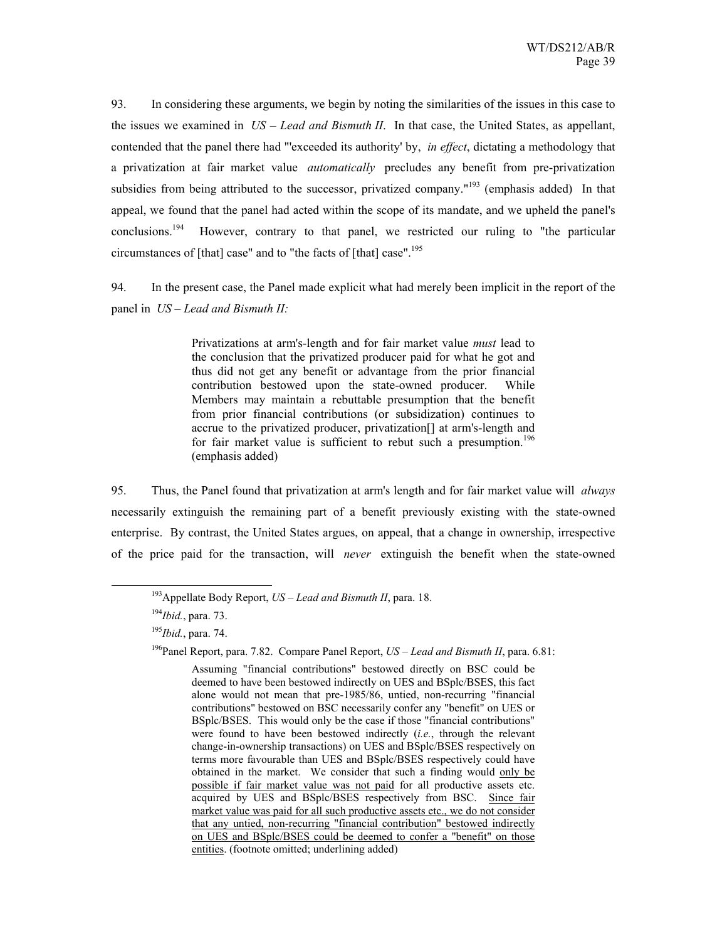93. In considering these arguments, we begin by noting the similarities of the issues in this case to the issues we examined in *US – Lead and Bismuth II*. In that case, the United States, as appellant, contended that the panel there had "'exceeded its authority' by, *in effect*, dictating a methodology that a privatization at fair market value *automatically* precludes any benefit from pre-privatization subsidies from being attributed to the successor, privatized company."<sup>193</sup> (emphasis added) In that appeal, we found that the panel had acted within the scope of its mandate, and we upheld the panel's conclusions.<sup>194</sup> However, contrary to that panel, we restricted our ruling to "the particular circumstances of [that] case" and to "the facts of [that] case".<sup>195</sup>

94. In the present case, the Panel made explicit what had merely been implicit in the report of the panel in *US – Lead and Bismuth II:* 

> Privatizations at arm's-length and for fair market value *must* lead to the conclusion that the privatized producer paid for what he got and thus did not get any benefit or advantage from the prior financial contribution bestowed upon the state-owned producer. While Members may maintain a rebuttable presumption that the benefit from prior financial contributions (or subsidization) continues to accrue to the privatized producer, privatization[] at arm's-length and for fair market value is sufficient to rebut such a presumption.<sup>196</sup> (emphasis added)

95. Thus, the Panel found that privatization at arm's length and for fair market value will *always* necessarily extinguish the remaining part of a benefit previously existing with the state-owned enterprise. By contrast, the United States argues, on appeal, that a change in ownership, irrespective of the price paid for the transaction, will *never* extinguish the benefit when the state-owned

196Panel Report, para. 7.82. Compare Panel Report, *US – Lead and Bismuth II*, para. 6.81:

 <sup>193</sup>Appellate Body Report, *US – Lead and Bismuth II*, para. 18.

<sup>194</sup>*Ibid.*, para. 73.

<sup>195</sup>*Ibid.*, para. 74.

Assuming "financial contributions" bestowed directly on BSC could be deemed to have been bestowed indirectly on UES and BSplc/BSES, this fact alone would not mean that pre-1985/86, untied, non-recurring "financial contributions" bestowed on BSC necessarily confer any "benefit" on UES or BSplc/BSES. This would only be the case if those "financial contributions" were found to have been bestowed indirectly (*i.e.*, through the relevant change-in-ownership transactions) on UES and BSplc/BSES respectively on terms more favourable than UES and BSplc/BSES respectively could have obtained in the market. We consider that such a finding would only be possible if fair market value was not paid for all productive assets etc. acquired by UES and BSplc/BSES respectively from BSC. Since fair market value was paid for all such productive assets etc., we do not consider that any untied, non-recurring "financial contribution" bestowed indirectly on UES and BSplc/BSES could be deemed to confer a "benefit" on those entities. (footnote omitted; underlining added)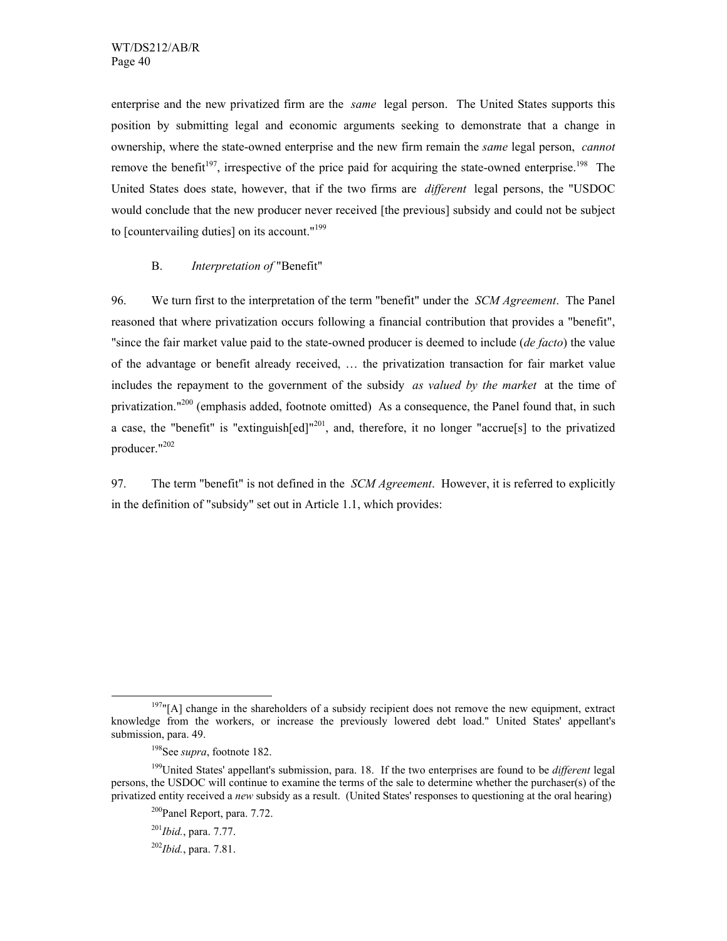enterprise and the new privatized firm are the *same* legal person. The United States supports this position by submitting legal and economic arguments seeking to demonstrate that a change in ownership, where the state-owned enterprise and the new firm remain the *same* legal person, *cannot* remove the benefit<sup>197</sup>, irrespective of the price paid for acquiring the state-owned enterprise.<sup>198</sup> The United States does state, however, that if the two firms are *different* legal persons, the "USDOC would conclude that the new producer never received [the previous] subsidy and could not be subject to [countervailing duties] on its account."<sup>199</sup>

## B. *Interpretation of* "Benefit"

96. We turn first to the interpretation of the term "benefit" under the *SCM Agreement*. The Panel reasoned that where privatization occurs following a financial contribution that provides a "benefit", "since the fair market value paid to the state-owned producer is deemed to include (*de facto*) the value of the advantage or benefit already received, … the privatization transaction for fair market value includes the repayment to the government of the subsidy *as valued by the market* at the time of privatization."<sup>200</sup> (emphasis added, footnote omitted) As a consequence, the Panel found that, in such a case, the "benefit" is "extinguish[ed]"<sup>201</sup>, and, therefore, it no longer "accrue<sup>[5]</sup> to the privatized producer."202

97. The term "benefit" is not defined in the *SCM Agreement*. However, it is referred to explicitly in the definition of "subsidy" set out in Article 1.1, which provides:

 $197$ "[A] change in the shareholders of a subsidy recipient does not remove the new equipment, extract knowledge from the workers, or increase the previously lowered debt load." United States' appellant's submission, para. 49.

<sup>198</sup>See *supra*, footnote 182.

<sup>199</sup>United States' appellant's submission, para. 18. If the two enterprises are found to be *different* legal persons, the USDOC will continue to examine the terms of the sale to determine whether the purchaser(s) of the privatized entity received a *new* subsidy as a result. (United States' responses to questioning at the oral hearing)

<sup>200</sup>Panel Report, para. 7.72.

<sup>201</sup>*Ibid.*, para. 7.77. <sup>202</sup>*Ibid.*, para. 7.81.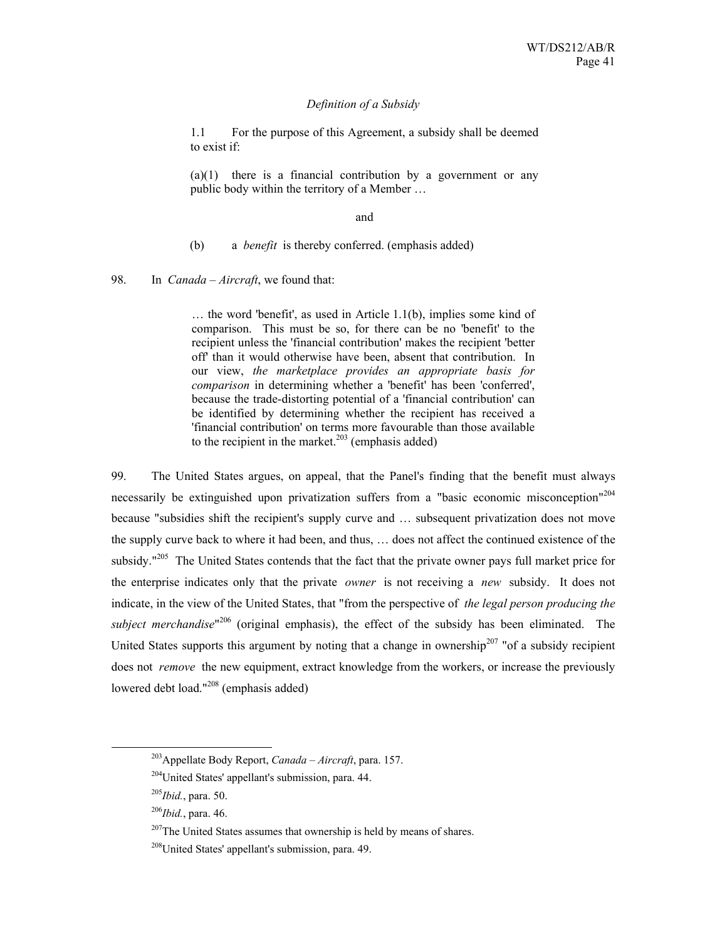#### *Definition of a Subsidy*

1.1 For the purpose of this Agreement, a subsidy shall be deemed to exist if:

 $(a)(1)$  there is a financial contribution by a government or any public body within the territory of a Member …

and

(b) a *benefit* is thereby conferred. (emphasis added)

98. In *Canada – Aircraft*, we found that:

… the word 'benefit', as used in Article 1.1(b), implies some kind of comparison. This must be so, for there can be no 'benefit' to the recipient unless the 'financial contribution' makes the recipient 'better off' than it would otherwise have been, absent that contribution. In our view, *the marketplace provides an appropriate basis for comparison* in determining whether a 'benefit' has been 'conferred', because the trade-distorting potential of a 'financial contribution' can be identified by determining whether the recipient has received a 'financial contribution' on terms more favourable than those available to the recipient in the market. $203$  (emphasis added)

99. The United States argues, on appeal, that the Panel's finding that the benefit must always necessarily be extinguished upon privatization suffers from a "basic economic misconception"<sup>204</sup> because "subsidies shift the recipient's supply curve and … subsequent privatization does not move the supply curve back to where it had been, and thus, … does not affect the continued existence of the subsidy."<sup>205</sup> The United States contends that the fact that the private owner pays full market price for the enterprise indicates only that the private *owner* is not receiving a *new* subsidy. It does not indicate, in the view of the United States, that "from the perspective of *the legal person producing the*  subject merchandise<sup>"206</sup> (original emphasis), the effect of the subsidy has been eliminated. The United States supports this argument by noting that a change in ownership<sup>207</sup> "of a subsidy recipient does not *remove* the new equipment, extract knowledge from the workers, or increase the previously lowered debt load."<sup>208</sup> (emphasis added)

 <sup>203</sup>Appellate Body Report, *Canada – Aircraft*, para. 157.

<sup>&</sup>lt;sup>204</sup>United States' appellant's submission, para. 44.

<sup>205</sup>*Ibid.*, para. 50.

<sup>206</sup>*Ibid.*, para. 46.

<sup>&</sup>lt;sup>207</sup>The United States assumes that ownership is held by means of shares.

<sup>208</sup>United States' appellant's submission, para. 49.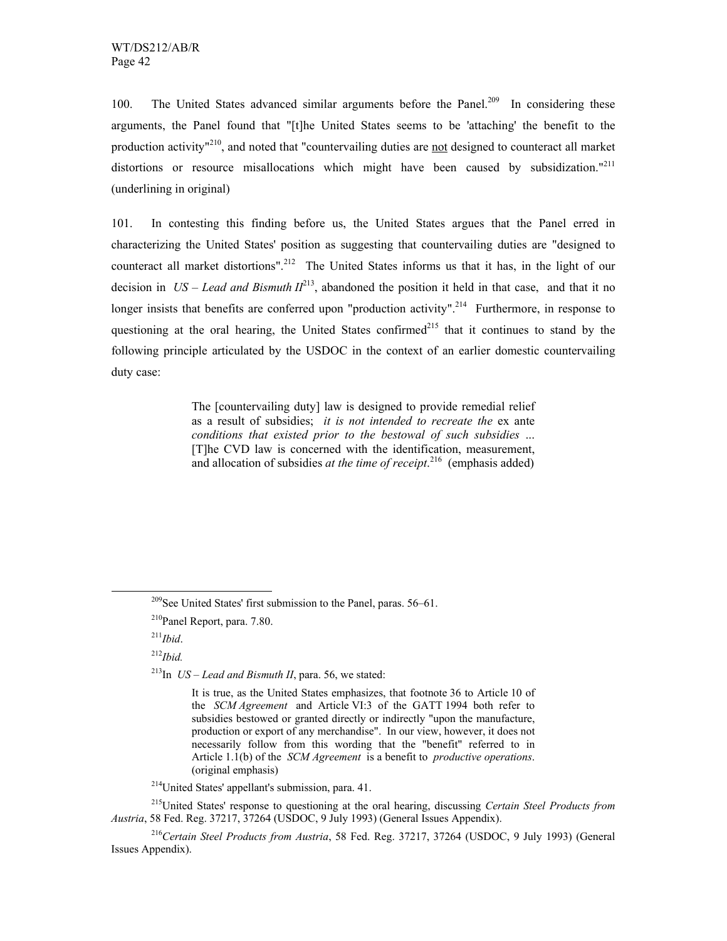100. The United States advanced similar arguments before the Panel.<sup>209</sup> In considering these arguments, the Panel found that "[t]he United States seems to be 'attaching' the benefit to the production activity<sup>"210</sup>, and noted that "countervailing duties are not designed to counteract all market distortions or resource misallocations which might have been caused by subsidization."<sup>211</sup> (underlining in original)

101. In contesting this finding before us, the United States argues that the Panel erred in characterizing the United States' position as suggesting that countervailing duties are "designed to counteract all market distortions".<sup>212</sup> The United States informs us that it has, in the light of our decision in  $US - Lead$  and Bismuth  $II^{213}$ , abandoned the position it held in that case, and that it no longer insists that benefits are conferred upon "production activity".<sup>214</sup> Furthermore, in response to questioning at the oral hearing, the United States confirmed<sup>215</sup> that it continues to stand by the following principle articulated by the USDOC in the context of an earlier domestic countervailing duty case:

> The [countervailing duty] law is designed to provide remedial relief as a result of subsidies; *it is not intended to recreate the* ex ante *conditions that existed prior to the bestowal of such subsidies* ... [T]he CVD law is concerned with the identification, measurement, and allocation of subsidies *at the time of receipt*.<sup>216</sup> (emphasis added)

 $209$ See United States' first submission to the Panel, paras. 56–61.

<sup>210</sup>Panel Report, para. 7.80.

<sup>211</sup>*Ibid*.

<sup>212</sup>*Ibid.*

<sup>213</sup>In *US – Lead and Bismuth II*, para. 56, we stated:

It is true, as the United States emphasizes, that footnote 36 to Article 10 of the *SCM Agreement* and Article VI:3 of the GATT 1994 both refer to subsidies bestowed or granted directly or indirectly "upon the manufacture, production or export of any merchandise". In our view, however, it does not necessarily follow from this wording that the "benefit" referred to in Article 1.1(b) of the *SCM Agreement* is a benefit to *productive operations*. (original emphasis)

<sup>214</sup>United States' appellant's submission, para. 41.

<sup>215</sup>United States' response to questioning at the oral hearing, discussing *Certain Steel Products from Austria*, 58 Fed. Reg. 37217, 37264 (USDOC, 9 July 1993) (General Issues Appendix).

<sup>216</sup>*Certain Steel Products from Austria*, 58 Fed. Reg. 37217, 37264 (USDOC, 9 July 1993) (General Issues Appendix).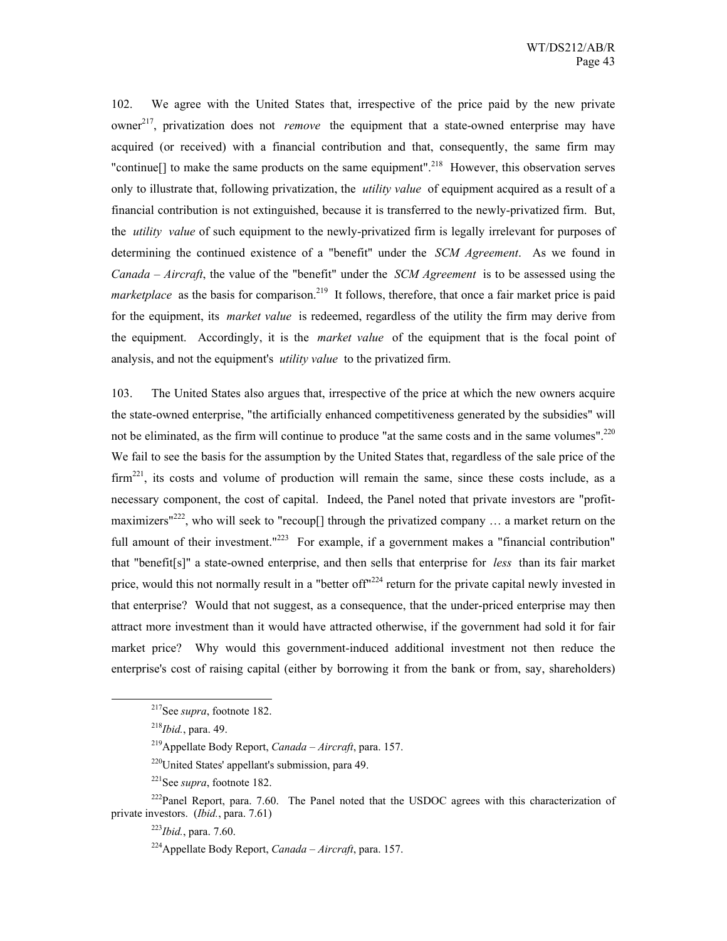102. We agree with the United States that, irrespective of the price paid by the new private owner<sup>217</sup>, privatization does not *remove* the equipment that a state-owned enterprise may have acquired (or received) with a financial contribution and that, consequently, the same firm may "continue<sup>[]</sup> to make the same products on the same equipment".<sup>218</sup> However, this observation serves only to illustrate that, following privatization, the *utility value* of equipment acquired as a result of a financial contribution is not extinguished, because it is transferred to the newly-privatized firm. But, the *utility value* of such equipment to the newly-privatized firm is legally irrelevant for purposes of determining the continued existence of a "benefit" under the *SCM Agreement*. As we found in *Canada – Aircraft*, the value of the "benefit" under the *SCM Agreement* is to be assessed using the *marketplace* as the basis for comparison.<sup>219</sup> It follows, therefore, that once a fair market price is paid for the equipment, its *market value* is redeemed, regardless of the utility the firm may derive from the equipment. Accordingly, it is the *market value* of the equipment that is the focal point of analysis, and not the equipment's *utility value* to the privatized firm.

103. The United States also argues that, irrespective of the price at which the new owners acquire the state-owned enterprise, "the artificially enhanced competitiveness generated by the subsidies" will not be eliminated, as the firm will continue to produce "at the same costs and in the same volumes".<sup>220</sup> We fail to see the basis for the assumption by the United States that, regardless of the sale price of the  $firm<sup>221</sup>$ , its costs and volume of production will remain the same, since these costs include, as a necessary component, the cost of capital. Indeed, the Panel noted that private investors are "profitmaximizers<sup>"222</sup>, who will seek to "recoup[] through the privatized company ... a market return on the full amount of their investment."<sup>223</sup> For example, if a government makes a "financial contribution" that "benefit[s]" a state-owned enterprise, and then sells that enterprise for *less* than its fair market price, would this not normally result in a "better of r<sup>1224</sup> return for the private capital newly invested in that enterprise? Would that not suggest, as a consequence, that the under-priced enterprise may then attract more investment than it would have attracted otherwise, if the government had sold it for fair market price? Why would this government-induced additional investment not then reduce the enterprise's cost of raising capital (either by borrowing it from the bank or from, say, shareholders)

 <sup>217</sup>See *supra*, footnote 182.

<sup>218</sup>*Ibid.*, para. 49.

<sup>219</sup>Appellate Body Report, *Canada – Aircraft*, para. 157.

<sup>220</sup>United States' appellant's submission, para 49.

<sup>221</sup>See *supra*, footnote 182.

<sup>&</sup>lt;sup>222</sup>Panel Report, para. 7.60. The Panel noted that the USDOC agrees with this characterization of private investors. (*Ibid.*, para. 7.61)

<sup>223</sup>*Ibid.*, para. 7.60.

<sup>224</sup>Appellate Body Report, *Canada – Aircraft*, para. 157.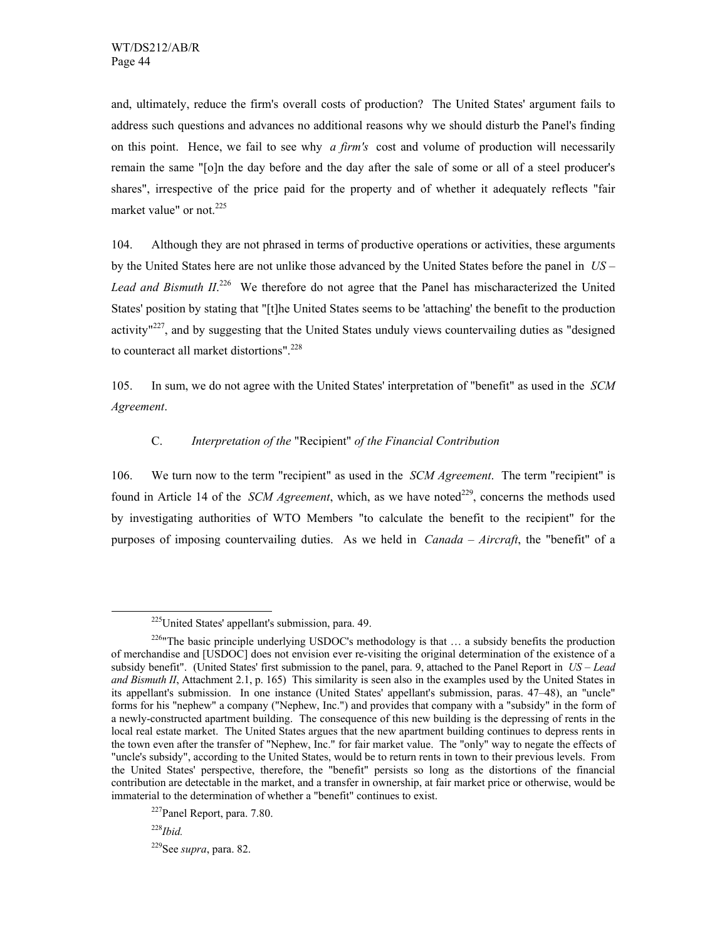and, ultimately, reduce the firm's overall costs of production? The United States' argument fails to address such questions and advances no additional reasons why we should disturb the Panel's finding on this point. Hence, we fail to see why *a firm's* cost and volume of production will necessarily remain the same "[o]n the day before and the day after the sale of some or all of a steel producer's shares", irrespective of the price paid for the property and of whether it adequately reflects "fair market value" or not.<sup>225</sup>

104. Although they are not phrased in terms of productive operations or activities, these arguments by the United States here are not unlike those advanced by the United States before the panel in *US –*  Lead and Bismuth  $II^{226}$  We therefore do not agree that the Panel has mischaracterized the United States' position by stating that "[t]he United States seems to be 'attaching' the benefit to the production activity"<sup>227</sup>, and by suggesting that the United States unduly views countervailing duties as "designed to counteract all market distortions".<sup>228</sup>

105. In sum, we do not agree with the United States' interpretation of "benefit" as used in the *SCM Agreement*.

## C. *Interpretation of the* "Recipient" *of the Financial Contribution*

106. We turn now to the term "recipient" as used in the *SCM Agreement*. The term "recipient" is found in Article 14 of the *SCM Agreement*, which, as we have noted<sup>229</sup>, concerns the methods used by investigating authorities of WTO Members "to calculate the benefit to the recipient" for the purposes of imposing countervailing duties. As we held in *Canada – Aircraft*, the "benefit" of a

<sup>228</sup>*Ibid.*

229See *supra*, para. 82.

 <sup>225</sup>United States' appellant's submission, para. 49.

 $226$ <sup>m</sup>The basic principle underlying USDOC's methodology is that ... a subsidy benefits the production of merchandise and [USDOC] does not envision ever re-visiting the original determination of the existence of a subsidy benefit". (United States' first submission to the panel, para. 9, attached to the Panel Report in *US – Lead and Bismuth II*, Attachment 2.1, p. 165) This similarity is seen also in the examples used by the United States in its appellant's submission. In one instance (United States' appellant's submission, paras. 47–48), an "uncle" forms for his "nephew" a company ("Nephew, Inc.") and provides that company with a "subsidy" in the form of a newly-constructed apartment building. The consequence of this new building is the depressing of rents in the local real estate market. The United States argues that the new apartment building continues to depress rents in the town even after the transfer of "Nephew, Inc." for fair market value. The "only" way to negate the effects of "uncle's subsidy", according to the United States, would be to return rents in town to their previous levels. From the United States' perspective, therefore, the "benefit" persists so long as the distortions of the financial contribution are detectable in the market, and a transfer in ownership, at fair market price or otherwise, would be immaterial to the determination of whether a "benefit" continues to exist.

<sup>227</sup>Panel Report, para. 7.80.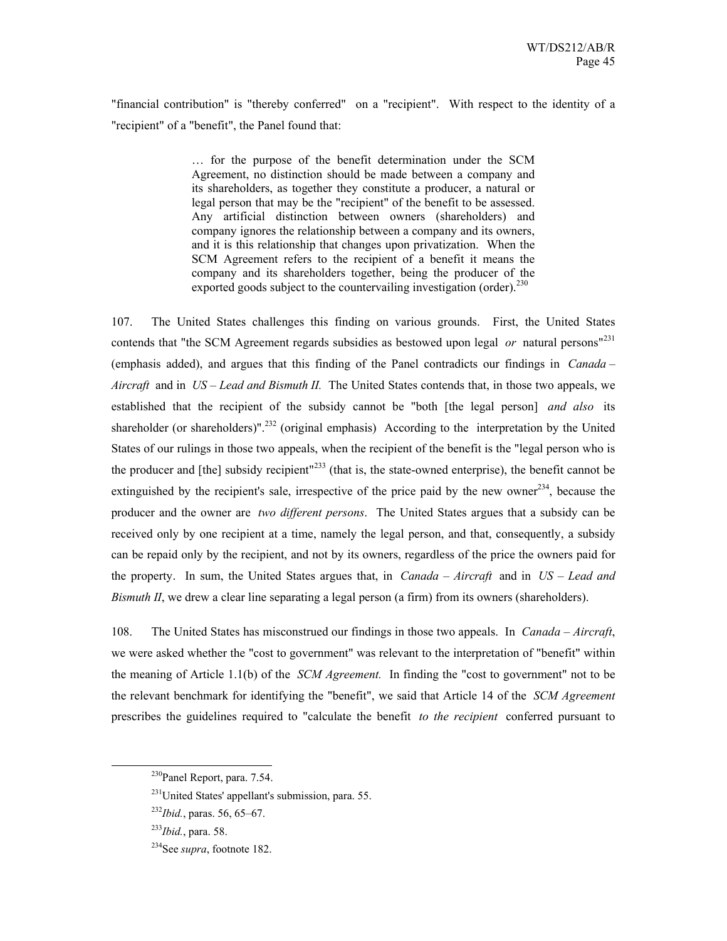"financial contribution" is "thereby conferred" on a "recipient". With respect to the identity of a "recipient" of a "benefit", the Panel found that:

> … for the purpose of the benefit determination under the SCM Agreement, no distinction should be made between a company and its shareholders, as together they constitute a producer, a natural or legal person that may be the "recipient" of the benefit to be assessed. Any artificial distinction between owners (shareholders) and company ignores the relationship between a company and its owners, and it is this relationship that changes upon privatization. When the SCM Agreement refers to the recipient of a benefit it means the company and its shareholders together, being the producer of the exported goods subject to the countervailing investigation (order). $^{230}$

107. The United States challenges this finding on various grounds. First, the United States contends that "the SCM Agreement regards subsidies as bestowed upon legal *or* natural persons"<sup>231</sup> (emphasis added), and argues that this finding of the Panel contradicts our findings in *Canada – Aircraft* and in *US – Lead and Bismuth II.* The United States contends that, in those two appeals, we established that the recipient of the subsidy cannot be "both [the legal person] *and also* its shareholder (or shareholders)"<sup>232</sup> (original emphasis) According to the interpretation by the United States of our rulings in those two appeals, when the recipient of the benefit is the "legal person who is the producer and  $[the]$  subsidy recipient<sup> $n^{23}$ </sup> (that is, the state-owned enterprise), the benefit cannot be extinguished by the recipient's sale, irrespective of the price paid by the new owner<sup>234</sup>, because the producer and the owner are *two different persons*. The United States argues that a subsidy can be received only by one recipient at a time, namely the legal person, and that, consequently, a subsidy can be repaid only by the recipient, and not by its owners, regardless of the price the owners paid for the property. In sum, the United States argues that, in *Canada – Aircraft* and in *US – Lead and Bismuth II*, we drew a clear line separating a legal person (a firm) from its owners (shareholders).

108. The United States has misconstrued our findings in those two appeals. In *Canada – Aircraft*, we were asked whether the "cost to government" was relevant to the interpretation of "benefit" within the meaning of Article 1.1(b) of the *SCM Agreement.* In finding the "cost to government" not to be the relevant benchmark for identifying the "benefit", we said that Article 14 of the *SCM Agreement* prescribes the guidelines required to "calculate the benefit *to the recipient* conferred pursuant to

 <sup>230</sup>Panel Report, para. 7.54.

 $^{231}$ United States' appellant's submission, para. 55.

<sup>232</sup>*Ibid.*, paras. 56, 65–67.

<sup>233</sup>*Ibid.*, para. 58.

<sup>234</sup>See *supra*, footnote 182.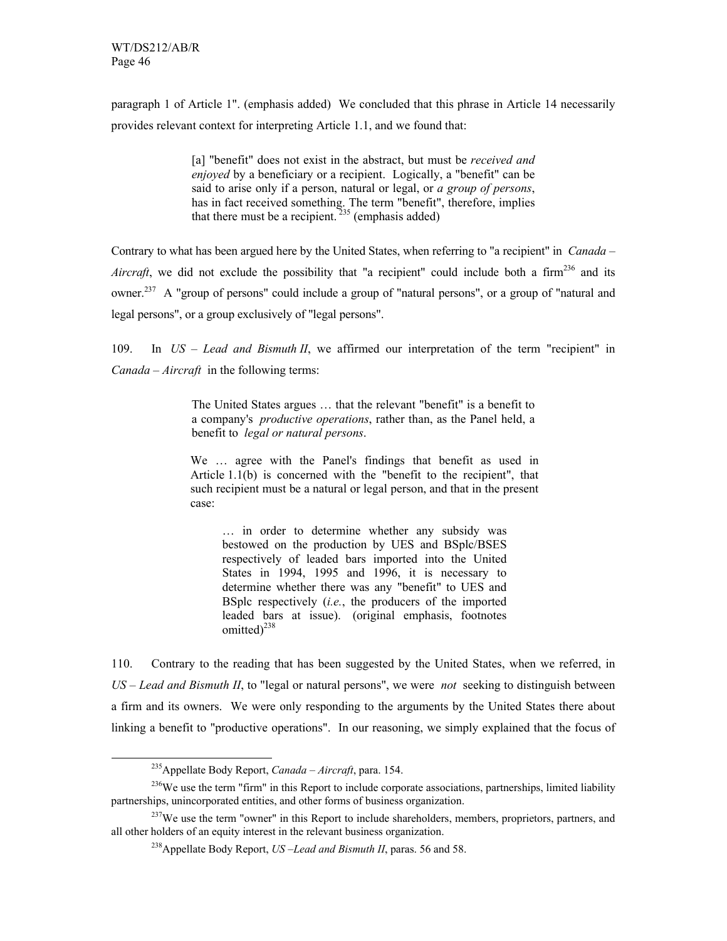paragraph 1 of Article 1". (emphasis added) We concluded that this phrase in Article 14 necessarily provides relevant context for interpreting Article 1.1, and we found that:

> [a] "benefit" does not exist in the abstract, but must be *received and enjoyed* by a beneficiary or a recipient. Logically, a "benefit" can be said to arise only if a person, natural or legal, or *a group of persons*, has in fact received something. The term "benefit", therefore, implies that there must be a recipient.  $235$  (emphasis added)

Contrary to what has been argued here by the United States, when referring to "a recipient" in *Canada – Aircraft*, we did not exclude the possibility that "a recipient" could include both a firm<sup>236</sup> and its owner.<sup>237</sup> A "group of persons" could include a group of "natural persons", or a group of "natural and legal persons", or a group exclusively of "legal persons".

109. In *US – Lead and Bismuth II*, we affirmed our interpretation of the term "recipient" in *Canada – Aircraft* in the following terms:

> The United States argues … that the relevant "benefit" is a benefit to a company's *productive operations*, rather than, as the Panel held, a benefit to *legal or natural persons*.

We … agree with the Panel's findings that benefit as used in Article 1.1(b) is concerned with the "benefit to the recipient", that such recipient must be a natural or legal person, and that in the present case:

… in order to determine whether any subsidy was bestowed on the production by UES and BSplc/BSES respectively of leaded bars imported into the United States in 1994, 1995 and 1996, it is necessary to determine whether there was any "benefit" to UES and BSplc respectively (*i.e.*, the producers of the imported leaded bars at issue). (original emphasis, footnotes omitted)<sup>238</sup>

110. Contrary to the reading that has been suggested by the United States, when we referred, in *US – Lead and Bismuth II*, to "legal or natural persons", we were *not* seeking to distinguish between a firm and its owners. We were only responding to the arguments by the United States there about linking a benefit to "productive operations". In our reasoning, we simply explained that the focus of

 <sup>235</sup>Appellate Body Report, *Canada – Aircraft*, para. 154.

<sup>&</sup>lt;sup>236</sup>We use the term "firm" in this Report to include corporate associations, partnerships, limited liability partnerships, unincorporated entities, and other forms of business organization.

<sup>&</sup>lt;sup>237</sup>We use the term "owner" in this Report to include shareholders, members, proprietors, partners, and all other holders of an equity interest in the relevant business organization.

<sup>238</sup>Appellate Body Report, *US –Lead and Bismuth II*, paras. 56 and 58.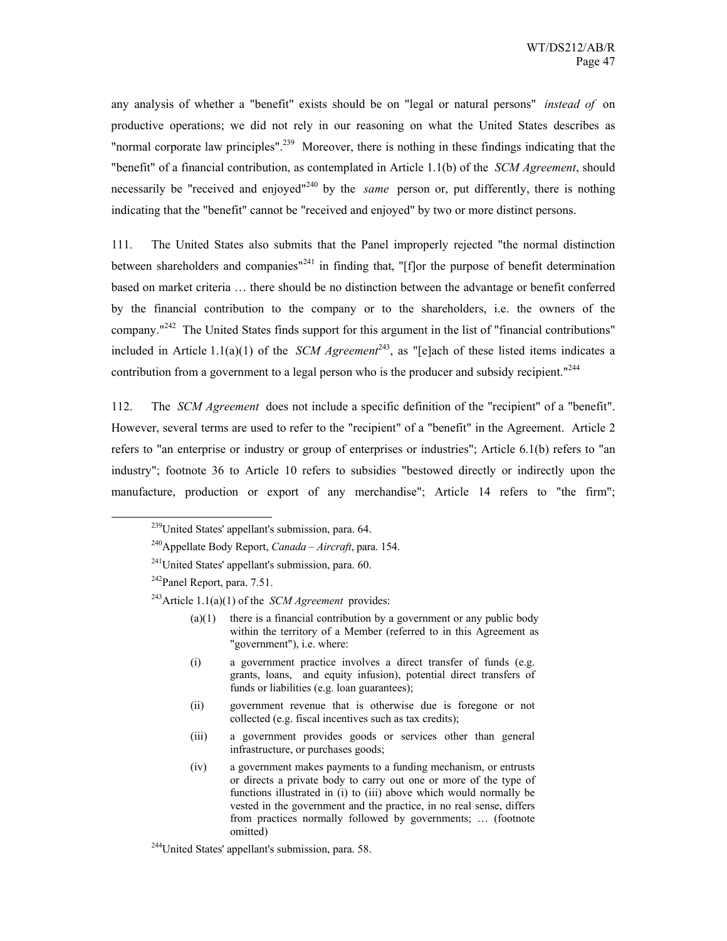any analysis of whether a "benefit" exists should be on "legal or natural persons" *instead of* on productive operations; we did not rely in our reasoning on what the United States describes as "normal corporate law principles".<sup>239</sup> Moreover, there is nothing in these findings indicating that the "benefit" of a financial contribution, as contemplated in Article 1.1(b) of the *SCM Agreement*, should necessarily be "received and enjoyed"240 by the *same* person or, put differently, there is nothing indicating that the "benefit" cannot be "received and enjoyed" by two or more distinct persons.

111. The United States also submits that the Panel improperly rejected "the normal distinction between shareholders and companies<sup>"241</sup> in finding that, "[f]or the purpose of benefit determination based on market criteria … there should be no distinction between the advantage or benefit conferred by the financial contribution to the company or to the shareholders, i.e. the owners of the company."242 The United States finds support for this argument in the list of "financial contributions" included in Article 1.1(a)(1) of the *SCM Agreement*<sup>243</sup>, as "[e]ach of these listed items indicates a contribution from a government to a legal person who is the producer and subsidy recipient."<sup>244</sup>

112. The *SCM Agreement* does not include a specific definition of the "recipient" of a "benefit". However, several terms are used to refer to the "recipient" of a "benefit" in the Agreement. Article 2 refers to "an enterprise or industry or group of enterprises or industries"; Article 6.1(b) refers to "an industry"; footnote 36 to Article 10 refers to subsidies "bestowed directly or indirectly upon the manufacture, production or export of any merchandise"; Article 14 refers to "the firm";

- (i) a government practice involves a direct transfer of funds (e.g. grants, loans, and equity infusion), potential direct transfers of funds or liabilities (e.g. loan guarantees);
- (ii) government revenue that is otherwise due is foregone or not collected (e.g. fiscal incentives such as tax credits);
- (iii) a government provides goods or services other than general infrastructure, or purchases goods;
- (iv) a government makes payments to a funding mechanism, or entrusts or directs a private body to carry out one or more of the type of functions illustrated in (i) to (iii) above which would normally be vested in the government and the practice, in no real sense, differs from practices normally followed by governments; … (footnote omitted)

<sup>&</sup>lt;sup>239</sup>United States' appellant's submission, para. 64.

<sup>240</sup>Appellate Body Report, *Canada – Aircraft*, para. 154.

<sup>&</sup>lt;sup>241</sup>United States' appellant's submission, para. 60.

<sup>242</sup>Panel Report, para. 7.51.

<sup>243</sup>Article 1.1(a)(1) of the *SCM Agreement* provides:

 $(a)(1)$  there is a financial contribution by a government or any public body within the territory of a Member (referred to in this Agreement as "government"), i.e. where:

<sup>&</sup>lt;sup>244</sup>United States' appellant's submission, para. 58.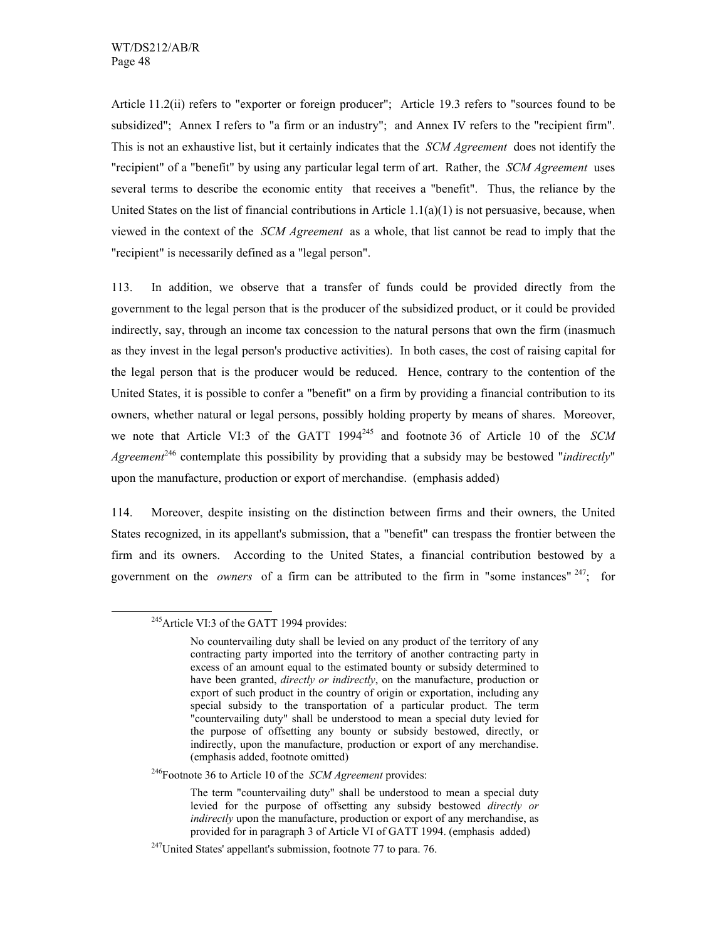Article 11.2(ii) refers to "exporter or foreign producer"; Article 19.3 refers to "sources found to be subsidized"; Annex I refers to "a firm or an industry"; and Annex IV refers to the "recipient firm". This is not an exhaustive list, but it certainly indicates that the *SCM Agreement* does not identify the "recipient" of a "benefit" by using any particular legal term of art. Rather, the *SCM Agreement* uses several terms to describe the economic entity that receives a "benefit". Thus, the reliance by the United States on the list of financial contributions in Article  $1.1(a)(1)$  is not persuasive, because, when viewed in the context of the *SCM Agreement* as a whole, that list cannot be read to imply that the "recipient" is necessarily defined as a "legal person".

113. In addition, we observe that a transfer of funds could be provided directly from the government to the legal person that is the producer of the subsidized product, or it could be provided indirectly, say, through an income tax concession to the natural persons that own the firm (inasmuch as they invest in the legal person's productive activities). In both cases, the cost of raising capital for the legal person that is the producer would be reduced. Hence, contrary to the contention of the United States, it is possible to confer a "benefit" on a firm by providing a financial contribution to its owners, whether natural or legal persons, possibly holding property by means of shares. Moreover, we note that Article VI:3 of the GATT 1994<sup>245</sup> and footnote 36 of Article 10 of the *SCM Agreement*246 contemplate this possibility by providing that a subsidy may be bestowed "*indirectly*" upon the manufacture, production or export of merchandise. (emphasis added)

114. Moreover, despite insisting on the distinction between firms and their owners, the United States recognized, in its appellant's submission, that a "benefit" can trespass the frontier between the firm and its owners. According to the United States, a financial contribution bestowed by a government on the *owners* of a firm can be attributed to the firm in "some instances" 247; for

246Footnote 36 to Article 10 of the *SCM Agreement* provides:

<sup>&</sup>lt;sup>245</sup> Article VI:3 of the GATT 1994 provides:

No countervailing duty shall be levied on any product of the territory of any contracting party imported into the territory of another contracting party in excess of an amount equal to the estimated bounty or subsidy determined to have been granted, *directly or indirectly*, on the manufacture, production or export of such product in the country of origin or exportation, including any special subsidy to the transportation of a particular product. The term "countervailing duty" shall be understood to mean a special duty levied for the purpose of offsetting any bounty or subsidy bestowed, directly, or indirectly, upon the manufacture, production or export of any merchandise. (emphasis added, footnote omitted)

The term "countervailing duty" shall be understood to mean a special duty levied for the purpose of offsetting any subsidy bestowed *directly or indirectly* upon the manufacture, production or export of any merchandise, as provided for in paragraph 3 of Article VI of GATT 1994. (emphasis added)

 $247$ United States' appellant's submission, footnote 77 to para. 76.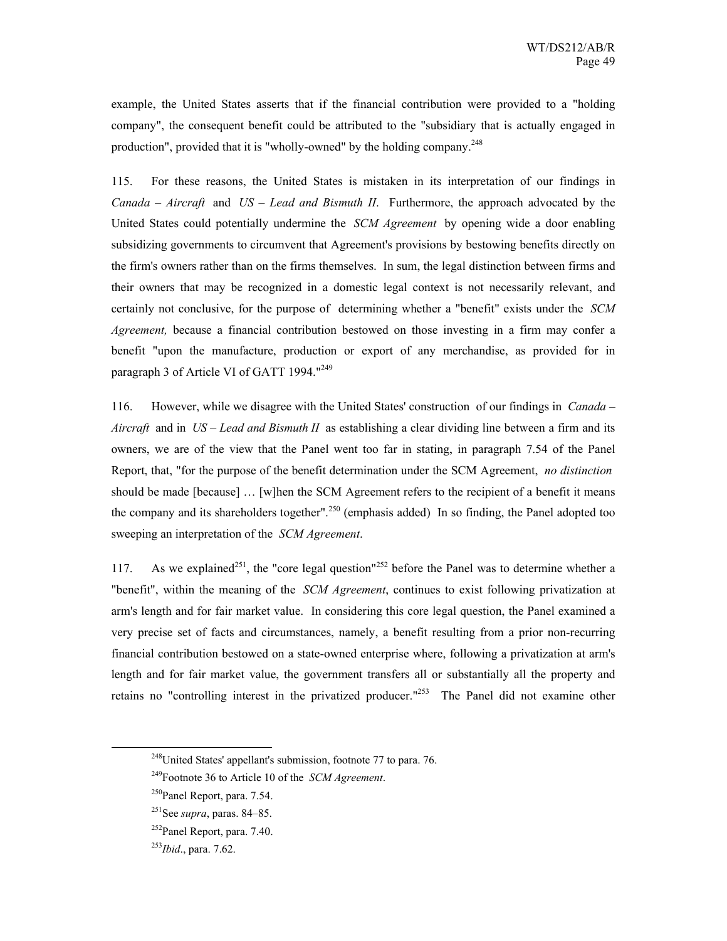example, the United States asserts that if the financial contribution were provided to a "holding company", the consequent benefit could be attributed to the "subsidiary that is actually engaged in production", provided that it is "wholly-owned" by the holding company.<sup>248</sup>

115. For these reasons, the United States is mistaken in its interpretation of our findings in *Canada – Aircraft* and *US – Lead and Bismuth II*. Furthermore, the approach advocated by the United States could potentially undermine the *SCM Agreement* by opening wide a door enabling subsidizing governments to circumvent that Agreement's provisions by bestowing benefits directly on the firm's owners rather than on the firms themselves. In sum, the legal distinction between firms and their owners that may be recognized in a domestic legal context is not necessarily relevant, and certainly not conclusive, for the purpose of determining whether a "benefit" exists under the *SCM Agreement,* because a financial contribution bestowed on those investing in a firm may confer a benefit "upon the manufacture, production or export of any merchandise, as provided for in paragraph 3 of Article VI of GATT 1994."<sup>249</sup>

116. However, while we disagree with the United States' construction of our findings in *Canada – Aircraft* and in *US – Lead and Bismuth II* as establishing a clear dividing line between a firm and its owners, we are of the view that the Panel went too far in stating, in paragraph 7.54 of the Panel Report, that, "for the purpose of the benefit determination under the SCM Agreement, *no distinction*  should be made [because] … [w]hen the SCM Agreement refers to the recipient of a benefit it means the company and its shareholders together".<sup>250</sup> (emphasis added) In so finding, the Panel adopted too sweeping an interpretation of the *SCM Agreement*.

117. As we explained<sup>251</sup>, the "core legal question"<sup>252</sup> before the Panel was to determine whether a "benefit", within the meaning of the *SCM Agreement*, continues to exist following privatization at arm's length and for fair market value. In considering this core legal question, the Panel examined a very precise set of facts and circumstances, namely, a benefit resulting from a prior non-recurring financial contribution bestowed on a state-owned enterprise where, following a privatization at arm's length and for fair market value, the government transfers all or substantially all the property and retains no "controlling interest in the privatized producer."<sup>253</sup> The Panel did not examine other

 <sup>248</sup>United States' appellant's submission, footnote 77 to para. 76.

<sup>249</sup>Footnote 36 to Article 10 of the *SCM Agreement*.

<sup>250</sup>Panel Report, para. 7.54.

<sup>251</sup>See *supra*, paras. 84–85.

<sup>252</sup>Panel Report, para. 7.40.

<sup>253</sup>*Ibid*., para. 7.62.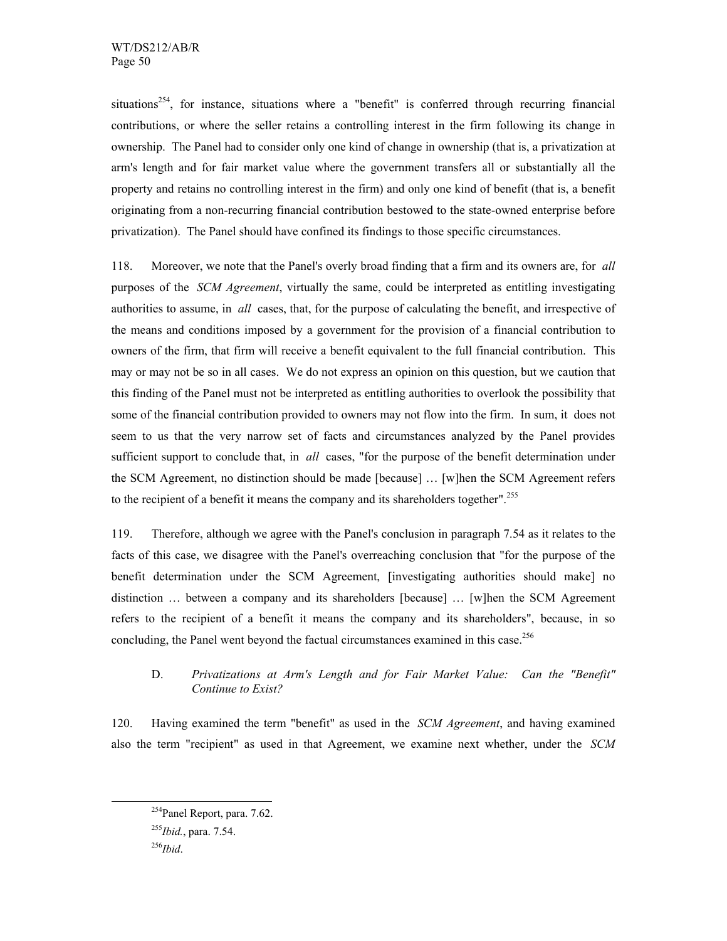situations<sup>254</sup>, for instance, situations where a "benefit" is conferred through recurring financial contributions, or where the seller retains a controlling interest in the firm following its change in ownership. The Panel had to consider only one kind of change in ownership (that is, a privatization at arm's length and for fair market value where the government transfers all or substantially all the property and retains no controlling interest in the firm) and only one kind of benefit (that is, a benefit originating from a non-recurring financial contribution bestowed to the state-owned enterprise before privatization). The Panel should have confined its findings to those specific circumstances.

118. Moreover, we note that the Panel's overly broad finding that a firm and its owners are, for *all* purposes of the *SCM Agreement*, virtually the same, could be interpreted as entitling investigating authorities to assume, in *all* cases, that, for the purpose of calculating the benefit, and irrespective of the means and conditions imposed by a government for the provision of a financial contribution to owners of the firm, that firm will receive a benefit equivalent to the full financial contribution. This may or may not be so in all cases. We do not express an opinion on this question, but we caution that this finding of the Panel must not be interpreted as entitling authorities to overlook the possibility that some of the financial contribution provided to owners may not flow into the firm. In sum, it does not seem to us that the very narrow set of facts and circumstances analyzed by the Panel provides sufficient support to conclude that, in *all* cases, "for the purpose of the benefit determination under the SCM Agreement, no distinction should be made [because] … [w]hen the SCM Agreement refers to the recipient of a benefit it means the company and its shareholders together".<sup>255</sup>

119. Therefore, although we agree with the Panel's conclusion in paragraph 7.54 as it relates to the facts of this case, we disagree with the Panel's overreaching conclusion that "for the purpose of the benefit determination under the SCM Agreement, [investigating authorities should make] no distinction … between a company and its shareholders [because] … [w]hen the SCM Agreement refers to the recipient of a benefit it means the company and its shareholders", because, in so concluding, the Panel went beyond the factual circumstances examined in this case.<sup>256</sup>

## D. *Privatizations at Arm's Length and for Fair Market Value: Can the "Benefit" Continue to Exist?*

120. Having examined the term "benefit" as used in the *SCM Agreement*, and having examined also the term "recipient" as used in that Agreement, we examine next whether, under the *SCM* 

 <sup>254</sup>Panel Report, para. 7.62.

<sup>255</sup>*Ibid.*, para. 7.54.

<sup>256</sup>*Ibid*.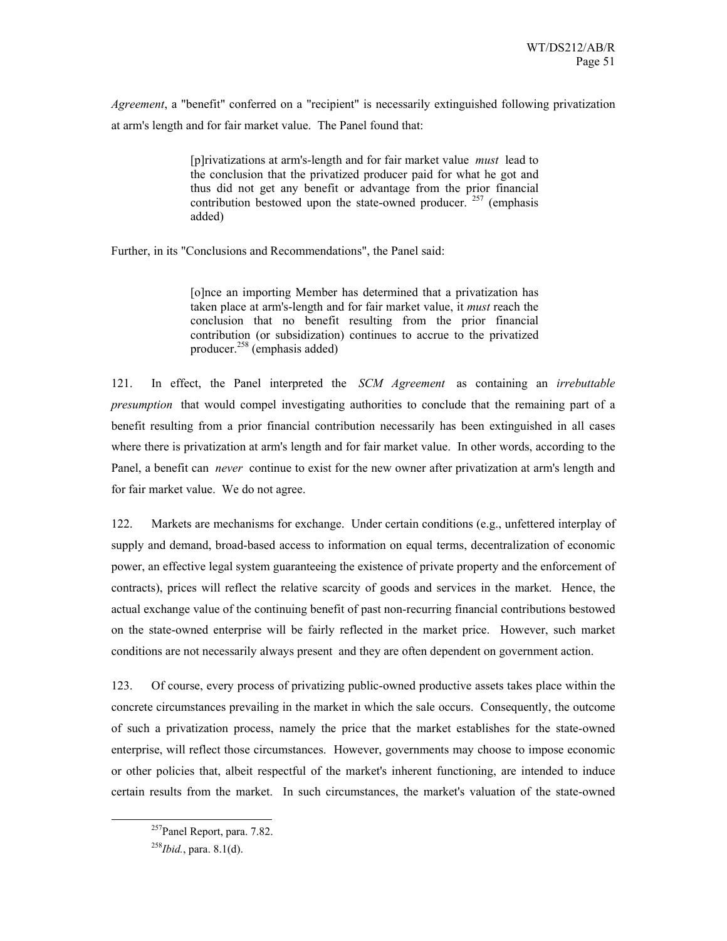*Agreement*, a "benefit" conferred on a "recipient" is necessarily extinguished following privatization at arm's length and for fair market value. The Panel found that:

> [p]rivatizations at arm's-length and for fair market value *must* lead to the conclusion that the privatized producer paid for what he got and thus did not get any benefit or advantage from the prior financial contribution bestowed upon the state-owned producer.  $257$  (emphasis) added)

Further, in its "Conclusions and Recommendations", the Panel said:

[o]nce an importing Member has determined that a privatization has taken place at arm's-length and for fair market value, it *must* reach the conclusion that no benefit resulting from the prior financial contribution (or subsidization) continues to accrue to the privatized producer. $258$  (emphasis added)

121. In effect, the Panel interpreted the *SCM Agreement* as containing an *irrebuttable presumption* that would compel investigating authorities to conclude that the remaining part of a benefit resulting from a prior financial contribution necessarily has been extinguished in all cases where there is privatization at arm's length and for fair market value. In other words, according to the Panel, a benefit can *never* continue to exist for the new owner after privatization at arm's length and for fair market value. We do not agree.

122. Markets are mechanisms for exchange. Under certain conditions (e.g., unfettered interplay of supply and demand, broad-based access to information on equal terms, decentralization of economic power, an effective legal system guaranteeing the existence of private property and the enforcement of contracts), prices will reflect the relative scarcity of goods and services in the market. Hence, the actual exchange value of the continuing benefit of past non-recurring financial contributions bestowed on the state-owned enterprise will be fairly reflected in the market price. However, such market conditions are not necessarily always present and they are often dependent on government action.

123. Of course, every process of privatizing public-owned productive assets takes place within the concrete circumstances prevailing in the market in which the sale occurs. Consequently, the outcome of such a privatization process, namely the price that the market establishes for the state-owned enterprise, will reflect those circumstances. However, governments may choose to impose economic or other policies that, albeit respectful of the market's inherent functioning, are intended to induce certain results from the market. In such circumstances, the market's valuation of the state-owned

 <sup>257</sup>Panel Report, para. 7.82.

<sup>258</sup>*Ibid.*, para. 8.1(d).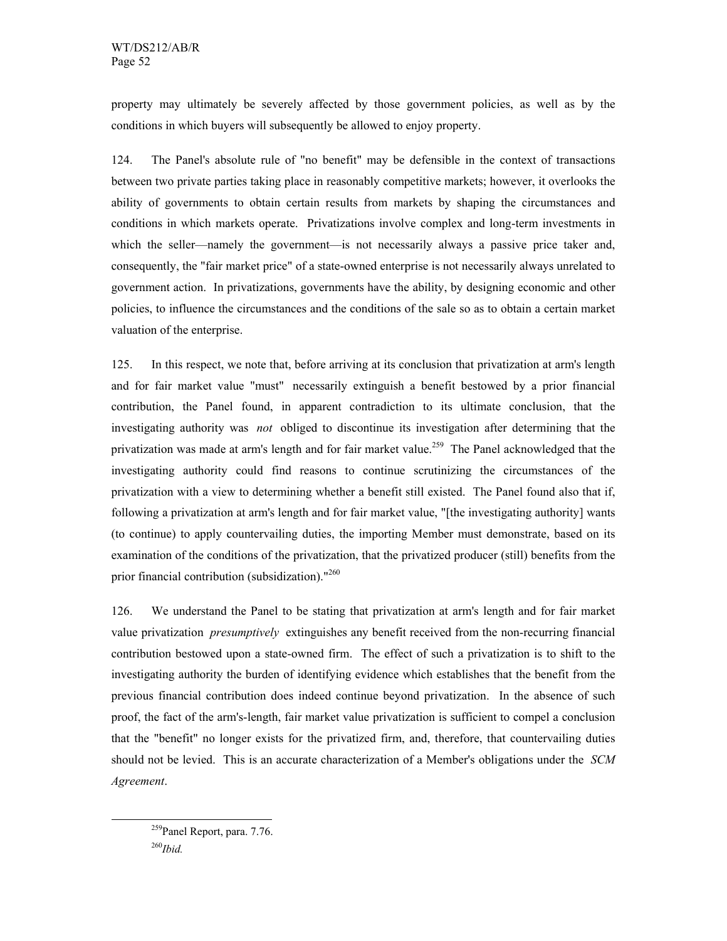property may ultimately be severely affected by those government policies, as well as by the conditions in which buyers will subsequently be allowed to enjoy property.

124. The Panel's absolute rule of "no benefit" may be defensible in the context of transactions between two private parties taking place in reasonably competitive markets; however, it overlooks the ability of governments to obtain certain results from markets by shaping the circumstances and conditions in which markets operate. Privatizations involve complex and long-term investments in which the seller—namely the government—is not necessarily always a passive price taker and, consequently, the "fair market price" of a state-owned enterprise is not necessarily always unrelated to government action. In privatizations, governments have the ability, by designing economic and other policies, to influence the circumstances and the conditions of the sale so as to obtain a certain market valuation of the enterprise.

125. In this respect, we note that, before arriving at its conclusion that privatization at arm's length and for fair market value "must" necessarily extinguish a benefit bestowed by a prior financial contribution, the Panel found, in apparent contradiction to its ultimate conclusion, that the investigating authority was *not* obliged to discontinue its investigation after determining that the privatization was made at arm's length and for fair market value.<sup>259</sup> The Panel acknowledged that the investigating authority could find reasons to continue scrutinizing the circumstances of the privatization with a view to determining whether a benefit still existed. The Panel found also that if, following a privatization at arm's length and for fair market value, "[the investigating authority] wants (to continue) to apply countervailing duties, the importing Member must demonstrate, based on its examination of the conditions of the privatization, that the privatized producer (still) benefits from the prior financial contribution (subsidization)."<sup>260</sup>

126. We understand the Panel to be stating that privatization at arm's length and for fair market value privatization *presumptively* extinguishes any benefit received from the non-recurring financial contribution bestowed upon a state-owned firm. The effect of such a privatization is to shift to the investigating authority the burden of identifying evidence which establishes that the benefit from the previous financial contribution does indeed continue beyond privatization. In the absence of such proof, the fact of the arm's-length, fair market value privatization is sufficient to compel a conclusion that the "benefit" no longer exists for the privatized firm, and, therefore, that countervailing duties should not be levied. This is an accurate characterization of a Member's obligations under the *SCM Agreement*.

 259Panel Report, para. 7.76. <sup>260</sup>*Ibid.*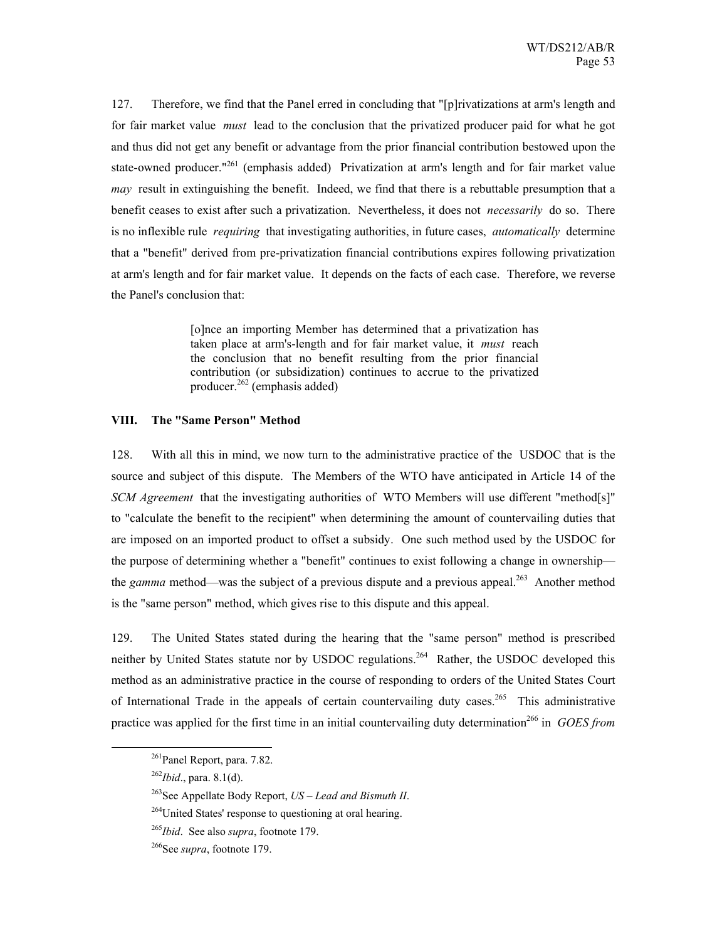127. Therefore, we find that the Panel erred in concluding that "[p]rivatizations at arm's length and for fair market value *must* lead to the conclusion that the privatized producer paid for what he got and thus did not get any benefit or advantage from the prior financial contribution bestowed upon the state-owned producer."<sup>261</sup> (emphasis added) Privatization at arm's length and for fair market value *may* result in extinguishing the benefit. Indeed, we find that there is a rebuttable presumption that a benefit ceases to exist after such a privatization. Nevertheless, it does not *necessarily* do so. There is no inflexible rule *requiring* that investigating authorities, in future cases, *automatically* determine that a "benefit" derived from pre-privatization financial contributions expires following privatization at arm's length and for fair market value. It depends on the facts of each case. Therefore, we reverse the Panel's conclusion that:

> [o]nce an importing Member has determined that a privatization has taken place at arm's-length and for fair market value, it *must* reach the conclusion that no benefit resulting from the prior financial contribution (or subsidization) continues to accrue to the privatized producer. $262$  (emphasis added)

#### **VIII. The "Same Person" Method**

128. With all this in mind, we now turn to the administrative practice of the USDOC that is the source and subject of this dispute. The Members of the WTO have anticipated in Article 14 of the *SCM Agreement* that the investigating authorities of WTO Members will use different "method[s]" to "calculate the benefit to the recipient" when determining the amount of countervailing duties that are imposed on an imported product to offset a subsidy. One such method used by the USDOC for the purpose of determining whether a "benefit" continues to exist following a change in ownership the *gamma* method—was the subject of a previous dispute and a previous appeal.<sup>263</sup> Another method is the "same person" method, which gives rise to this dispute and this appeal.

129. The United States stated during the hearing that the "same person" method is prescribed neither by United States statute nor by USDOC regulations.<sup>264</sup> Rather, the USDOC developed this method as an administrative practice in the course of responding to orders of the United States Court of International Trade in the appeals of certain countervailing duty cases.<sup>265</sup> This administrative practice was applied for the first time in an initial countervailing duty determination<sup>266</sup> in *GOES from* 

 <sup>261</sup>Panel Report, para. 7.82.

<sup>262</sup>*Ibid*., para. 8.1(d).

<sup>263</sup>See Appellate Body Report, *US – Lead and Bismuth II*.

<sup>&</sup>lt;sup>264</sup>United States' response to questioning at oral hearing.

<sup>265</sup>*Ibid*. See also *supra*, footnote 179.

<sup>266</sup>See *supra*, footnote 179.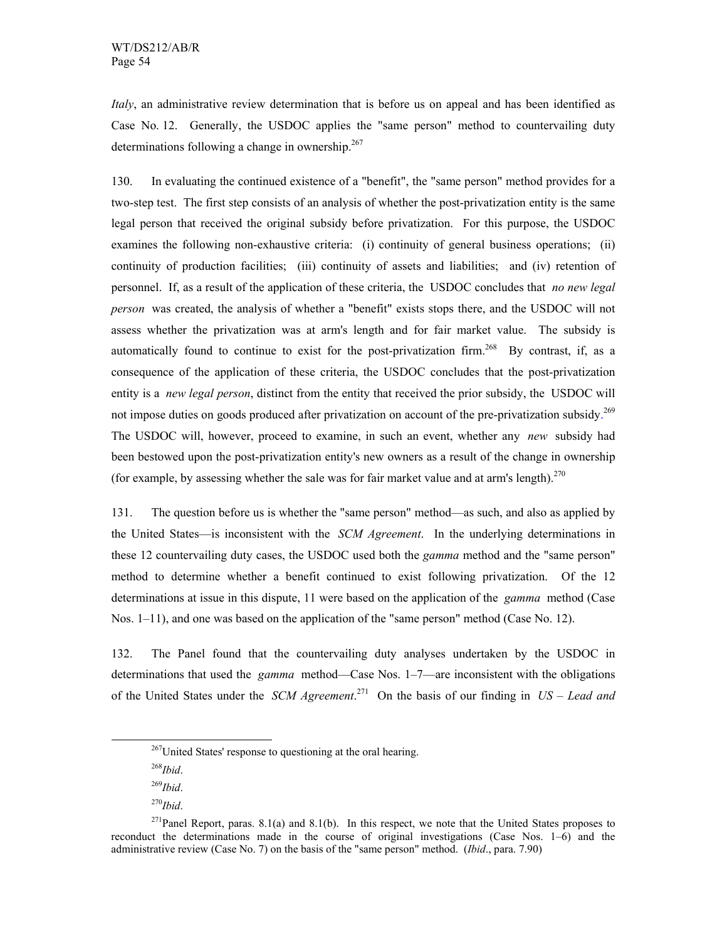*Italy*, an administrative review determination that is before us on appeal and has been identified as Case No. 12. Generally, the USDOC applies the "same person" method to countervailing duty determinations following a change in ownership.<sup>267</sup>

130. In evaluating the continued existence of a "benefit", the "same person" method provides for a two-step test. The first step consists of an analysis of whether the post-privatization entity is the same legal person that received the original subsidy before privatization. For this purpose, the USDOC examines the following non-exhaustive criteria: (i) continuity of general business operations; (ii) continuity of production facilities; (iii) continuity of assets and liabilities; and (iv) retention of personnel. If, as a result of the application of these criteria, the USDOC concludes that *no new legal person* was created, the analysis of whether a "benefit" exists stops there, and the USDOC will not assess whether the privatization was at arm's length and for fair market value. The subsidy is automatically found to continue to exist for the post-privatization firm.<sup>268</sup> By contrast, if, as a consequence of the application of these criteria, the USDOC concludes that the post-privatization entity is a *new legal person*, distinct from the entity that received the prior subsidy, the USDOC will not impose duties on goods produced after privatization on account of the pre-privatization subsidy.<sup>269</sup> The USDOC will, however, proceed to examine, in such an event, whether any *new* subsidy had been bestowed upon the post-privatization entity's new owners as a result of the change in ownership (for example, by assessing whether the sale was for fair market value and at arm's length).<sup>270</sup>

131. The question before us is whether the "same person" method—as such, and also as applied by the United States—is inconsistent with the *SCM Agreement*. In the underlying determinations in these 12 countervailing duty cases, the USDOC used both the *gamma* method and the "same person" method to determine whether a benefit continued to exist following privatization. Of the 12 determinations at issue in this dispute, 11 were based on the application of the *gamma* method (Case Nos.  $1-11$ , and one was based on the application of the "same person" method (Case No. 12).

132. The Panel found that the countervailing duty analyses undertaken by the USDOC in determinations that used the *gamma* method—Case Nos. 1–7—are inconsistent with the obligations of the United States under the *SCM Agreement*. 271 On the basis of our finding in *US – Lead and* 

<sup>268</sup>*Ibid*.

 <sup>267</sup>United States' response to questioning at the oral hearing.

<sup>269</sup>*Ibid*.

<sup>270</sup>*Ibid*.

 $271$ Panel Report, paras.  $8.1(a)$  and  $8.1(b)$ . In this respect, we note that the United States proposes to reconduct the determinations made in the course of original investigations (Case Nos. 1–6) and the administrative review (Case No. 7) on the basis of the "same person" method. (*Ibid*., para. 7.90)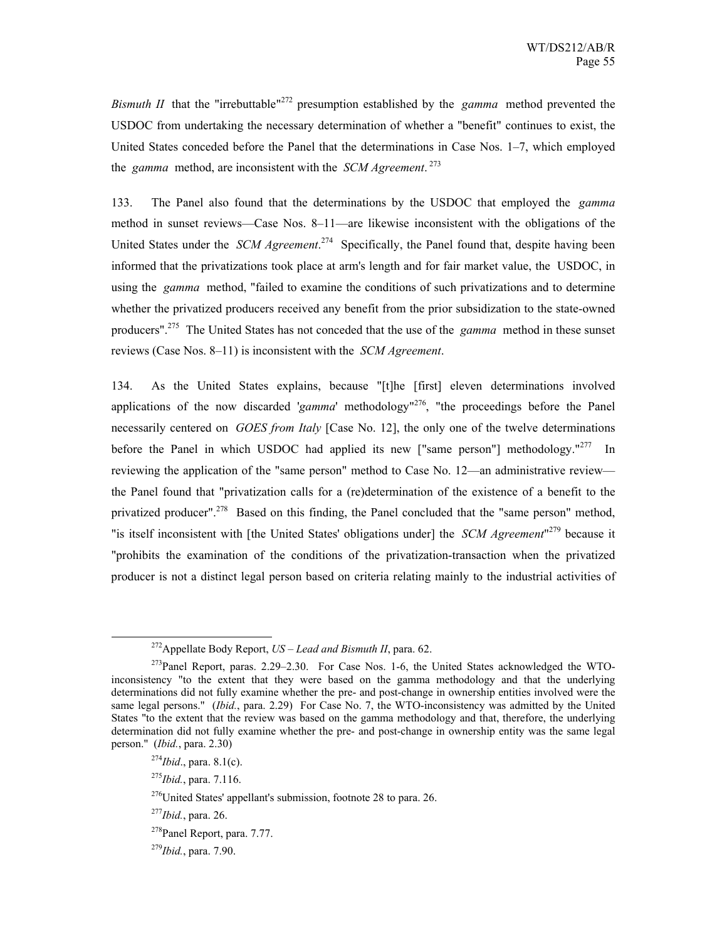*Bismuth II* that the "irrebuttable"<sup>272</sup> presumption established by the *gamma* method prevented the USDOC from undertaking the necessary determination of whether a "benefit" continues to exist, the United States conceded before the Panel that the determinations in Case Nos. 1–7, which employed the *gamma* method, are inconsistent with the *SCM Agreement*.<sup>273</sup>

133. The Panel also found that the determinations by the USDOC that employed the *gamma* method in sunset reviews—Case Nos. 8–11—are likewise inconsistent with the obligations of the United States under the *SCM Agreement*.<sup>274</sup> Specifically, the Panel found that, despite having been informed that the privatizations took place at arm's length and for fair market value, the USDOC, in using the *gamma* method, "failed to examine the conditions of such privatizations and to determine whether the privatized producers received any benefit from the prior subsidization to the state-owned producers".275 The United States has not conceded that the use of the *gamma* method in these sunset reviews (Case Nos. 8–11) is inconsistent with the *SCM Agreement*.

134. As the United States explains, because "[t]he [first] eleven determinations involved applications of the now discarded '*gamma*' methodology"276, "the proceedings before the Panel necessarily centered on *GOES from Italy* [Case No. 12], the only one of the twelve determinations before the Panel in which USDOC had applied its new ["same person"] methodology." $277$  In reviewing the application of the "same person" method to Case No. 12—an administrative review the Panel found that "privatization calls for a (re)determination of the existence of a benefit to the privatized producer".<sup>278</sup> Based on this finding, the Panel concluded that the "same person" method, "is itself inconsistent with [the United States' obligations under] the *SCM Agreement*"<sup>279</sup> because it "prohibits the examination of the conditions of the privatization-transaction when the privatized producer is not a distinct legal person based on criteria relating mainly to the industrial activities of

 <sup>272</sup>Appellate Body Report, *US – Lead and Bismuth II*, para. 62.

<sup>&</sup>lt;sup>273</sup>Panel Report, paras. 2.29–2.30. For Case Nos. 1-6, the United States acknowledged the WTOinconsistency "to the extent that they were based on the gamma methodology and that the underlying determinations did not fully examine whether the pre- and post-change in ownership entities involved were the same legal persons." *(Ibid.*, para. 2.29) For Case No. 7, the WTO-inconsistency was admitted by the United States "to the extent that the review was based on the gamma methodology and that, therefore, the underlying determination did not fully examine whether the pre- and post-change in ownership entity was the same legal person." (*Ibid.*, para. 2.30)

<sup>274</sup>*Ibid*., para. 8.1(c).

<sup>275</sup>*Ibid.*, para. 7.116.

<sup>276</sup>United States' appellant's submission, footnote 28 to para. 26.

<sup>277</sup>*Ibid.*, para. 26.

<sup>278</sup>Panel Report, para. 7.77.

<sup>279</sup>*Ibid.*, para. 7.90.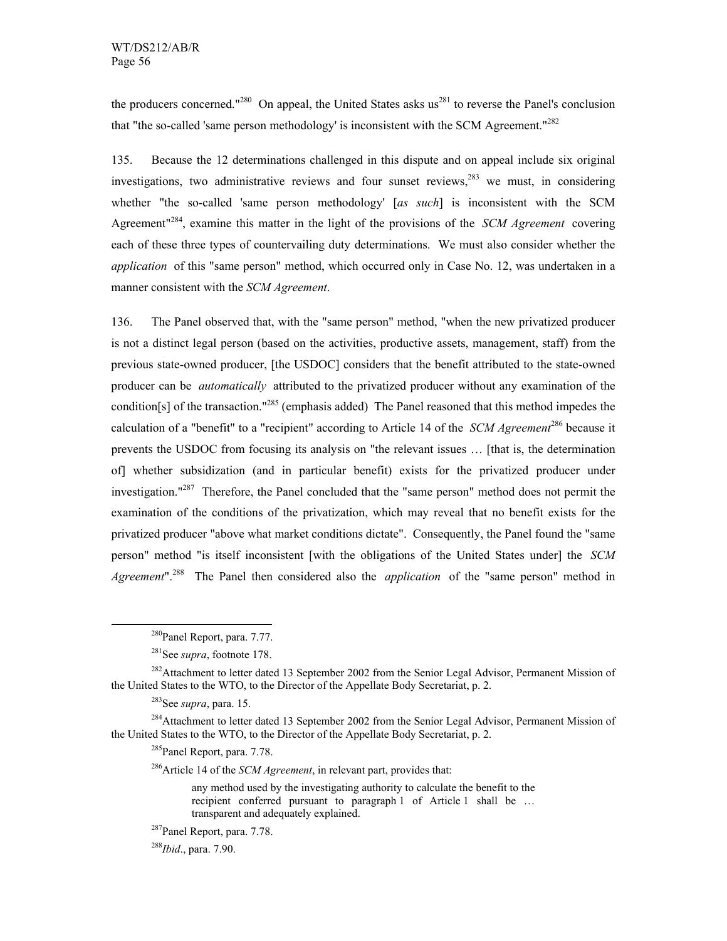the producers concerned."<sup>280</sup> On appeal, the United States asks  $us^{281}$  to reverse the Panel's conclusion that "the so-called 'same person methodology' is inconsistent with the SCM Agreement."<sup>282</sup>

135. Because the 12 determinations challenged in this dispute and on appeal include six original investigations, two administrative reviews and four sunset reviews,  $283$  we must, in considering whether "the so-called 'same person methodology' [*as such*] is inconsistent with the SCM Agreement"284, examine this matter in the light of the provisions of the *SCM Agreement* covering each of these three types of countervailing duty determinations. We must also consider whether the *application* of this "same person" method, which occurred only in Case No. 12, was undertaken in a manner consistent with the *SCM Agreement*.

136. The Panel observed that, with the "same person" method, "when the new privatized producer is not a distinct legal person (based on the activities, productive assets, management, staff) from the previous state-owned producer, [the USDOC] considers that the benefit attributed to the state-owned producer can be *automatically* attributed to the privatized producer without any examination of the condition[s] of the transaction."<sup>285</sup> (emphasis added) The Panel reasoned that this method impedes the calculation of a "benefit" to a "recipient" according to Article 14 of the *SCM Agreement*<sup>286</sup> because it prevents the USDOC from focusing its analysis on "the relevant issues … [that is, the determination of] whether subsidization (and in particular benefit) exists for the privatized producer under investigation."<sup>287</sup> Therefore, the Panel concluded that the "same person" method does not permit the examination of the conditions of the privatization, which may reveal that no benefit exists for the privatized producer "above what market conditions dictate". Consequently, the Panel found the "same person" method "is itself inconsistent [with the obligations of the United States under] the *SCM Agreement*".288 The Panel then considered also the *application* of the "same person" method in

<sup>284</sup>Attachment to letter dated 13 September 2002 from the Senior Legal Advisor, Permanent Mission of the United States to the WTO, to the Director of the Appellate Body Secretariat, p. 2.

285Panel Report, para. 7.78.

286Article 14 of the *SCM Agreement*, in relevant part, provides that:

any method used by the investigating authority to calculate the benefit to the recipient conferred pursuant to paragraph 1 of Article 1 shall be … transparent and adequately explained.

<sup>288</sup>*Ibid*., para. 7.90.

 <sup>280</sup>Panel Report, para. 7.77.

<sup>281</sup>See *supra*, footnote 178.

<sup>&</sup>lt;sup>282</sup>Attachment to letter dated 13 September 2002 from the Senior Legal Advisor, Permanent Mission of the United States to the WTO, to the Director of the Appellate Body Secretariat, p. 2.

<sup>283</sup>See *supra*, para. 15.

<sup>287</sup>Panel Report, para. 7.78.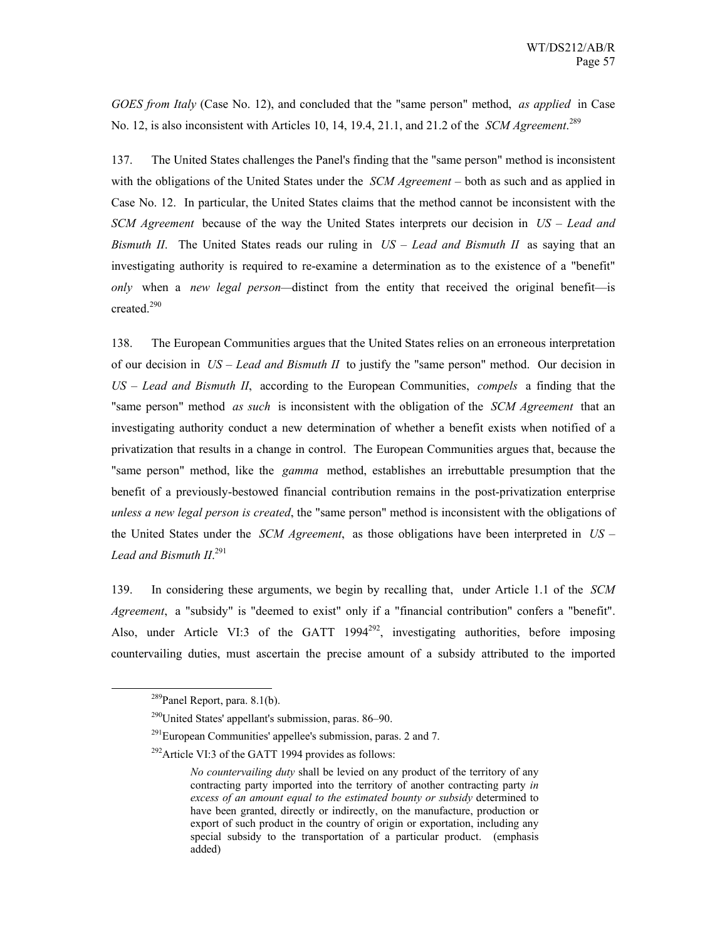*GOES from Italy* (Case No. 12), and concluded that the "same person" method, *as applied* in Case No. 12, is also inconsistent with Articles 10, 14, 19.4, 21.1, and 21.2 of the *SCM Agreement*. 289

137. The United States challenges the Panel's finding that the "same person" method is inconsistent with the obligations of the United States under the *SCM Agreement* – both as such and as applied in Case No. 12. In particular, the United States claims that the method cannot be inconsistent with the *SCM Agreement* because of the way the United States interprets our decision in *US – Lead and Bismuth II*. The United States reads our ruling in *US – Lead and Bismuth II* as saying that an investigating authority is required to re-examine a determination as to the existence of a "benefit" *only* when a *new legal person—*distinct from the entity that received the original benefit—is created.<sup>290</sup>

138. The European Communities argues that the United States relies on an erroneous interpretation of our decision in *US – Lead and Bismuth II* to justify the "same person" method. Our decision in *US – Lead and Bismuth II*, according to the European Communities, *compels* a finding that the "same person" method *as such* is inconsistent with the obligation of the *SCM Agreement* that an investigating authority conduct a new determination of whether a benefit exists when notified of a privatization that results in a change in control. The European Communities argues that, because the "same person" method, like the *gamma* method, establishes an irrebuttable presumption that the benefit of a previously-bestowed financial contribution remains in the post-privatization enterprise *unless a new legal person is created*, the "same person" method is inconsistent with the obligations of the United States under the *SCM Agreement*, as those obligations have been interpreted in *US – Lead and Bismuth II*. 291

139. In considering these arguments, we begin by recalling that, under Article 1.1 of the *SCM Agreement*, a "subsidy" is "deemed to exist" only if a "financial contribution" confers a "benefit". Also, under Article VI:3 of the GATT  $1994^{292}$ , investigating authorities, before imposing countervailing duties, must ascertain the precise amount of a subsidy attributed to the imported

 $289$ Panel Report, para. 8.1(b).

 $290$ United States' appellant's submission, paras. 86–90.

<sup>&</sup>lt;sup>291</sup>European Communities' appellee's submission, paras. 2 and 7.

<sup>&</sup>lt;sup>292</sup>Article VI:3 of the GATT 1994 provides as follows:

*No countervailing duty* shall be levied on any product of the territory of any contracting party imported into the territory of another contracting party *in excess of an amount equal to the estimated bounty or subsidy* determined to have been granted, directly or indirectly, on the manufacture, production or export of such product in the country of origin or exportation, including any special subsidy to the transportation of a particular product. (emphasis added)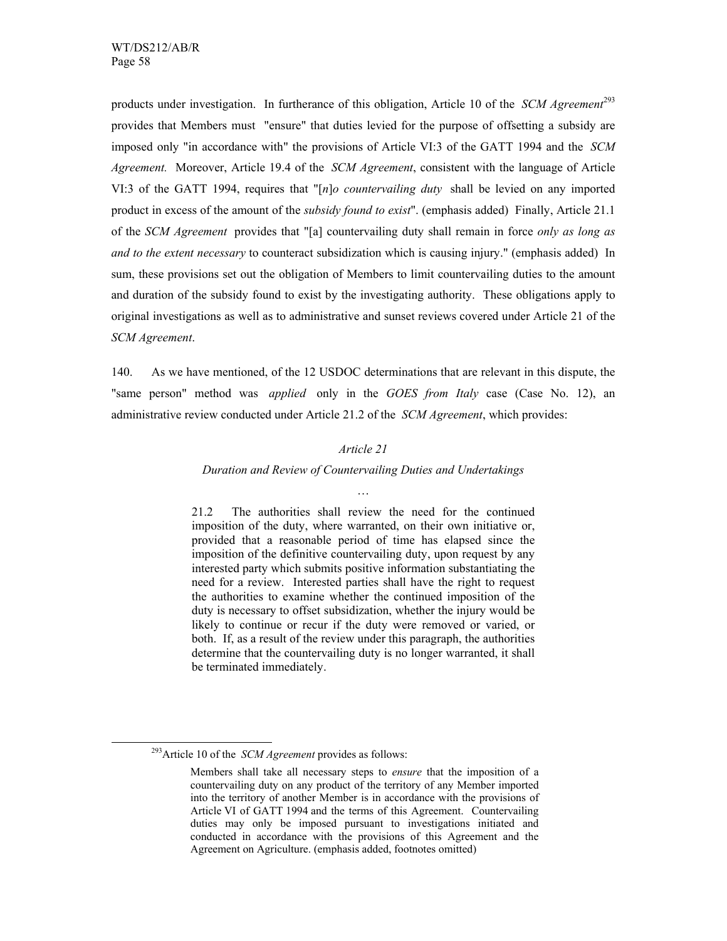products under investigation. In furtherance of this obligation, Article 10 of the *SCM Agreement*<sup>293</sup> provides that Members must "ensure" that duties levied for the purpose of offsetting a subsidy are imposed only "in accordance with" the provisions of Article VI:3 of the GATT 1994 and the *SCM Agreement.* Moreover, Article 19.4 of the *SCM Agreement*, consistent with the language of Article VI:3 of the GATT 1994, requires that "[*n*]*o countervailing duty* shall be levied on any imported product in excess of the amount of the *subsidy found to exist*". (emphasis added) Finally, Article 21.1 of the *SCM Agreement* provides that "[a] countervailing duty shall remain in force *only as long as and to the extent necessary* to counteract subsidization which is causing injury." (emphasis added) In sum, these provisions set out the obligation of Members to limit countervailing duties to the amount and duration of the subsidy found to exist by the investigating authority. These obligations apply to original investigations as well as to administrative and sunset reviews covered under Article 21 of the *SCM Agreement*.

140. As we have mentioned, of the 12 USDOC determinations that are relevant in this dispute, the "same person" method was *applied* only in the *GOES from Italy* case (Case No. 12), an administrative review conducted under Article 21.2 of the *SCM Agreement*, which provides:

#### *Article 21*

# *Duration and Review of Countervailing Duties and Undertakings*  …

21.2 The authorities shall review the need for the continued imposition of the duty, where warranted, on their own initiative or, provided that a reasonable period of time has elapsed since the imposition of the definitive countervailing duty, upon request by any interested party which submits positive information substantiating the need for a review. Interested parties shall have the right to request the authorities to examine whether the continued imposition of the duty is necessary to offset subsidization, whether the injury would be likely to continue or recur if the duty were removed or varied, or both. If, as a result of the review under this paragraph, the authorities determine that the countervailing duty is no longer warranted, it shall be terminated immediately.

 <sup>293</sup>Article 10 of the *SCM Agreement* provides as follows:

Members shall take all necessary steps to *ensure* that the imposition of a countervailing duty on any product of the territory of any Member imported into the territory of another Member is in accordance with the provisions of Article VI of GATT 1994 and the terms of this Agreement. Countervailing duties may only be imposed pursuant to investigations initiated and conducted in accordance with the provisions of this Agreement and the Agreement on Agriculture. (emphasis added, footnotes omitted)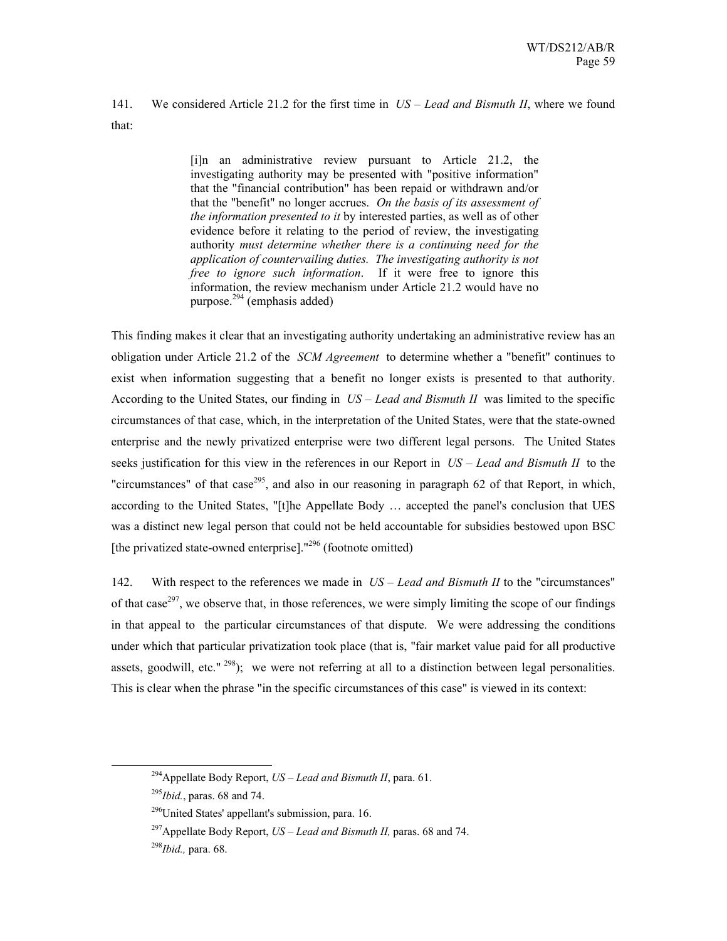# 141. We considered Article 21.2 for the first time in *US – Lead and Bismuth II*, where we found that:

[i]n an administrative review pursuant to Article 21.2, the investigating authority may be presented with "positive information" that the "financial contribution" has been repaid or withdrawn and/or that the "benefit" no longer accrues. *On the basis of its assessment of the information presented to it* by interested parties, as well as of other evidence before it relating to the period of review, the investigating authority *must determine whether there is a continuing need for the application of countervailing duties. The investigating authority is not free to ignore such information*. If it were free to ignore this information, the review mechanism under Article 21.2 would have no purpose. $^{294}$  (emphasis added)

This finding makes it clear that an investigating authority undertaking an administrative review has an obligation under Article 21.2 of the *SCM Agreement* to determine whether a "benefit" continues to exist when information suggesting that a benefit no longer exists is presented to that authority. According to the United States, our finding in *US – Lead and Bismuth II* was limited to the specific circumstances of that case, which, in the interpretation of the United States, were that the state-owned enterprise and the newly privatized enterprise were two different legal persons. The United States seeks justification for this view in the references in our Report in *US – Lead and Bismuth II* to the "circumstances" of that case<sup>295</sup>, and also in our reasoning in paragraph 62 of that Report, in which, according to the United States, "[t]he Appellate Body … accepted the panel's conclusion that UES was a distinct new legal person that could not be held accountable for subsidies bestowed upon BSC [the privatized state-owned enterprise]."296 (footnote omitted)

142. With respect to the references we made in *US – Lead and Bismuth II* to the "circumstances" of that case<sup>297</sup>, we observe that, in those references, we were simply limiting the scope of our findings in that appeal to the particular circumstances of that dispute. We were addressing the conditions under which that particular privatization took place (that is, "fair market value paid for all productive assets, goodwill, etc."  $^{298}$ ); we were not referring at all to a distinction between legal personalities. This is clear when the phrase "in the specific circumstances of this case" is viewed in its context:

 <sup>294</sup>Appellate Body Report, *US – Lead and Bismuth II*, para. 61.

<sup>295</sup>*Ibid.*, paras. 68 and 74.

<sup>296</sup>United States' appellant's submission, para. 16.

<sup>297</sup>Appellate Body Report, *US – Lead and Bismuth II,* paras. 68 and 74.

<sup>298</sup>*Ibid.,* para. 68.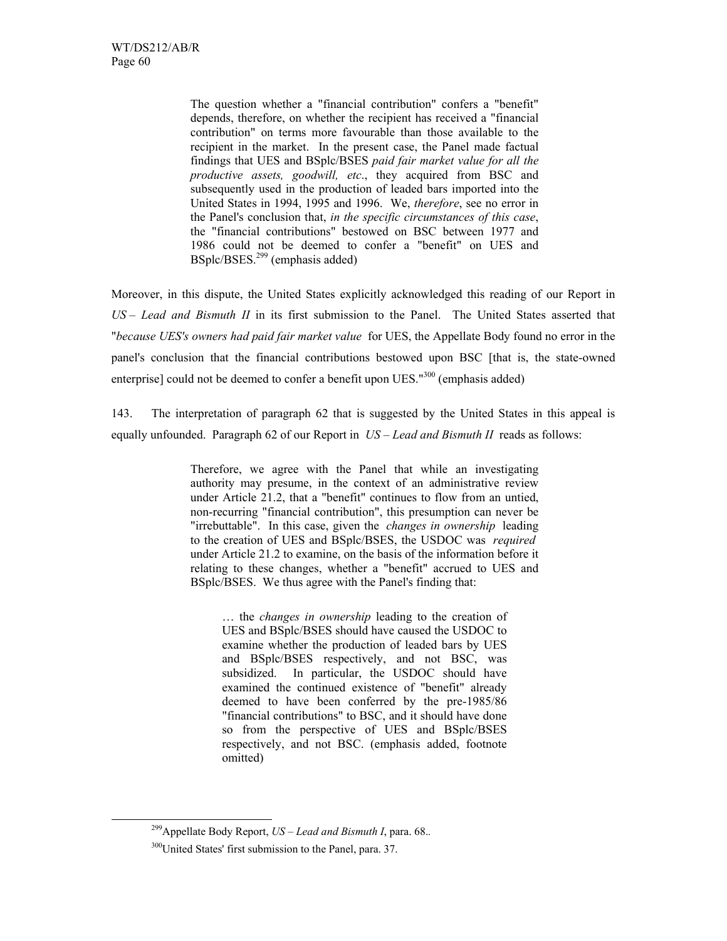The question whether a "financial contribution" confers a "benefit" depends, therefore, on whether the recipient has received a "financial contribution" on terms more favourable than those available to the recipient in the market. In the present case, the Panel made factual findings that UES and BSplc/BSES *paid fair market value for all the productive assets, goodwill, etc*., they acquired from BSC and subsequently used in the production of leaded bars imported into the United States in 1994, 1995 and 1996. We, *therefore*, see no error in the Panel's conclusion that, *in the specific circumstances of this case*, the "financial contributions" bestowed on BSC between 1977 and 1986 could not be deemed to confer a "benefit" on UES and BSplc/BSES.299 (emphasis added)

Moreover, in this dispute, the United States explicitly acknowledged this reading of our Report in *US – Lead and Bismuth II* in its first submission to the Panel. The United States asserted that "*because UES's owners had paid fair market value* for UES, the Appellate Body found no error in the panel's conclusion that the financial contributions bestowed upon BSC [that is, the state-owned enterprise] could not be deemed to confer a benefit upon UES."<sup>300</sup> (emphasis added)

143. The interpretation of paragraph 62 that is suggested by the United States in this appeal is equally unfounded. Paragraph 62 of our Report in *US – Lead and Bismuth II* reads as follows:

> Therefore, we agree with the Panel that while an investigating authority may presume, in the context of an administrative review under Article 21.2, that a "benefit" continues to flow from an untied, non-recurring "financial contribution", this presumption can never be "irrebuttable". In this case, given the *changes in ownership* leading to the creation of UES and BSplc/BSES, the USDOC was *required*  under Article 21.2 to examine, on the basis of the information before it relating to these changes, whether a "benefit" accrued to UES and BSplc/BSES. We thus agree with the Panel's finding that:

… the *changes in ownership* leading to the creation of UES and BSplc/BSES should have caused the USDOC to examine whether the production of leaded bars by UES and BSplc/BSES respectively, and not BSC, was subsidized. In particular, the USDOC should have examined the continued existence of "benefit" already deemed to have been conferred by the pre-1985/86 "financial contributions" to BSC, and it should have done so from the perspective of UES and BSplc/BSES respectively, and not BSC. (emphasis added, footnote omitted)

 <sup>299</sup>Appellate Body Report, *US – Lead and Bismuth I*, para. 68.*.*

<sup>&</sup>lt;sup>300</sup>United States' first submission to the Panel, para. 37.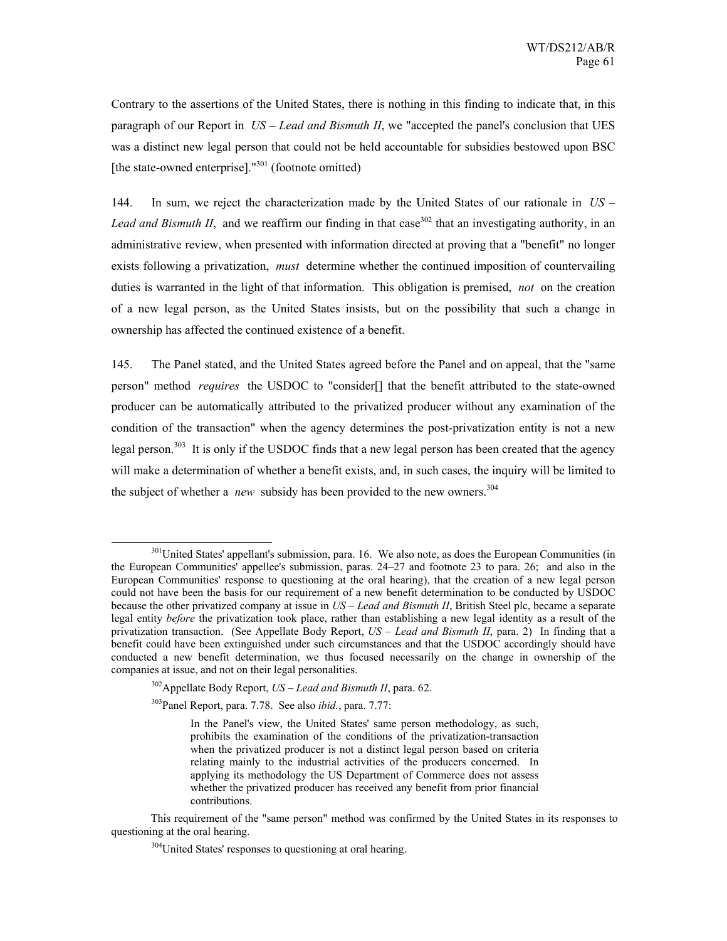Contrary to the assertions of the United States, there is nothing in this finding to indicate that, in this paragraph of our Report in *US – Lead and Bismuth II*, we "accepted the panel's conclusion that UES was a distinct new legal person that could not be held accountable for subsidies bestowed upon BSC [the state-owned enterprise]. $1^{301}$  (footnote omitted)

144. In sum, we reject the characterization made by the United States of our rationale in *US – Lead and Bismuth II*, and we reaffirm our finding in that case<sup>302</sup> that an investigating authority, in an administrative review, when presented with information directed at proving that a "benefit" no longer exists following a privatization, *must* determine whether the continued imposition of countervailing duties is warranted in the light of that information. This obligation is premised, *not* on the creation of a new legal person, as the United States insists, but on the possibility that such a change in ownership has affected the continued existence of a benefit.

145. The Panel stated, and the United States agreed before the Panel and on appeal, that the "same person" method *requires* the USDOC to "consider[] that the benefit attributed to the state-owned producer can be automatically attributed to the privatized producer without any examination of the condition of the transaction" when the agency determines the post-privatization entity is not a new legal person.<sup>303</sup> It is only if the USDOC finds that a new legal person has been created that the agency will make a determination of whether a benefit exists, and, in such cases, the inquiry will be limited to the subject of whether a *new* subsidy has been provided to the new owners.<sup>304</sup>

<sup>&</sup>lt;sup>301</sup>United States' appellant's submission, para. 16. We also note, as does the European Communities (in the European Communities' appellee's submission, paras. 24–27 and footnote 23 to para. 26; and also in the European Communities' response to questioning at the oral hearing), that the creation of a new legal person could not have been the basis for our requirement of a new benefit determination to be conducted by USDOC because the other privatized company at issue in *US – Lead and Bismuth II*, British Steel plc, became a separate legal entity *before* the privatization took place, rather than establishing a new legal identity as a result of the privatization transaction. (See Appellate Body Report, *US – Lead and Bismuth II*, para. 2) In finding that a benefit could have been extinguished under such circumstances and that the USDOC accordingly should have conducted a new benefit determination, we thus focused necessarily on the change in ownership of the companies at issue, and not on their legal personalities.

<sup>302</sup>Appellate Body Report, *US – Lead and Bismuth II*, para. 62.

<sup>303</sup>Panel Report, para. 7.78. See also *ibid.*, para. 7.77:

In the Panel's view, the United States' same person methodology, as such, prohibits the examination of the conditions of the privatization-transaction when the privatized producer is not a distinct legal person based on criteria relating mainly to the industrial activities of the producers concerned. In applying its methodology the US Department of Commerce does not assess whether the privatized producer has received any benefit from prior financial contributions.

This requirement of the "same person" method was confirmed by the United States in its responses to questioning at the oral hearing.

<sup>&</sup>lt;sup>304</sup>United States' responses to questioning at oral hearing.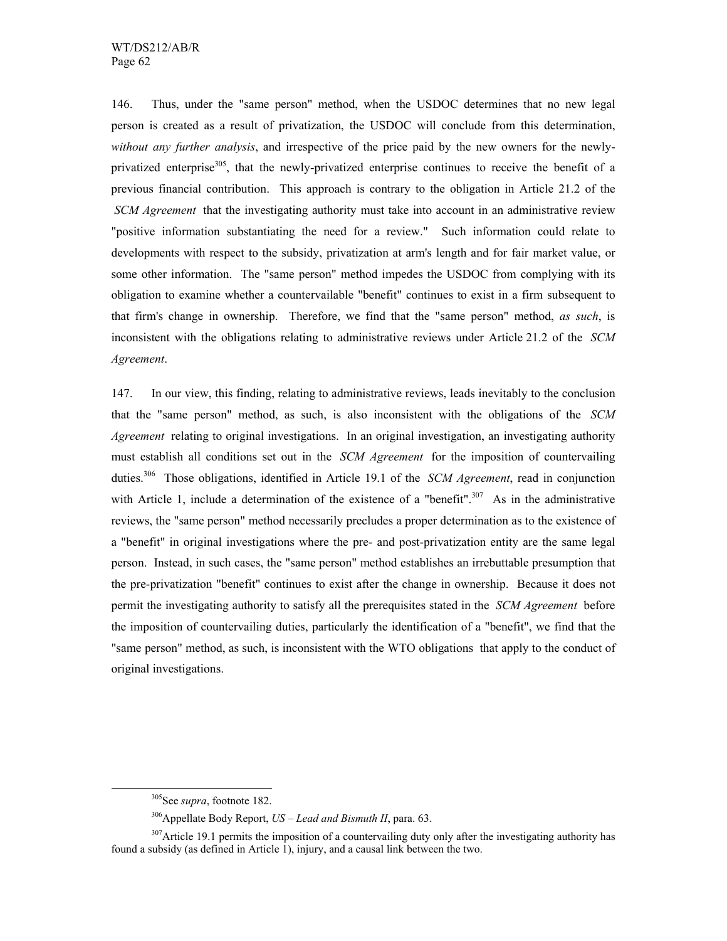146. Thus, under the "same person" method, when the USDOC determines that no new legal person is created as a result of privatization, the USDOC will conclude from this determination, *without any further analysis*, and irrespective of the price paid by the new owners for the newlyprivatized enterprise $305$ , that the newly-privatized enterprise continues to receive the benefit of a previous financial contribution. This approach is contrary to the obligation in Article 21.2 of the *SCM Agreement* that the investigating authority must take into account in an administrative review "positive information substantiating the need for a review." Such information could relate to developments with respect to the subsidy, privatization at arm's length and for fair market value, or some other information. The "same person" method impedes the USDOC from complying with its obligation to examine whether a countervailable "benefit" continues to exist in a firm subsequent to that firm's change in ownership. Therefore, we find that the "same person" method, *as such*, is inconsistent with the obligations relating to administrative reviews under Article 21.2 of the *SCM Agreement*.

147. In our view, this finding, relating to administrative reviews, leads inevitably to the conclusion that the "same person" method, as such, is also inconsistent with the obligations of the *SCM Agreement* relating to original investigations. In an original investigation, an investigating authority must establish all conditions set out in the *SCM Agreement* for the imposition of countervailing duties.306 Those obligations, identified in Article 19.1 of the *SCM Agreement*, read in conjunction with Article 1, include a determination of the existence of a "benefit".<sup>307</sup> As in the administrative reviews, the "same person" method necessarily precludes a proper determination as to the existence of a "benefit" in original investigations where the pre- and post-privatization entity are the same legal person. Instead, in such cases, the "same person" method establishes an irrebuttable presumption that the pre-privatization "benefit" continues to exist after the change in ownership. Because it does not permit the investigating authority to satisfy all the prerequisites stated in the *SCM Agreement* before the imposition of countervailing duties, particularly the identification of a "benefit", we find that the "same person" method, as such, is inconsistent with the WTO obligations that apply to the conduct of original investigations.

 <sup>305</sup>See *supra*, footnote 182.

<sup>306</sup>Appellate Body Report, *US – Lead and Bismuth II*, para. 63.

<sup>&</sup>lt;sup>307</sup>Article 19.1 permits the imposition of a countervailing duty only after the investigating authority has found a subsidy (as defined in Article 1), injury, and a causal link between the two.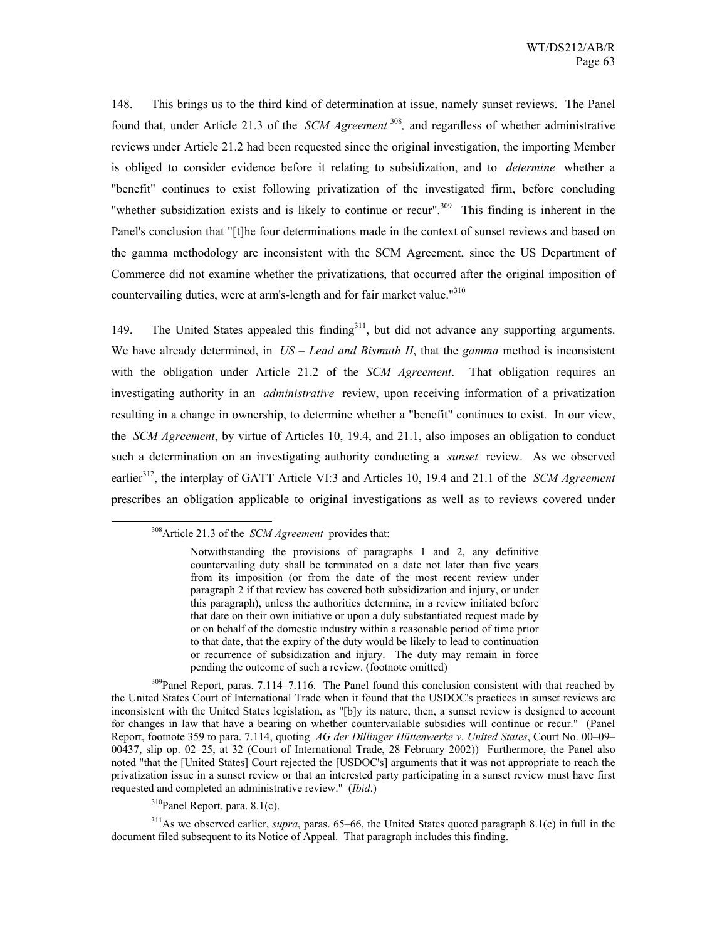148. This brings us to the third kind of determination at issue, namely sunset reviews. The Panel found that, under Article 21.3 of the *SCM Agreement* <sup>308</sup>*,* and regardless of whether administrative reviews under Article 21.2 had been requested since the original investigation, the importing Member is obliged to consider evidence before it relating to subsidization, and to *determine* whether a "benefit" continues to exist following privatization of the investigated firm, before concluding "whether subsidization exists and is likely to continue or recur".<sup>309</sup> This finding is inherent in the Panel's conclusion that "[t]he four determinations made in the context of sunset reviews and based on the gamma methodology are inconsistent with the SCM Agreement, since the US Department of Commerce did not examine whether the privatizations, that occurred after the original imposition of countervailing duties, were at arm's-length and for fair market value."<sup>310</sup>

149. The United States appealed this finding<sup>311</sup>, but did not advance any supporting arguments. We have already determined, in *US – Lead and Bismuth II*, that the *gamma* method is inconsistent with the obligation under Article 21.2 of the *SCM Agreement*. That obligation requires an investigating authority in an *administrative* review, upon receiving information of a privatization resulting in a change in ownership, to determine whether a "benefit" continues to exist. In our view, the *SCM Agreement*, by virtue of Articles 10, 19.4, and 21.1, also imposes an obligation to conduct such a determination on an investigating authority conducting a *sunset* review. As we observed earlier312, the interplay of GATT Article VI:3 and Articles 10, 19.4 and 21.1 of the *SCM Agreement* prescribes an obligation applicable to original investigations as well as to reviews covered under

 <sup>308</sup>Article 21.3 of the *SCM Agreement* provides that:

Notwithstanding the provisions of paragraphs 1 and 2, any definitive countervailing duty shall be terminated on a date not later than five years from its imposition (or from the date of the most recent review under paragraph 2 if that review has covered both subsidization and injury, or under this paragraph), unless the authorities determine, in a review initiated before that date on their own initiative or upon a duly substantiated request made by or on behalf of the domestic industry within a reasonable period of time prior to that date, that the expiry of the duty would be likely to lead to continuation or recurrence of subsidization and injury. The duty may remain in force pending the outcome of such a review. (footnote omitted)

 $309$ Panel Report, paras. 7.114–7.116. The Panel found this conclusion consistent with that reached by the United States Court of International Trade when it found that the USDOC's practices in sunset reviews are inconsistent with the United States legislation, as "[b]y its nature, then, a sunset review is designed to account for changes in law that have a bearing on whether countervailable subsidies will continue or recur." (Panel Report, footnote 359 to para. 7.114, quoting *AG der Dillinger Hüttenwerke v. United States*, Court No. 00–09– 00437, slip op. 02–25, at 32 (Court of International Trade, 28 February 2002)) Furthermore, the Panel also noted "that the [United States] Court rejected the [USDOC's] arguments that it was not appropriate to reach the privatization issue in a sunset review or that an interested party participating in a sunset review must have first requested and completed an administrative review." (*Ibid*.)

 $310$ Panel Report, para. 8.1(c).

<sup>311</sup>As we observed earlier, *supra*, paras. 65–66, the United States quoted paragraph 8.1(c) in full in the document filed subsequent to its Notice of Appeal. That paragraph includes this finding.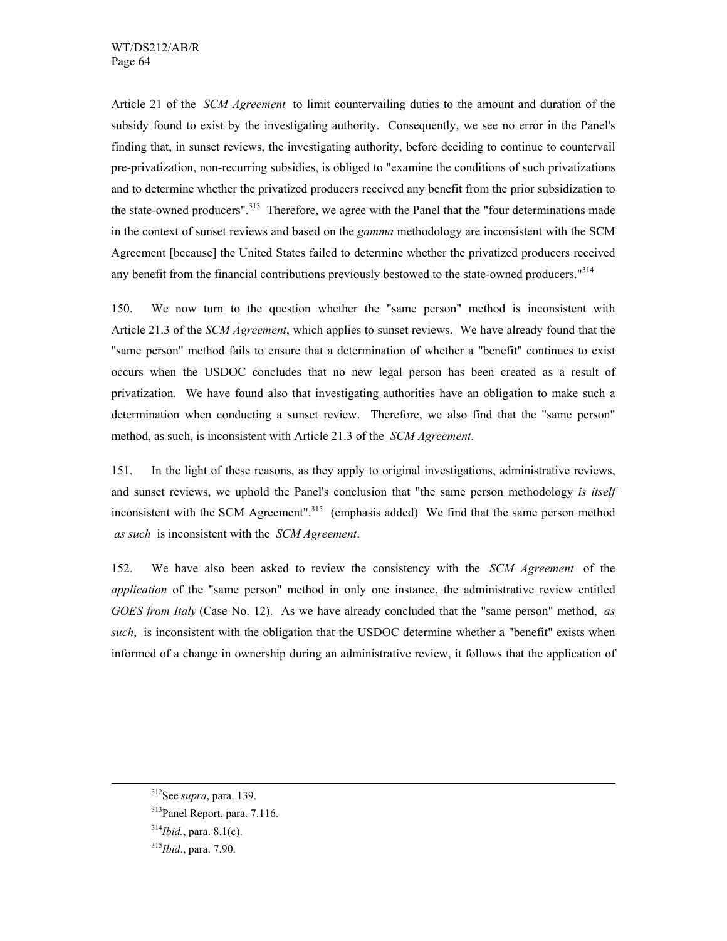Article 21 of the *SCM Agreement* to limit countervailing duties to the amount and duration of the subsidy found to exist by the investigating authority. Consequently, we see no error in the Panel's finding that, in sunset reviews, the investigating authority, before deciding to continue to countervail pre-privatization, non-recurring subsidies, is obliged to "examine the conditions of such privatizations and to determine whether the privatized producers received any benefit from the prior subsidization to the state-owned producers".<sup>313</sup> Therefore, we agree with the Panel that the "four determinations made in the context of sunset reviews and based on the *gamma* methodology are inconsistent with the SCM Agreement [because] the United States failed to determine whether the privatized producers received any benefit from the financial contributions previously bestowed to the state-owned producers."<sup>314</sup>

150. We now turn to the question whether the "same person" method is inconsistent with Article 21.3 of the *SCM Agreement*, which applies to sunset reviews. We have already found that the "same person" method fails to ensure that a determination of whether a "benefit" continues to exist occurs when the USDOC concludes that no new legal person has been created as a result of privatization. We have found also that investigating authorities have an obligation to make such a determination when conducting a sunset review. Therefore, we also find that the "same person" method, as such, is inconsistent with Article 21.3 of the *SCM Agreement*.

151. In the light of these reasons, as they apply to original investigations, administrative reviews, and sunset reviews, we uphold the Panel's conclusion that "the same person methodology *is itself* inconsistent with the SCM Agreement".<sup>315</sup> (emphasis added) We find that the same person method *as such* is inconsistent with the *SCM Agreement*.

152. We have also been asked to review the consistency with the *SCM Agreement* of the *application* of the "same person" method in only one instance, the administrative review entitled *GOES from Italy* (Case No. 12). As we have already concluded that the "same person" method, *as such*, is inconsistent with the obligation that the USDOC determine whether a "benefit" exists when informed of a change in ownership during an administrative review, it follows that the application of

 <sup>312</sup>See *supra*, para. 139.

<sup>313</sup>Panel Report, para. 7.116.

<sup>314</sup>*Ibid.*, para. 8.1(c).

<sup>315</sup>*Ibid*., para. 7.90.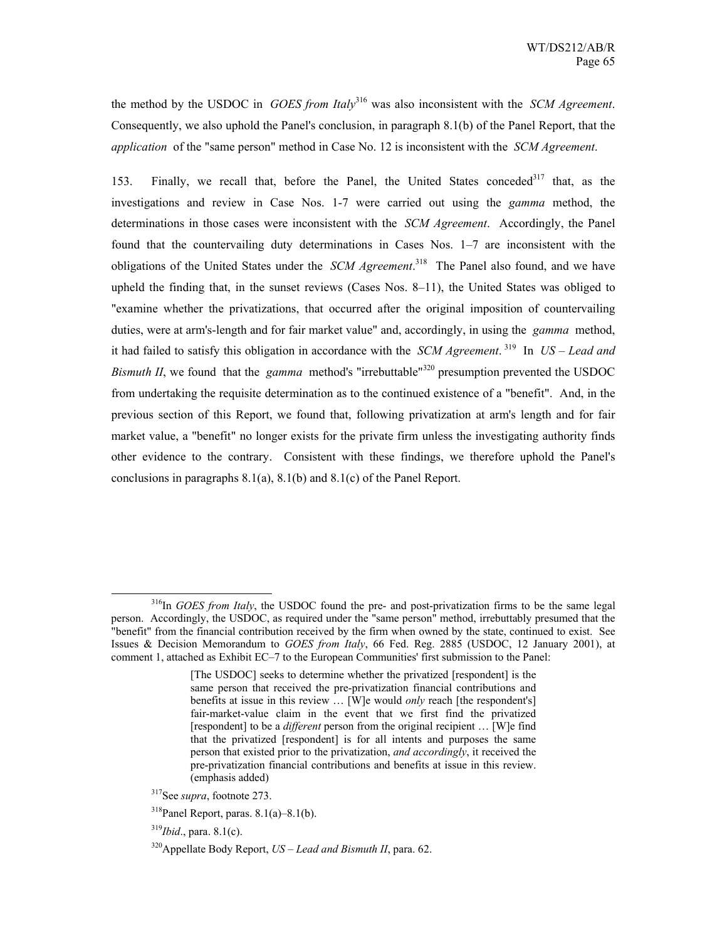the method by the USDOC in *GOES from Italy*316 was also inconsistent with the *SCM Agreement*. Consequently, we also uphold the Panel's conclusion, in paragraph 8.1(b) of the Panel Report, that the *application* of the "same person" method in Case No. 12 is inconsistent with the *SCM Agreement*.

153. Finally, we recall that, before the Panel, the United States conceded<sup>317</sup> that, as the investigations and review in Case Nos. 1-7 were carried out using the *gamma* method, the determinations in those cases were inconsistent with the *SCM Agreement*. Accordingly, the Panel found that the countervailing duty determinations in Cases Nos. 1–7 are inconsistent with the obligations of the United States under the *SCM Agreement*. 318 The Panel also found, and we have upheld the finding that, in the sunset reviews (Cases Nos. 8–11), the United States was obliged to "examine whether the privatizations, that occurred after the original imposition of countervailing duties, were at arm's-length and for fair market value" and, accordingly, in using the *gamma* method, it had failed to satisfy this obligation in accordance with the *SCM Agreement*. 319 In *US – Lead and Bismuth II*, we found that the *gamma* method's "irrebuttable"320 presumption prevented the USDOC from undertaking the requisite determination as to the continued existence of a "benefit". And, in the previous section of this Report, we found that, following privatization at arm's length and for fair market value, a "benefit" no longer exists for the private firm unless the investigating authority finds other evidence to the contrary. Consistent with these findings, we therefore uphold the Panel's conclusions in paragraphs 8.1(a), 8.1(b) and 8.1(c) of the Panel Report.

317See *supra*, footnote 273.

<sup>&</sup>lt;sup>316</sup>In *GOES from Italy*, the USDOC found the pre- and post-privatization firms to be the same legal person. Accordingly, the USDOC, as required under the "same person" method, irrebuttably presumed that the "benefit" from the financial contribution received by the firm when owned by the state, continued to exist. See Issues & Decision Memorandum to *GOES from Italy*, 66 Fed. Reg. 2885 (USDOC, 12 January 2001), at comment 1, attached as Exhibit EC–7 to the European Communities' first submission to the Panel:

<sup>[</sup>The USDOC] seeks to determine whether the privatized [respondent] is the same person that received the pre-privatization financial contributions and benefits at issue in this review … [W]e would *only* reach [the respondent's] fair-market-value claim in the event that we first find the privatized [respondent] to be a *different* person from the original recipient ... [W]e find that the privatized [respondent] is for all intents and purposes the same person that existed prior to the privatization, *and accordingly*, it received the pre-privatization financial contributions and benefits at issue in this review. (emphasis added)

 $318$ Panel Report, paras.  $8.1(a) - 8.1(b)$ .

<sup>319</sup>*Ibid*., para. 8.1(c).

<sup>320</sup>Appellate Body Report, *US – Lead and Bismuth II*, para. 62.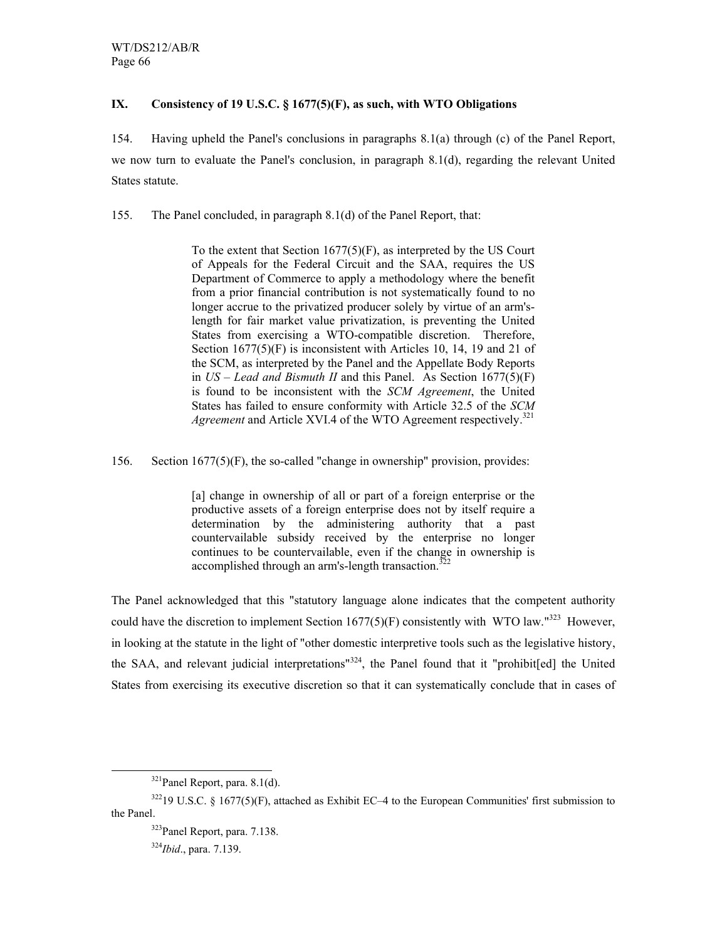# **IX. Consistency of 19 U.S.C. § 1677(5)(F), as such, with WTO Obligations**

154. Having upheld the Panel's conclusions in paragraphs 8.1(a) through (c) of the Panel Report, we now turn to evaluate the Panel's conclusion, in paragraph 8.1(d), regarding the relevant United States statute.

155. The Panel concluded, in paragraph 8.1(d) of the Panel Report, that:

To the extent that Section 1677(5)(F), as interpreted by the US Court of Appeals for the Federal Circuit and the SAA, requires the US Department of Commerce to apply a methodology where the benefit from a prior financial contribution is not systematically found to no longer accrue to the privatized producer solely by virtue of an arm'slength for fair market value privatization, is preventing the United States from exercising a WTO-compatible discretion. Therefore, Section 1677(5)(F) is inconsistent with Articles 10, 14, 19 and 21 of the SCM, as interpreted by the Panel and the Appellate Body Reports in *US – Lead and Bismuth II* and this Panel. As Section 1677(5)(F) is found to be inconsistent with the *SCM Agreement*, the United States has failed to ensure conformity with Article 32.5 of the *SCM Agreement* and Article XVI.4 of the WTO Agreement respectively.<sup>321</sup>

156. Section 1677(5)(F), the so-called "change in ownership" provision, provides:

[a] change in ownership of all or part of a foreign enterprise or the productive assets of a foreign enterprise does not by itself require a determination by the administering authority that a past countervailable subsidy received by the enterprise no longer continues to be countervailable, even if the change in ownership is accomplished through an arm's-length transaction.<sup>322</sup>

The Panel acknowledged that this "statutory language alone indicates that the competent authority could have the discretion to implement Section  $1677(5)(F)$  consistently with WTO law."<sup>323</sup> However, in looking at the statute in the light of "other domestic interpretive tools such as the legislative history, the SAA, and relevant judicial interpretations<sup>"324</sup>, the Panel found that it "prohibit[ed] the United States from exercising its executive discretion so that it can systematically conclude that in cases of

 <sup>321</sup>Panel Report, para. 8.1(d).

 $32219$  U.S.C. § 1677(5)(F), attached as Exhibit EC-4 to the European Communities' first submission to the Panel.

<sup>323</sup>Panel Report, para. 7.138.

<sup>324</sup>*Ibid*., para. 7.139.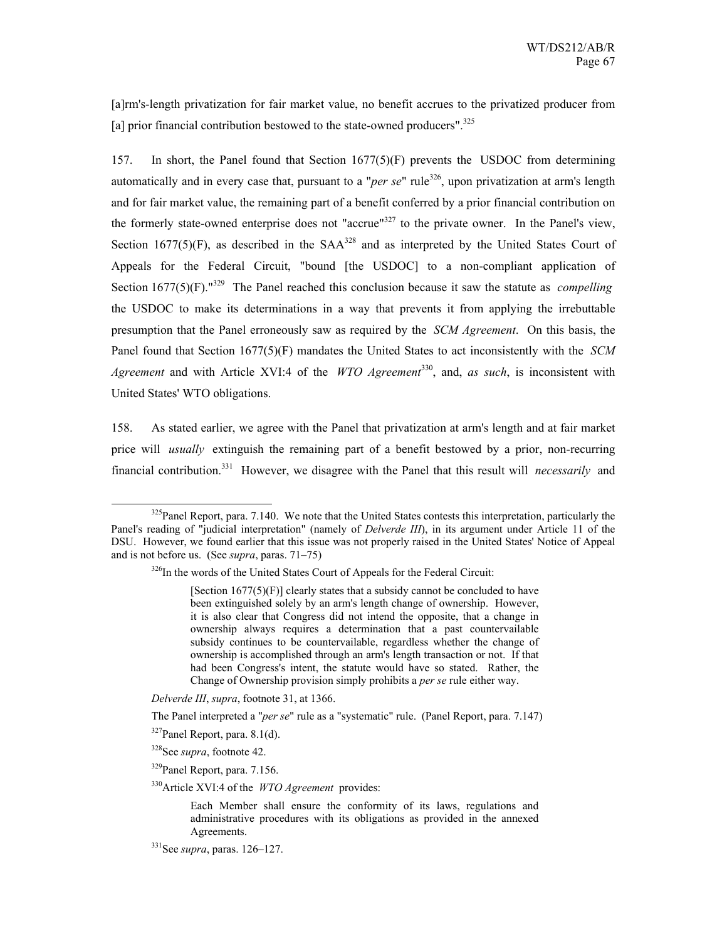[a]rm's-length privatization for fair market value, no benefit accrues to the privatized producer from [a] prior financial contribution bestowed to the state-owned producers".<sup>325</sup>

157. In short, the Panel found that Section 1677(5)(F) prevents the USDOC from determining automatically and in every case that, pursuant to a "*per se*" rule<sup>326</sup>, upon privatization at arm's length and for fair market value, the remaining part of a benefit conferred by a prior financial contribution on the formerly state-owned enterprise does not "accrue"<sup>327</sup> to the private owner. In the Panel's view, Section 1677(5)(F), as described in the  $SAA^{328}$  and as interpreted by the United States Court of Appeals for the Federal Circuit, "bound [the USDOC] to a non-compliant application of Section 1677(5)(F).<sup>"329</sup> The Panel reached this conclusion because it saw the statute as *compelling* the USDOC to make its determinations in a way that prevents it from applying the irrebuttable presumption that the Panel erroneously saw as required by the *SCM Agreement*. On this basis, the Panel found that Section 1677(5)(F) mandates the United States to act inconsistently with the *SCM Agreement* and with Article XVI:4 of the *WTO Agreement*330, and, *as such*, is inconsistent with United States' WTO obligations.

158. As stated earlier, we agree with the Panel that privatization at arm's length and at fair market price will *usually* extinguish the remaining part of a benefit bestowed by a prior, non-recurring financial contribution.331 However, we disagree with the Panel that this result will *necessarily* and

*Delverde III*, *supra*, footnote 31, at 1366.

330Article XVI:4 of the *WTO Agreement* provides:

Each Member shall ensure the conformity of its laws, regulations and administrative procedures with its obligations as provided in the annexed Agreements.

 $325$ Panel Report, para. 7.140. We note that the United States contests this interpretation, particularly the Panel's reading of "judicial interpretation" (namely of *Delverde III*), in its argument under Article 11 of the DSU. However, we found earlier that this issue was not properly raised in the United States' Notice of Appeal and is not before us. (See *supra*, paras. 71–75)

<sup>326</sup>In the words of the United States Court of Appeals for the Federal Circuit:

<sup>[</sup>Section  $1677(5)(F)$ ] clearly states that a subsidy cannot be concluded to have been extinguished solely by an arm's length change of ownership. However, it is also clear that Congress did not intend the opposite, that a change in ownership always requires a determination that a past countervailable subsidy continues to be countervailable, regardless whether the change of ownership is accomplished through an arm's length transaction or not. If that had been Congress's intent, the statute would have so stated. Rather, the Change of Ownership provision simply prohibits a *per se* rule either way.

The Panel interpreted a "*per se*" rule as a "systematic" rule. (Panel Report, para. 7.147)

 $327$ Panel Report, para, 8.1(d).

<sup>328</sup>See *supra*, footnote 42.

<sup>329</sup>Panel Report, para. 7.156.

<sup>331</sup>See *supra*, paras. 126–127.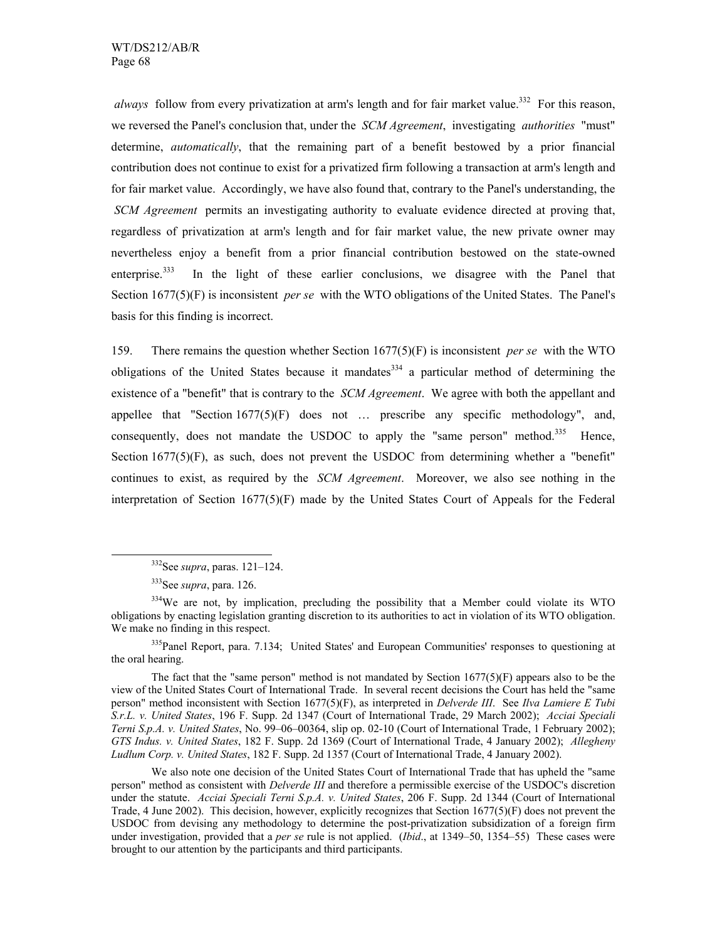*always* follow from every privatization at arm's length and for fair market value.<sup>332</sup> For this reason, we reversed the Panel's conclusion that, under the *SCM Agreement*, investigating *authorities* "must" determine, *automatically*, that the remaining part of a benefit bestowed by a prior financial contribution does not continue to exist for a privatized firm following a transaction at arm's length and for fair market value. Accordingly, we have also found that, contrary to the Panel's understanding, the *SCM Agreement* permits an investigating authority to evaluate evidence directed at proving that, regardless of privatization at arm's length and for fair market value, the new private owner may nevertheless enjoy a benefit from a prior financial contribution bestowed on the state-owned enterprise.<sup>333</sup> In the light of these earlier conclusions, we disagree with the Panel that Section 1677(5)(F) is inconsistent *per se* with the WTO obligations of the United States. The Panel's basis for this finding is incorrect.

159. There remains the question whether Section 1677(5)(F) is inconsistent *per se* with the WTO obligations of the United States because it mandates  $334$  a particular method of determining the existence of a "benefit" that is contrary to the *SCM Agreement*. We agree with both the appellant and appellee that "Section  $1677(5)(F)$  does not ... prescribe any specific methodology", and, consequently, does not mandate the USDOC to apply the "same person" method.<sup>335</sup> Hence, Section 1677(5)(F), as such, does not prevent the USDOC from determining whether a "benefit" continues to exist, as required by the *SCM Agreement*. Moreover, we also see nothing in the interpretation of Section 1677(5)(F) made by the United States Court of Appeals for the Federal

335 Panel Report, para. 7.134; United States' and European Communities' responses to questioning at the oral hearing.

The fact that the "same person" method is not mandated by Section  $1677(5)(F)$  appears also to be the view of the United States Court of International Trade. In several recent decisions the Court has held the "same person" method inconsistent with Section 1677(5)(F), as interpreted in *Delverde III*. See *Ilva Lamiere E Tubi S.r.L. v. United States*, 196 F. Supp. 2d 1347 (Court of International Trade, 29 March 2002); *Acciai Speciali Terni S.p.A. v. United States*, No. 99–06–00364, slip op. 02-10 (Court of International Trade, 1 February 2002); *GTS Indus. v. United States*, 182 F. Supp. 2d 1369 (Court of International Trade, 4 January 2002); *Allegheny Ludlum Corp. v. United States*, 182 F. Supp. 2d 1357 (Court of International Trade, 4 January 2002).

We also note one decision of the United States Court of International Trade that has upheld the "same person" method as consistent with *Delverde III* and therefore a permissible exercise of the USDOC's discretion under the statute. *Acciai Speciali Terni S.p.A. v. United States*, 206 F. Supp. 2d 1344 (Court of International Trade, 4 June 2002). This decision, however, explicitly recognizes that Section  $1677(5)(F)$  does not prevent the USDOC from devising any methodology to determine the post-privatization subsidization of a foreign firm under investigation, provided that a *per se* rule is not applied. (*Ibid*., at 1349–50, 1354–55) These cases were brought to our attention by the participants and third participants.

 <sup>332</sup>See *supra*, paras. 121–124.

<sup>333</sup>See *supra*, para. 126.

<sup>&</sup>lt;sup>334</sup>We are not, by implication, precluding the possibility that a Member could violate its WTO obligations by enacting legislation granting discretion to its authorities to act in violation of its WTO obligation. We make no finding in this respect.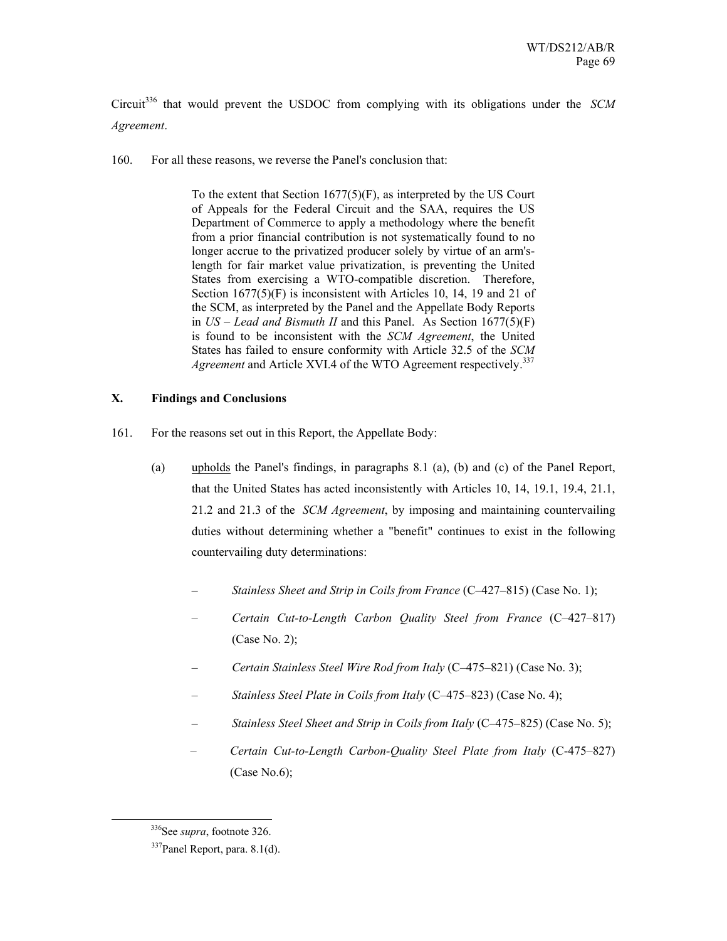Circuit<sup>336</sup> that would prevent the USDOC from complying with its obligations under the *SCM Agreement*.

160. For all these reasons, we reverse the Panel's conclusion that:

To the extent that Section 1677(5)(F), as interpreted by the US Court of Appeals for the Federal Circuit and the SAA, requires the US Department of Commerce to apply a methodology where the benefit from a prior financial contribution is not systematically found to no longer accrue to the privatized producer solely by virtue of an arm'slength for fair market value privatization, is preventing the United States from exercising a WTO-compatible discretion. Therefore, Section 1677(5)(F) is inconsistent with Articles 10, 14, 19 and 21 of the SCM, as interpreted by the Panel and the Appellate Body Reports in *US – Lead and Bismuth II* and this Panel. As Section 1677(5)(F) is found to be inconsistent with the *SCM Agreement*, the United States has failed to ensure conformity with Article 32.5 of the *SCM*  Agreement and Article XVI.4 of the WTO Agreement respectively.<sup>337</sup>

## **X. Findings and Conclusions**

161. For the reasons set out in this Report, the Appellate Body:

- (a) upholds the Panel's findings, in paragraphs 8.1 (a), (b) and (c) of the Panel Report, that the United States has acted inconsistently with Articles 10, 14, 19.1, 19.4, 21.1, 21.2 and 21.3 of the *SCM Agreement*, by imposing and maintaining countervailing duties without determining whether a "benefit" continues to exist in the following countervailing duty determinations:
	- *Stainless Sheet and Strip in Coils from France* (C–427–815) (Case No. 1);
	- *Certain Cut-to-Length Carbon Quality Steel from France* (C–427–817) (Case No. 2);
	- *Certain Stainless Steel Wire Rod from Italy* (C–475–821) (Case No. 3);
	- *Stainless Steel Plate in Coils from Italy* (C–475–823) (Case No. 4);
	- *Stainless Steel Sheet and Strip in Coils from Italy* (C–475–825) (Case No. 5);
	- *Certain Cut-to-Length Carbon-Quality Steel Plate from Italy* (C-475–827)  $(Case No.6);$

 <sup>336</sup>See *supra*, footnote 326.

 $337$ Panel Report, para. 8.1(d).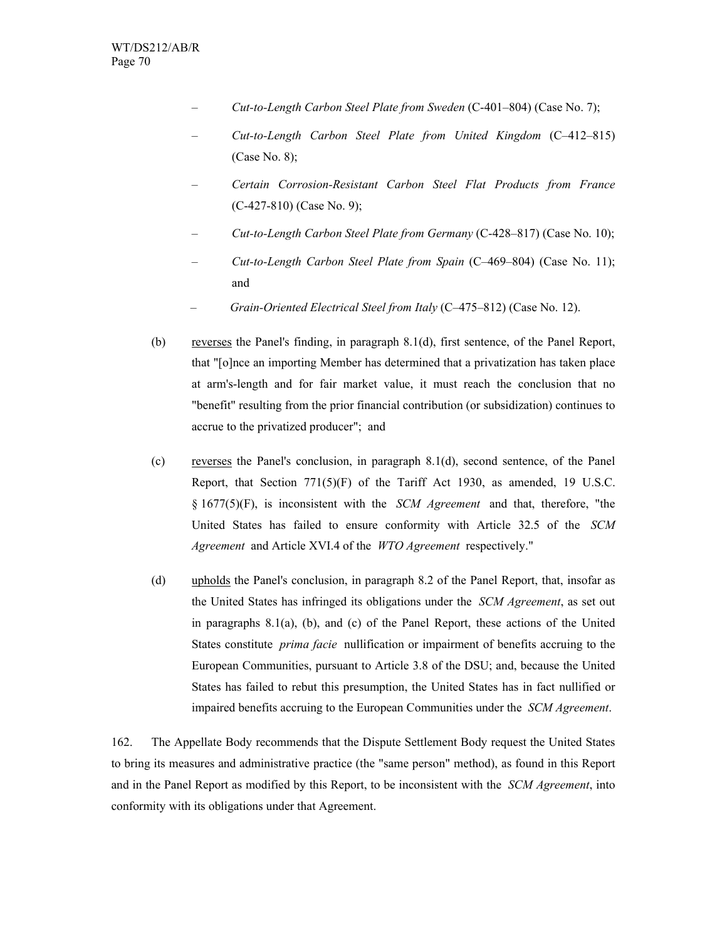- *Cut-to-Length Carbon Steel Plate from Sweden* (C-401–804) (Case No. 7);
- *Cut-to-Length Carbon Steel Plate from United Kingdom* (C–412–815) (Case No. 8);
- *Certain Corrosion-Resistant Carbon Steel Flat Products from France* (C-427-810) (Case No. 9);
- *Cut-to-Length Carbon Steel Plate from Germany* (C-428–817) (Case No. 10);
- *Cut-to-Length Carbon Steel Plate from Spain* (C–469–804) (Case No. 11); and
- *Grain-Oriented Electrical Steel from Italy* (C–475–812) (Case No. 12).
- (b) reverses the Panel's finding, in paragraph 8.1(d), first sentence, of the Panel Report, that "[o]nce an importing Member has determined that a privatization has taken place at arm's-length and for fair market value, it must reach the conclusion that no "benefit" resulting from the prior financial contribution (or subsidization) continues to accrue to the privatized producer"; and
- (c) reverses the Panel's conclusion, in paragraph 8.1(d), second sentence, of the Panel Report, that Section 771(5)(F) of the Tariff Act 1930, as amended, 19 U.S.C. § 1677(5)(F), is inconsistent with the *SCM Agreement* and that, therefore, "the United States has failed to ensure conformity with Article 32.5 of the *SCM Agreement* and Article XVI.4 of the *WTO Agreement* respectively."
- (d) upholds the Panel's conclusion, in paragraph 8.2 of the Panel Report, that, insofar as the United States has infringed its obligations under the *SCM Agreement*, as set out in paragraphs 8.1(a), (b), and (c) of the Panel Report, these actions of the United States constitute *prima facie* nullification or impairment of benefits accruing to the European Communities, pursuant to Article 3.8 of the DSU; and, because the United States has failed to rebut this presumption, the United States has in fact nullified or impaired benefits accruing to the European Communities under the *SCM Agreement*.

162. The Appellate Body recommends that the Dispute Settlement Body request the United States to bring its measures and administrative practice (the "same person" method), as found in this Report and in the Panel Report as modified by this Report, to be inconsistent with the *SCM Agreement*, into conformity with its obligations under that Agreement.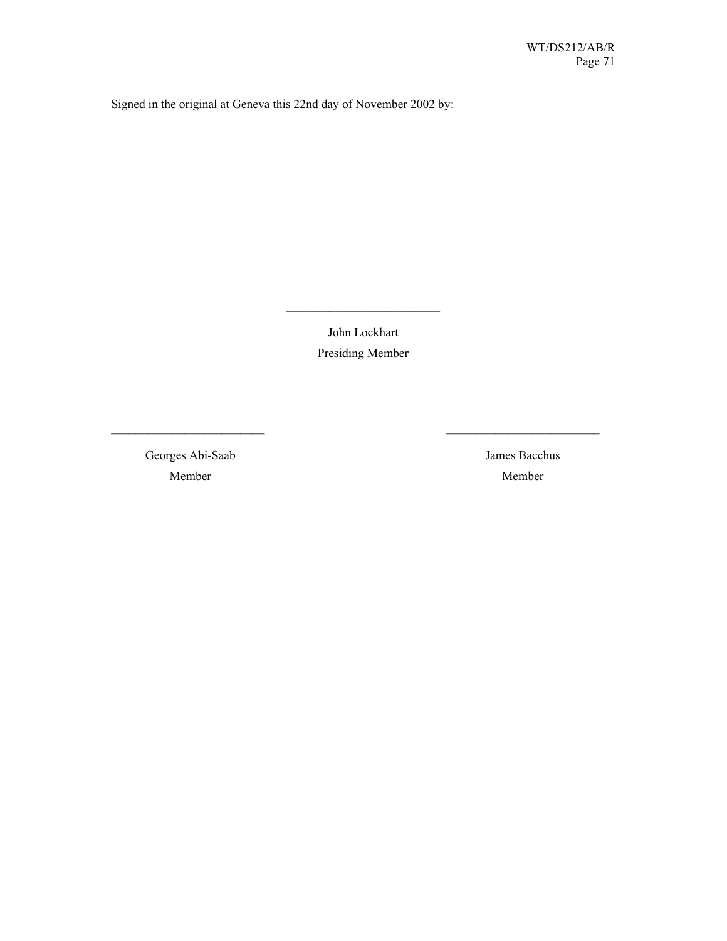Signed in the original at Geneva this 22nd day of November 2002 by:

John Lockhart Presiding Member

 Georges Abi-Saab James Bacchus Member Member